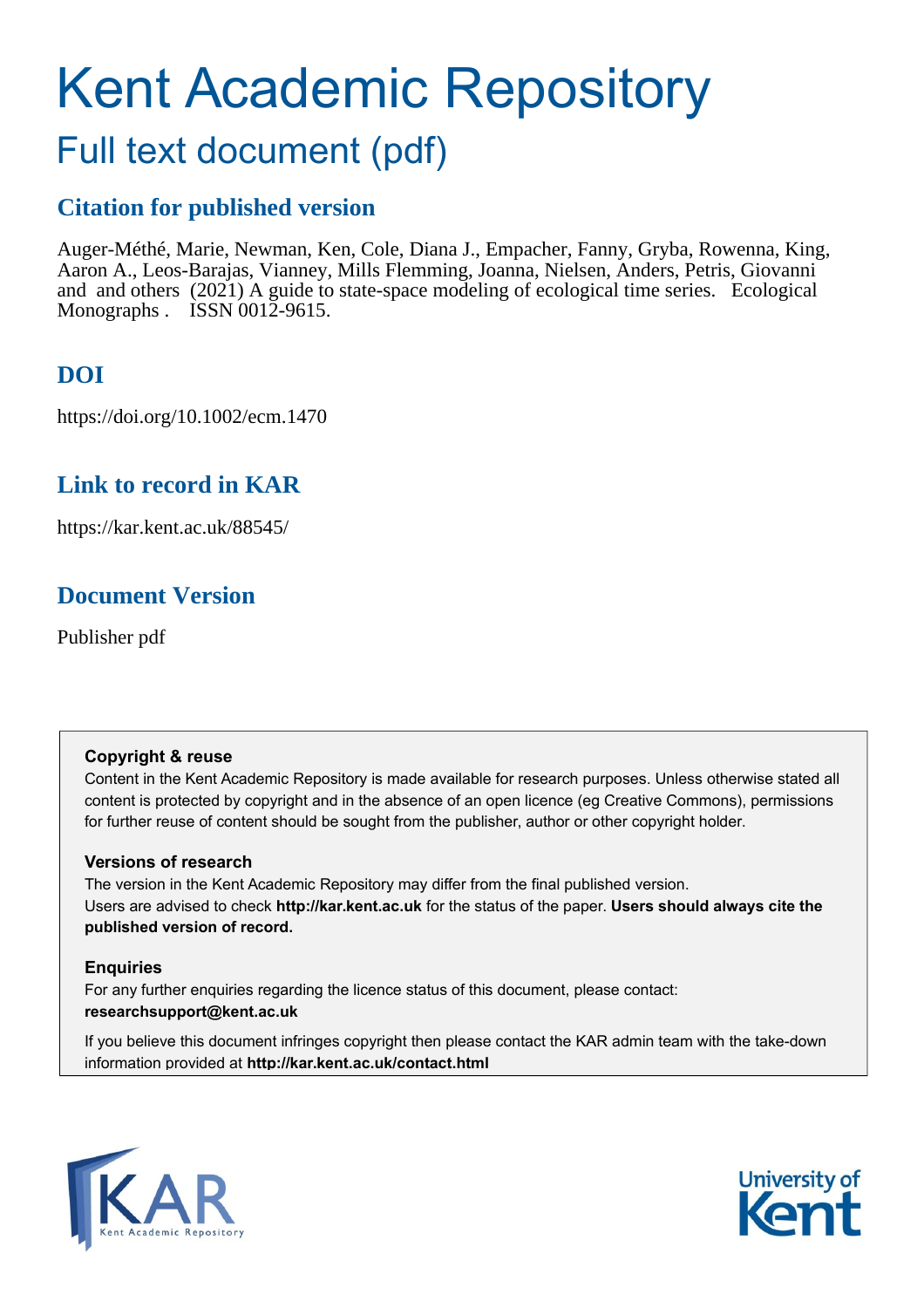# Kent Academic Repository

# Full text document (pdf)

# **Citation for published version**

Auger-Méthé, Marie, Newman, Ken, Cole, Diana J., Empacher, Fanny, Gryba, Rowenna, King, Aaron A., Leos-Barajas, Vianney, Mills Flemming, Joanna, Nielsen, Anders, Petris, Giovanni and and others (2021) A guide to state-space modeling of ecological time series. Ecological Monographs . ISSN 0012-9615.

# **DOI**

https://doi.org/10.1002/ecm.1470

# **Link to record in KAR**

https://kar.kent.ac.uk/88545/

# **Document Version**

Publisher pdf

#### **Copyright & reuse**

Content in the Kent Academic Repository is made available for research purposes. Unless otherwise stated all content is protected by copyright and in the absence of an open licence (eg Creative Commons), permissions for further reuse of content should be sought from the publisher, author or other copyright holder.

#### **Versions of research**

The version in the Kent Academic Repository may differ from the final published version. Users are advised to check **http://kar.kent.ac.uk** for the status of the paper. **Users should always cite the published version of record.**

#### **Enquiries**

For any further enquiries regarding the licence status of this document, please contact: **researchsupport@kent.ac.uk**

If you believe this document infringes copyright then please contact the KAR admin team with the take-down information provided at **http://kar.kent.ac.uk/contact.html**



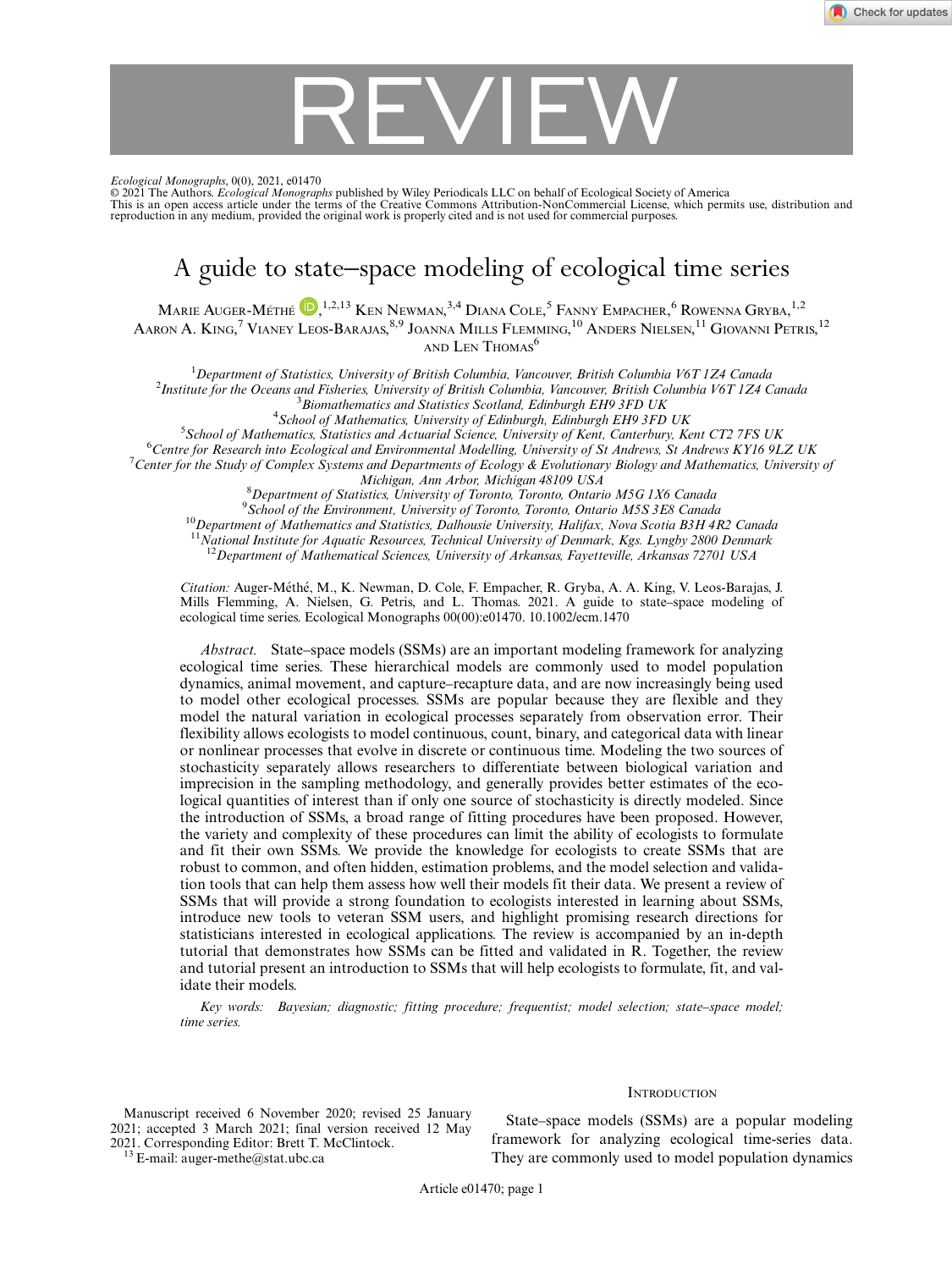# REVIEW

Ecological Monographs, 0(0), 2021, e01470

© 2021 The Authors. *Ecological Monographs* published by Wiley Periodicals LLC on behalf of Ecological Society of America<br>This is an open access article under the terms of the [Creative Commons Attribution-NonCommercial](http://creativecommons.org/licenses/by-nc/4.0/) Lic reproduction in any medium, provided the original work is properly cited and is not used for commercial purposes.

### A guide to state–space modeling of ecological time series

MARIE AUGER-MÉTHÉ  $\mathbb{D},^{1,2,13}$  Ken Newman, $^{3,4}$  Diana Cole,  $^5$  Fanny Empacher,  $^6$  Rowenna Gryba,  $^{1,2}$ Aaron A. King,<sup>7</sup> Vianey Leos-Barajas,<sup>8,9</sup> Joanna Mills Flemming,<sup>10</sup> Anders Nielsen,<sup>11</sup> Giovanni Petris,<sup>12</sup> AND LEN THOMAS<sup>6</sup>

<sup>1</sup> Department of Statistics, University of British Columbia, Vancouver, British Columbia V6T 1Z4 Canada<br><sup>2</sup>Institute for the Oceans and Fisherias University of British Columbia, Vancouver, British Columbia V6T 1Z4 C <sup>2</sup>Institute for the Oceans and Fisheries, University of British Columbia, Vancouver, British Columbia V6T 1Z4 Canada  $3$ Biomathematics and Statistics Scotland, Edinburgh EH9 3FD UK

 $^{4}$ School of Mathematics, University of Edinburgh, Edinburgh EH9 3FD UK

<sup>5</sup>School of Mathematics, Statistics and Actuarial Science, University of Kent, Canterbury, Kent CT2 7FS UK <sup>6</sup>Centre for Research into Ecological and Environmental Modelling, University of St Andrews, St Andrews KY16 9LZ UK

<sup>7</sup> Center for the Study of Complex Systems and Departments of Ecology & Evolutionary Biology and Mathematics, University of<br>Michigan, Ann Arbor, Michigan 48109 USA

Michigan, Ann Arbor, Michigan 48109 USA<br><sup>8</sup> Department of Statistics, University of Terente, Terente, Ontari <sup>8</sup> Department of Statistics, University of Toronto, Toronto, Ontario M5G 1X6 Canada<br><sup>9</sup> Sebool of the Environment, University of Toronto, Toronto, Ontario M5S 3E8 Canada

<sup>9</sup> School of the Environment, University of Toronto, Toronto, Ontario M5S 3E8 Canada<br><sup>10</sup>Department of Mathematics and Statistics, Dalhousie University, Halifax, Nova Scotia B3H 4R2 Canada

 $11$ National Institute for Aquatic Resources, Technical University of Denmark, Kgs. Lyngby 2800 Denmark

 $12$ Department of Mathematical Sciences, University of Arkansas, Fayetteville, Arkansas 72701 USA

Citation: Auger-Méthé, M., K. Newman, D. Cole, F. Empacher, R. Gryba, A. A. King, V. Leos-Barajas, J. Mills Flemming, A. Nielsen, G. Petris, and L. Thomas. 2021. A guide to state–space modeling of ecological time series. Ecological Monographs 00(00):e01470. [10.1002/ecm.1470](info:doi/10.1002/ecm.1470)

Abstract. State–space models (SSMs) are an important modeling framework for analyzing ecological time series. These hierarchical models are commonly used to model population dynamics, animal movement, and capture–recapture data, and are now increasingly being used to model other ecological processes. SSMs are popular because they are flexible and they model the natural variation in ecological processes separately from observation error. Their flexibility allows ecologists to model continuous, count, binary, and categorical data with linear or nonlinear processes that evolve in discrete or continuous time. Modeling the two sources of stochasticity separately allows researchers to differentiate between biological variation and imprecision in the sampling methodology, and generally provides better estimates of the ecological quantities of interest than if only one source of stochasticity is directly modeled. Since the introduction of SSMs, a broad range of fitting procedures have been proposed. However, the variety and complexity of these procedures can limit the ability of ecologists to formulate and fit their own SSMs. We provide the knowledge for ecologists to create SSMs that are robust to common, and often hidden, estimation problems, and the model selection and validation tools that can help them assess how well their models fit their data. We present a review of SSMs that will provide a strong foundation to ecologists interested in learning about SSMs, introduce new tools to veteran SSM users, and highlight promising research directions for statisticians interested in ecological applications. The review is accompanied by an in-depth tutorial that demonstrates how SSMs can be fitted and validated in R. Together, the review and tutorial present an introduction to SSMs that will help ecologists to formulate, fit, and validate their models.

Key words: Bayesian; diagnostic; fitting procedure; frequentist; model selection; state–space model; time series.

Manuscript received 6 November 2020; revised 25 January 2021; accepted 3 March 2021; final version received 12 May

 $^{13}$  E-mail: [auger-methe@stat.ubc.ca](mailto:)

State–space models (SSMs) are a popular modeling framework for analyzing ecological time-series data. They are commonly used to model population dynamics

**INTRODUCTION** 

Article e01470; page 1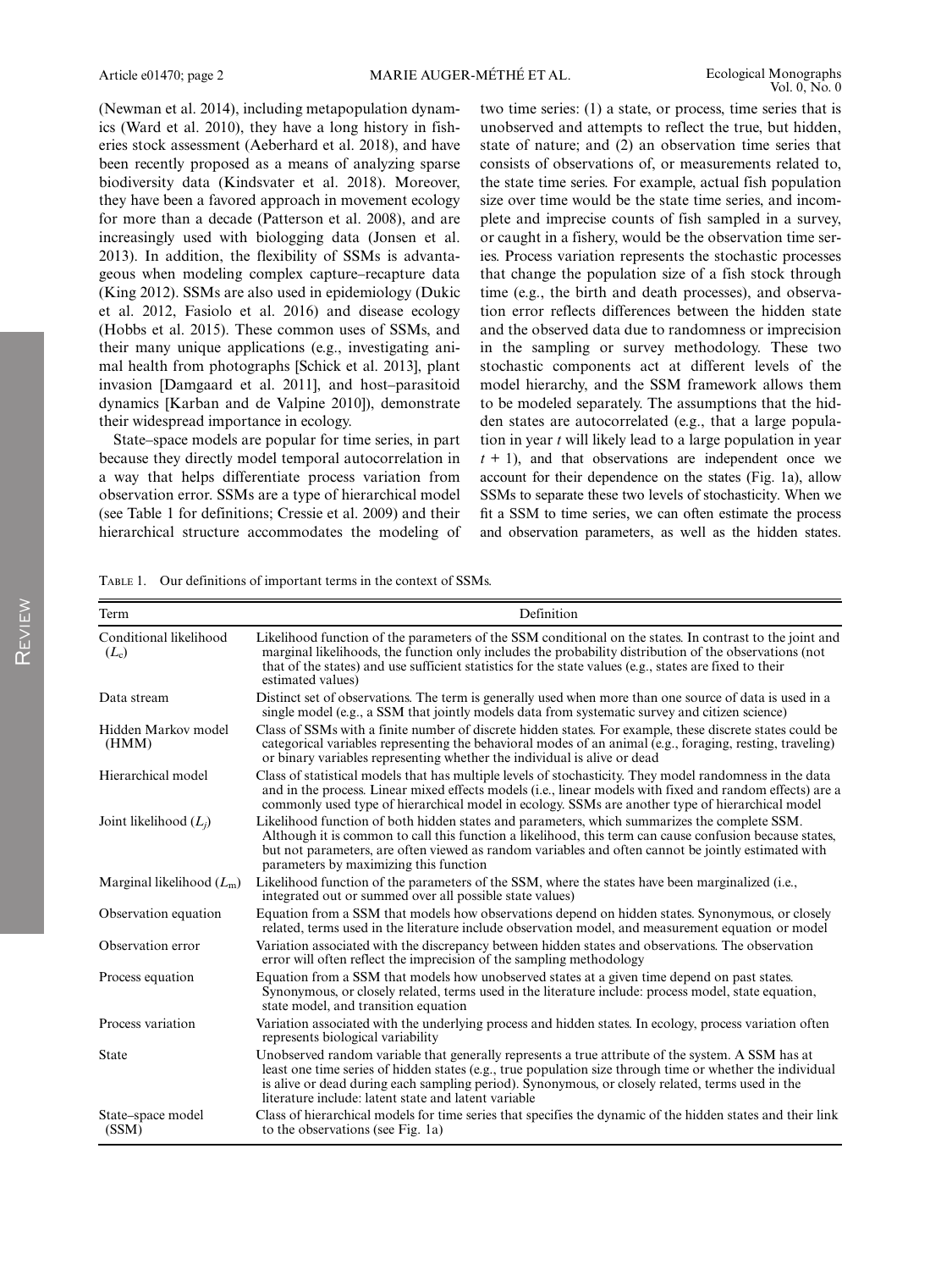REVIEW

(Newman et al. 2014), including metapopulation dynamics (Ward et al. 2010), they have a long history in fisheries stock assessment (Aeberhard et al. 2018), and have been recently proposed as a means of analyzing sparse biodiversity data (Kindsvater et al. 2018). Moreover, they have been a favored approach in movement ecology for more than a decade (Patterson et al. 2008), and are increasingly used with biologging data (Jonsen et al. 2013). In addition, the flexibility of SSMs is advantageous when modeling complex capture–recapture data (King 2012). SSMs are also used in epidemiology (Dukic et al. 2012, Fasiolo et al. 2016) and disease ecology (Hobbs et al. 2015). These common uses of SSMs, and their many unique applications (e.g., investigating animal health from photographs [Schick et al. 2013], plant invasion [Damgaard et al. 2011], and host–parasitoid dynamics [Karban and de Valpine 2010]), demonstrate their widespread importance in ecology.

State–space models are popular for time series, in part because they directly model temporal autocorrelation in a way that helps differentiate process variation from observation error. SSMs are a type of hierarchical model (see Table 1 for definitions; Cressie et al. 2009) and their hierarchical structure accommodates the modeling of two time series: (1) a state, or process, time series that is unobserved and attempts to reflect the true, but hidden, state of nature; and (2) an observation time series that consists of observations of, or measurements related to, the state time series. For example, actual fish population size over time would be the state time series, and incomplete and imprecise counts of fish sampled in a survey, or caught in a fishery, would be the observation time series. Process variation represents the stochastic processes that change the population size of a fish stock through time (e.g., the birth and death processes), and observation error reflects differences between the hidden state and the observed data due to randomness or imprecision in the sampling or survey methodology. These two stochastic components act at different levels of the model hierarchy, and the SSM framework allows them to be modeled separately. The assumptions that the hidden states are autocorrelated (e.g., that a large population in year  $t$  will likely lead to a large population in year  $t + 1$ ), and that observations are independent once we account for their dependence on the states (Fig. 1a), allow SSMs to separate these two levels of stochasticity. When we fit a SSM to time series, we can often estimate the process and observation parameters, as well as the hidden states.

TABLE 1. Our definitions of important terms in the context of SSMs.

| Term                              | Definition                                                                                                                                                                                                                                                                                                                                                                 |  |  |  |
|-----------------------------------|----------------------------------------------------------------------------------------------------------------------------------------------------------------------------------------------------------------------------------------------------------------------------------------------------------------------------------------------------------------------------|--|--|--|
| Conditional likelihood<br>$(L_c)$ | Likelihood function of the parameters of the SSM conditional on the states. In contrast to the joint and<br>marginal likelihoods, the function only includes the probability distribution of the observations (not<br>that of the states) and use sufficient statistics for the state values (e.g., states are fixed to their<br>estimated values)                         |  |  |  |
| Data stream                       | Distinct set of observations. The term is generally used when more than one source of data is used in a<br>single model (e.g., a SSM that jointly models data from systematic survey and citizen science)                                                                                                                                                                  |  |  |  |
| Hidden Markov model<br>(HMM)      | Class of SSMs with a finite number of discrete hidden states. For example, these discrete states could be<br>categorical variables representing the behavioral modes of an animal (e.g., foraging, resting, traveling)<br>or binary variables representing whether the individual is alive or dead                                                                         |  |  |  |
| Hierarchical model                | Class of statistical models that has multiple levels of stochasticity. They model randomness in the data<br>and in the process. Linear mixed effects models ( <i>i.e.</i> , linear models with fixed and random effects) are a<br>commonly used type of hierarchical model in ecology. SSMs are another type of hierarchical model                                         |  |  |  |
| Joint likelihood $(L_i)$          | Likelihood function of both hidden states and parameters, which summarizes the complete SSM.<br>Although it is common to call this function a likelihood, this term can cause confusion because states,<br>but not parameters, are often viewed as random variables and often cannot be jointly estimated with<br>parameters by maximizing this function                   |  |  |  |
| Marginal likelihood $(L_m)$       | Likelihood function of the parameters of the SSM, where the states have been marginalized (i.e.,<br>integrated out or summed over all possible state values)                                                                                                                                                                                                               |  |  |  |
| Observation equation              | Equation from a SSM that models how observations depend on hidden states. Synonymous, or closely<br>related, terms used in the literature include observation model, and measurement equation or model                                                                                                                                                                     |  |  |  |
| Observation error                 | Variation associated with the discrepancy between hidden states and observations. The observation<br>error will often reflect the imprecision of the sampling methodology                                                                                                                                                                                                  |  |  |  |
| Process equation                  | Equation from a SSM that models how unobserved states at a given time depend on past states.<br>Synonymous, or closely related, terms used in the literature include: process model, state equation,<br>state model, and transition equation                                                                                                                               |  |  |  |
| Process variation                 | Variation associated with the underlying process and hidden states. In ecology, process variation often<br>represents biological variability                                                                                                                                                                                                                               |  |  |  |
| <b>State</b>                      | Unobserved random variable that generally represents a true attribute of the system. A SSM has at<br>least one time series of hidden states (e.g., true population size through time or whether the individual<br>is alive or dead during each sampling period). Synonymous, or closely related, terms used in the<br>literature include: latent state and latent variable |  |  |  |
| State-space model<br>(SSM)        | Class of hierarchical models for time series that specifies the dynamic of the hidden states and their link<br>to the observations (see Fig. 1a)                                                                                                                                                                                                                           |  |  |  |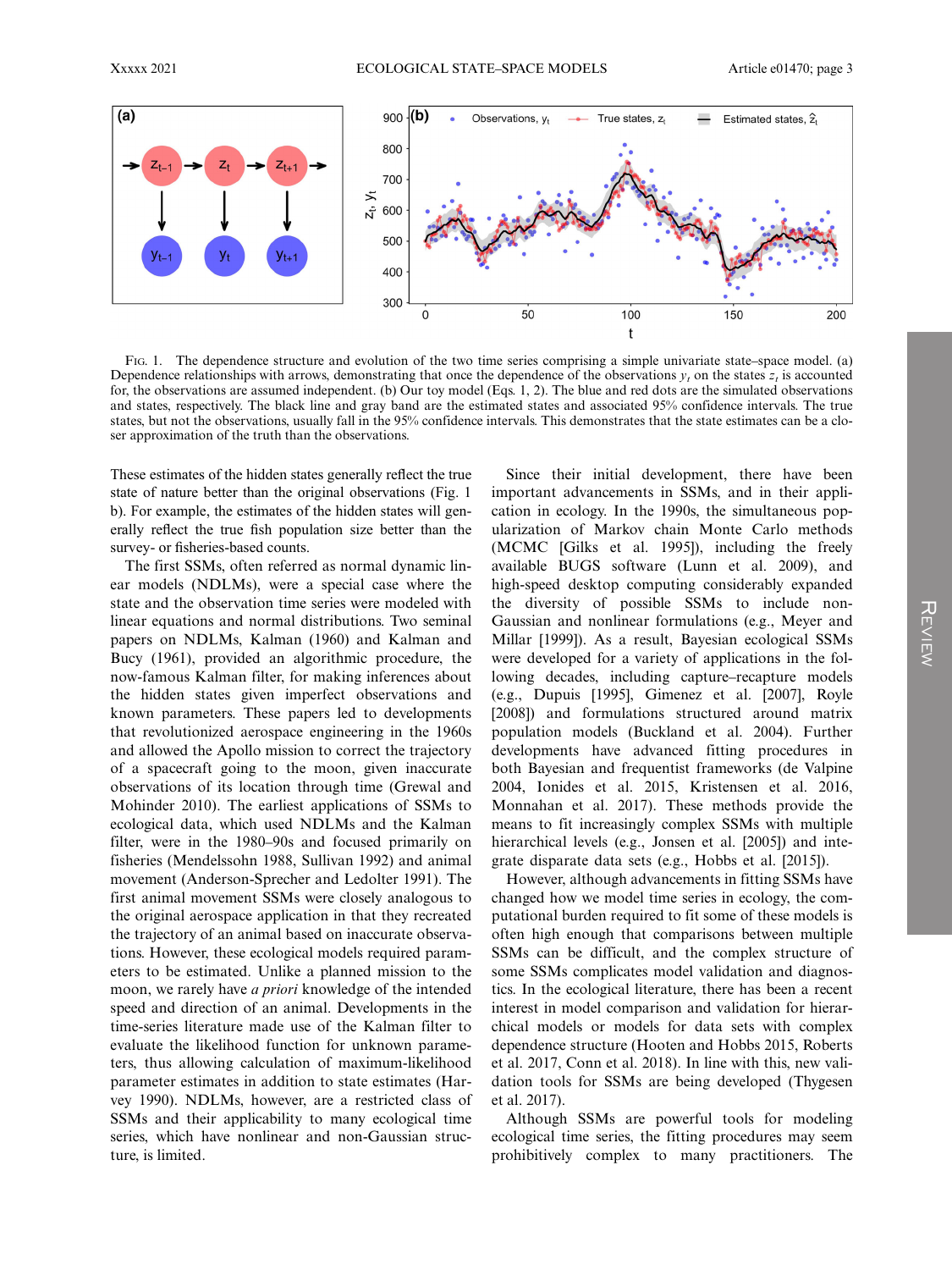

FIG. 1. The dependence structure and evolution of the two time series comprising a simple univariate state–space model. (a) Dependence relationships with arrows, demonstrating that once the dependence of the observations  $y_t$  on the states  $z_t$  is accounted for, the observations are assumed independent. (b) Our toy model (Eqs. 1, 2). The blue and red dots are the simulated observations and states, respectively. The black line and gray band are the estimated states and associated 95% confidence intervals. The true states, but not the observations, usually fall in the 95% confidence intervals. This demonstrates that the state estimates can be a closer approximation of the truth than the observations.

These estimates of the hidden states generally reflect the true state of nature better than the original observations (Fig. 1 b). For example, the estimates of the hidden states will generally reflect the true fish population size better than the survey- or fisheries-based counts.

The first SSMs, often referred as normal dynamic linear models (NDLMs), were a special case where the state and the observation time series were modeled with linear equations and normal distributions. Two seminal papers on NDLMs, Kalman (1960) and Kalman and Bucy (1961), provided an algorithmic procedure, the now-famous Kalman filter, for making inferences about the hidden states given imperfect observations and known parameters. These papers led to developments that revolutionized aerospace engineering in the 1960s and allowed the Apollo mission to correct the trajectory of a spacecraft going to the moon, given inaccurate observations of its location through time (Grewal and Mohinder 2010). The earliest applications of SSMs to ecological data, which used NDLMs and the Kalman filter, were in the 1980–90s and focused primarily on fisheries (Mendelssohn 1988, Sullivan 1992) and animal movement (Anderson-Sprecher and Ledolter 1991). The first animal movement SSMs were closely analogous to the original aerospace application in that they recreated the trajectory of an animal based on inaccurate observations. However, these ecological models required parameters to be estimated. Unlike a planned mission to the moon, we rarely have a priori knowledge of the intended speed and direction of an animal. Developments in the time-series literature made use of the Kalman filter to evaluate the likelihood function for unknown parameters, thus allowing calculation of maximum-likelihood parameter estimates in addition to state estimates (Harvey 1990). NDLMs, however, are a restricted class of SSMs and their applicability to many ecological time series, which have nonlinear and non-Gaussian structure, is limited.

Since their initial development, there have been important advancements in SSMs, and in their application in ecology. In the 1990s, the simultaneous popularization of Markov chain Monte Carlo methods (MCMC [Gilks et al. 1995]), including the freely available BUGS software (Lunn et al. 2009), and high-speed desktop computing considerably expanded the diversity of possible SSMs to include non-Gaussian and nonlinear formulations (e.g., Meyer and Millar [1999]). As a result, Bayesian ecological SSMs were developed for a variety of applications in the following decades, including capture–recapture models (e.g., Dupuis [1995], Gimenez et al. [2007], Royle [2008]) and formulations structured around matrix population models (Buckland et al. 2004). Further developments have advanced fitting procedures in both Bayesian and frequentist frameworks (de Valpine 2004, Ionides et al. 2015, Kristensen et al. 2016, Monnahan et al. 2017). These methods provide the means to fit increasingly complex SSMs with multiple hierarchical levels (e.g., Jonsen et al. [2005]) and integrate disparate data sets (e.g., Hobbs et al. [2015]).

However, although advancements in fitting SSMs have changed how we model time series in ecology, the computational burden required to fit some of these models is often high enough that comparisons between multiple SSMs can be difficult, and the complex structure of some SSMs complicates model validation and diagnostics. In the ecological literature, there has been a recent interest in model comparison and validation for hierarchical models or models for data sets with complex dependence structure (Hooten and Hobbs 2015, Roberts et al. 2017, Conn et al. 2018). In line with this, new validation tools for SSMs are being developed (Thygesen et al. 2017).

Although SSMs are powerful tools for modeling ecological time series, the fitting procedures may seem prohibitively complex to many practitioners. The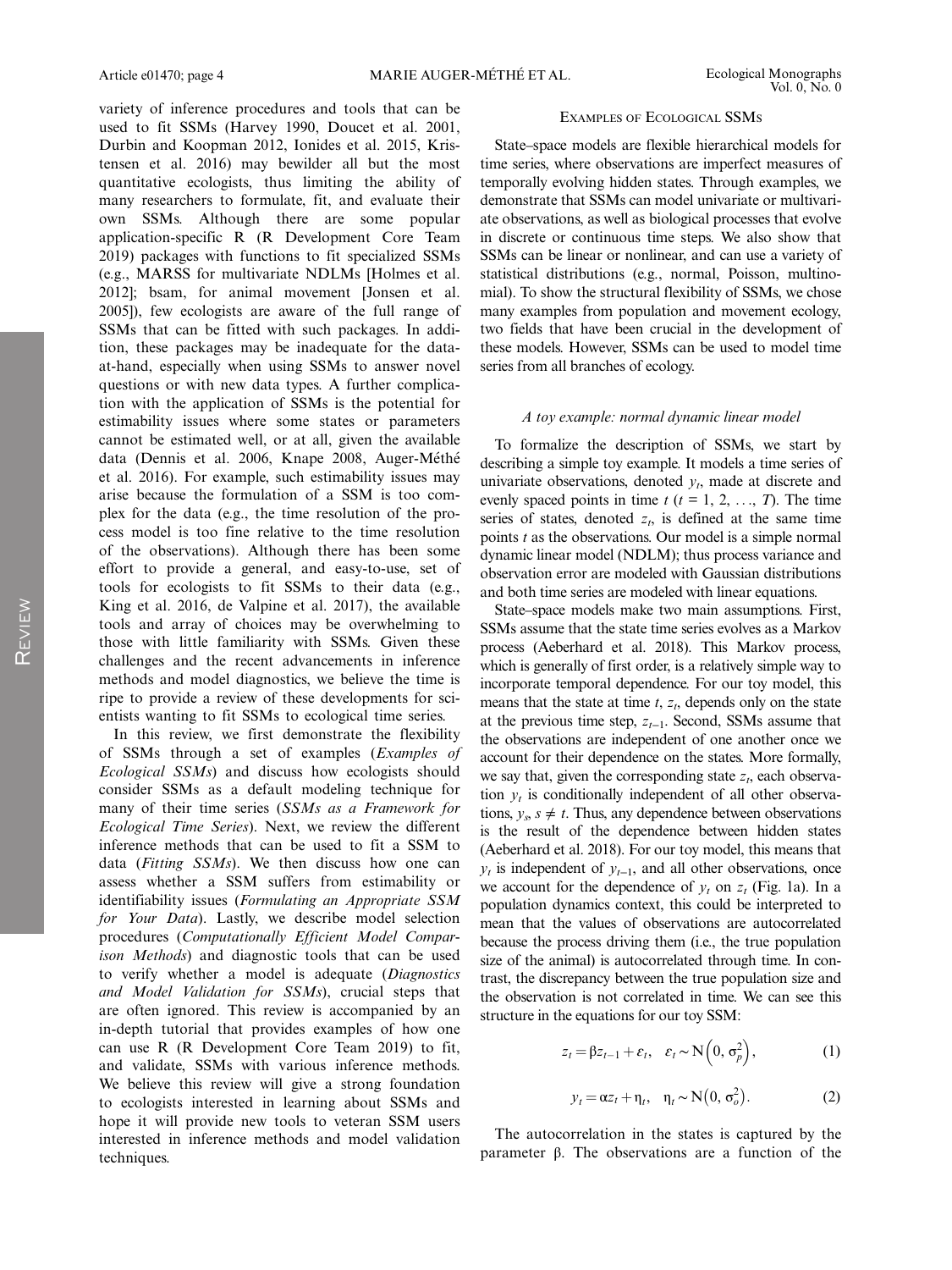variety of inference procedures and tools that can be used to fit SSMs (Harvey 1990, Doucet et al. 2001, Durbin and Koopman 2012, Ionides et al. 2015, Kristensen et al. 2016) may bewilder all but the most quantitative ecologists, thus limiting the ability of many researchers to formulate, fit, and evaluate their own SSMs. Although there are some popular application-specific R (R Development Core Team 2019) packages with functions to fit specialized SSMs (e.g., MARSS for multivariate NDLMs [Holmes et al. 2012]; bsam, for animal movement [Jonsen et al. 2005]), few ecologists are aware of the full range of SSMs that can be fitted with such packages. In addition, these packages may be inadequate for the dataat-hand, especially when using SSMs to answer novel questions or with new data types. A further complication with the application of SSMs is the potential for estimability issues where some states or parameters cannot be estimated well, or at all, given the available data (Dennis et al. 2006, Knape 2008, Auger-Méthé et al. 2016). For example, such estimability issues may arise because the formulation of a SSM is too complex for the data (e.g., the time resolution of the process model is too fine relative to the time resolution of the observations). Although there has been some effort to provide a general, and easy-to-use, set of tools for ecologists to fit SSMs to their data (e.g., King et al. 2016, de Valpine et al. 2017), the available tools and array of choices may be overwhelming to those with little familiarity with SSMs. Given these challenges and the recent advancements in inference methods and model diagnostics, we believe the time is ripe to provide a review of these developments for scientists wanting to fit SSMs to ecological time series.

In this review, we first demonstrate the flexibility of SSMs through a set of examples (Examples of Ecological SSMs) and discuss how ecologists should consider SSMs as a default modeling technique for many of their time series (SSMs as a Framework for Ecological Time Series). Next, we review the different inference methods that can be used to fit a SSM to data (Fitting SSMs). We then discuss how one can assess whether a SSM suffers from estimability or identifiability issues (Formulating an Appropriate SSM for Your Data). Lastly, we describe model selection procedures (Computationally Efficient Model Comparison Methods) and diagnostic tools that can be used to verify whether a model is adequate (Diagnostics and Model Validation for SSMs), crucial steps that are often ignored. This review is accompanied by an in-depth tutorial that provides examples of how one can use R (R Development Core Team 2019) to fit, and validate, SSMs with various inference methods. We believe this review will give a strong foundation to ecologists interested in learning about SSMs and hope it will provide new tools to veteran SSM users interested in inference methods and model validation techniques.

#### EXAMPLES OF ECOLOGICAL SSMS

State–space models are flexible hierarchical models for time series, where observations are imperfect measures of temporally evolving hidden states. Through examples, we demonstrate that SSMs can model univariate or multivariate observations, as well as biological processes that evolve in discrete or continuous time steps. We also show that SSMs can be linear or nonlinear, and can use a variety of statistical distributions (e.g., normal, Poisson, multinomial). To show the structural flexibility of SSMs, we chose many examples from population and movement ecology, two fields that have been crucial in the development of these models. However, SSMs can be used to model time series from all branches of ecology.

#### A toy example: normal dynamic linear model

To formalize the description of SSMs, we start by describing a simple toy example. It models a time series of univariate observations, denoted  $y_t$ , made at discrete and evenly spaced points in time  $t$  ( $t = 1, 2, ..., T$ ). The time series of states, denoted  $z_t$ , is defined at the same time points  $t$  as the observations. Our model is a simple normal dynamic linear model (NDLM); thus process variance and observation error are modeled with Gaussian distributions and both time series are modeled with linear equations.

State–space models make two main assumptions. First, SSMs assume that the state time series evolves as a Markov process (Aeberhard et al. 2018). This Markov process, which is generally of first order, is a relatively simple way to incorporate temporal dependence. For our toy model, this means that the state at time  $t$ ,  $z_t$ , depends only on the state at the previous time step,  $z_{t-1}$ . Second, SSMs assume that the observations are independent of one another once we account for their dependence on the states. More formally, we say that, given the corresponding state  $z_t$ , each observation  $y_t$  is conditionally independent of all other observations,  $y_s$ ,  $s \neq t$ . Thus, any dependence between observations is the result of the dependence between hidden states (Aeberhard et al. 2018). For our toy model, this means that  $y_t$  is independent of  $y_{t-1}$ , and all other observations, once we account for the dependence of  $y_t$  on  $z_t$  (Fig. 1a). In a population dynamics context, this could be interpreted to mean that the values of observations are autocorrelated because the process driving them (i.e., the true population size of the animal) is autocorrelated through time. In contrast, the discrepancy between the true population size and the observation is not correlated in time. We can see this structure in the equations for our toy SSM:

$$
z_t = \beta z_{t-1} + \varepsilon_t, \quad \varepsilon_t \sim \mathcal{N}\Big(0, \sigma_p^2\Big), \tag{1}
$$

$$
y_t = \alpha z_t + \eta_t, \quad \eta_t \sim \mathcal{N}\big(0, \sigma_o^2\big). \tag{2}
$$

The autocorrelation in the states is captured by the parameter β. The observations are a function of the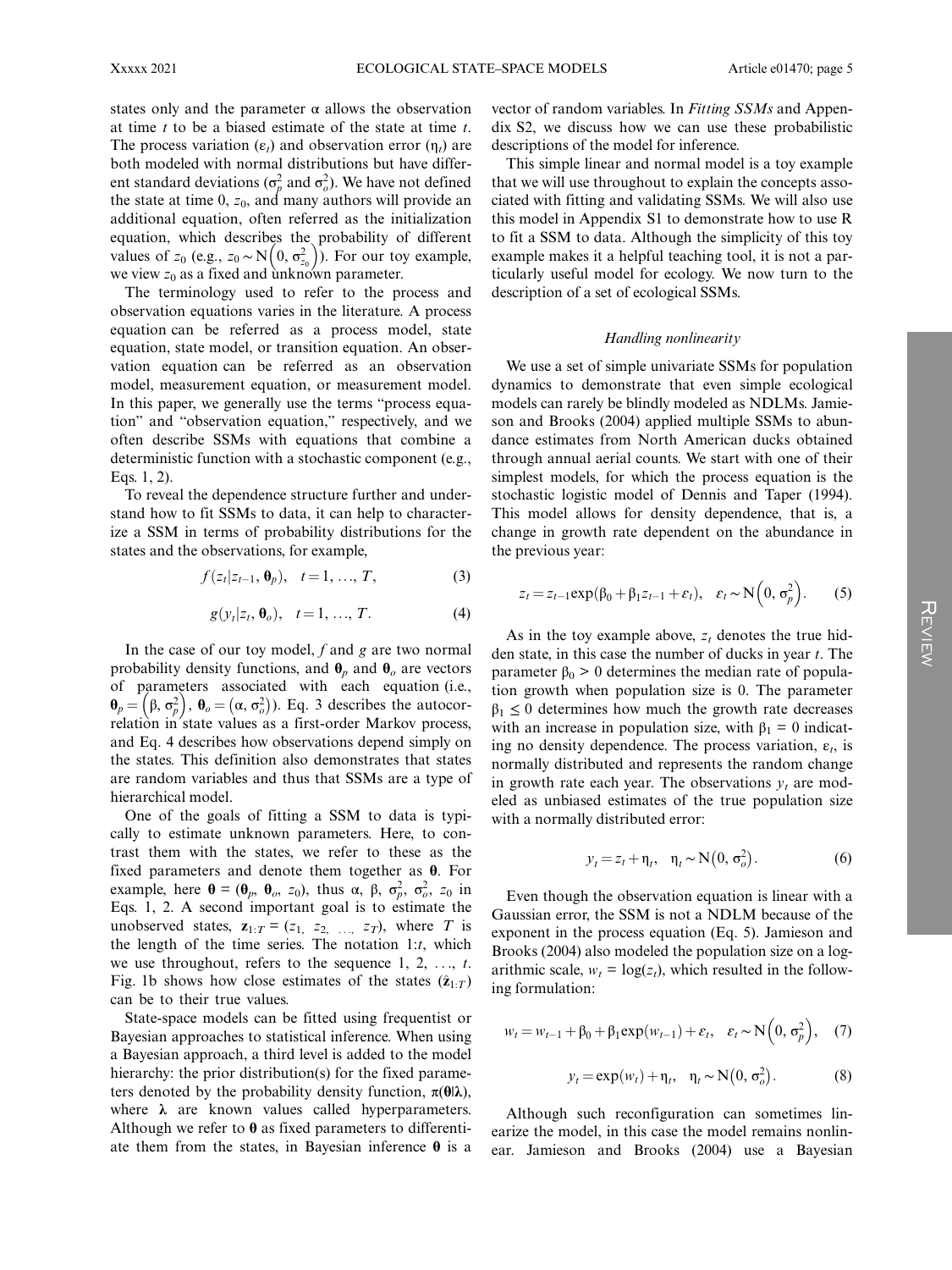states only and the parameter  $\alpha$  allows the observation at time  $t$  to be a biased estimate of the state at time  $t$ . The process variation  $(\varepsilon_t)$  and observation error  $(\eta_t)$  are both modeled with normal distributions but have different standard deviations ( $\sigma_p^2$  and  $\sigma_o^2$ ). We have not defined the state at time 0,  $z_0$ , and many authors will provide an additional equation, often referred as the initialization equation, which describes the probability of different values of  $z_0$  (e.g.,  $z_0 \sim N(0, \sigma_{z_0}^2)$ ). For our toy example, we view  $z_0$  as a fixed and unknown parameter.

The terminology used to refer to the process and observation equations varies in the literature. A process equation can be referred as a process model, state equation, state model, or transition equation. An observation equation can be referred as an observation model, measurement equation, or measurement model. In this paper, we generally use the terms "process equation" and "observation equation," respectively, and we often describe SSMs with equations that combine a deterministic function with a stochastic component (e.g., Eqs. 1, 2).

To reveal the dependence structure further and understand how to fit SSMs to data, it can help to characterize a SSM in terms of probability distributions for the states and the observations, for example,

$$
f(z_t|z_{t-1}, \mathbf{\theta}_p), \quad t = 1, ..., T,
$$
 (3)

$$
g(y_t|z_t, \boldsymbol{\theta}_o), \quad t = 1, \dots, T. \tag{4}
$$

In the case of our toy model,  $f$  and  $g$  are two normal probability density functions, and  $\theta_n$  and  $\theta_o$  are vectors of parameters associated with each equation (i.e.,  $\mathbf{\theta}_p = (\beta, \sigma_p^2), \mathbf{\theta}_o = (\alpha, \sigma_o^2)$ ). Eq. 3 describes the autocorrelation in state values as a first-order Markov process, and Eq. 4 describes how observations depend simply on the states. This definition also demonstrates that states are random variables and thus that SSMs are a type of hierarchical model.

One of the goals of fitting a SSM to data is typically to estimate unknown parameters. Here, to contrast them with the states, we refer to these as the fixed parameters and denote them together as  $\theta$ . For example, here  $\mathbf{\theta} = (\mathbf{\theta}_p, \mathbf{\theta}_o, z_0)$ , thus  $\alpha, \beta, \sigma_p^2, \sigma_o^2, z_0$  in Eqs. 1, 2. A second important goal is to estimate the unobserved states,  $z_{1:T} = (z_1, z_2, ..., z_T)$ , where T is the length of the time series. The notation  $1:t$ , which we use throughout, refers to the sequence  $1, 2, \ldots, t$ . Fig. 1b shows how close estimates of the states  $(\hat{z}_{1:T})$ can be to their true values.

State-space models can be fitted using frequentist or Bayesian approaches to statistical inference. When using a Bayesian approach, a third level is added to the model hierarchy: the prior distribution(s) for the fixed parameters denoted by the probability density function,  $\pi(\theta|\lambda)$ , where  $\lambda$  are known values called hyperparameters. Although we refer to  $\theta$  as fixed parameters to differentiate them from the states, in Bayesian inference  $\theta$  is a

vector of random variables. In Fitting SSMs and Appendix S2, we discuss how we can use these probabilistic descriptions of the model for inference.

This simple linear and normal model is a toy example that we will use throughout to explain the concepts associated with fitting and validating SSMs. We will also use this model in Appendix S1 to demonstrate how to use R to fit a SSM to data. Although the simplicity of this toy example makes it a helpful teaching tool, it is not a particularly useful model for ecology. We now turn to the description of a set of ecological SSMs.

#### Handling nonlinearity

We use a set of simple univariate SSMs for population dynamics to demonstrate that even simple ecological models can rarely be blindly modeled as NDLMs. Jamieson and Brooks (2004) applied multiple SSMs to abundance estimates from North American ducks obtained through annual aerial counts. We start with one of their simplest models, for which the process equation is the stochastic logistic model of Dennis and Taper (1994). This model allows for density dependence, that is, a change in growth rate dependent on the abundance in the previous year:

$$
z_t = z_{t-1} \exp(\beta_0 + \beta_1 z_{t-1} + \varepsilon_t), \quad \varepsilon_t \sim \mathcal{N}\left(0, \sigma_p^2\right). \tag{5}
$$

As in the toy example above,  $z_t$  denotes the true hidden state, in this case the number of ducks in year  $t$ . The parameter  $β<sub>0</sub> > 0$  determines the median rate of population growth when population size is 0. The parameter  $\beta_1 \leq 0$  determines how much the growth rate decreases with an increase in population size, with  $\beta_1 = 0$  indicating no density dependence. The process variation,  $\varepsilon_t$ , is normally distributed and represents the random change in growth rate each year. The observations  $y_t$  are modeled as unbiased estimates of the true population size with a normally distributed error:

$$
y_t = z_t + \eta_t, \quad \eta_t \sim \mathcal{N}\big(0, \sigma_o^2\big). \tag{6}
$$

Even though the observation equation is linear with a Gaussian error, the SSM is not a NDLM because of the exponent in the process equation (Eq. 5). Jamieson and Brooks (2004) also modeled the population size on a logarithmic scale,  $w_t = \log(z_t)$ , which resulted in the following formulation:

$$
w_t = w_{t-1} + \beta_0 + \beta_1 \exp(w_{t-1}) + \varepsilon_t, \quad \varepsilon_t \sim \mathbf{N}\left(0, \sigma_p^2\right), \quad (7)
$$

$$
y_t = \exp(w_t) + \eta_t, \quad \eta_t \sim N(0, \sigma_o^2). \tag{8}
$$

Although such reconfiguration can sometimes linearize the model, in this case the model remains nonlinear. Jamieson and Brooks (2004) use a Bayesian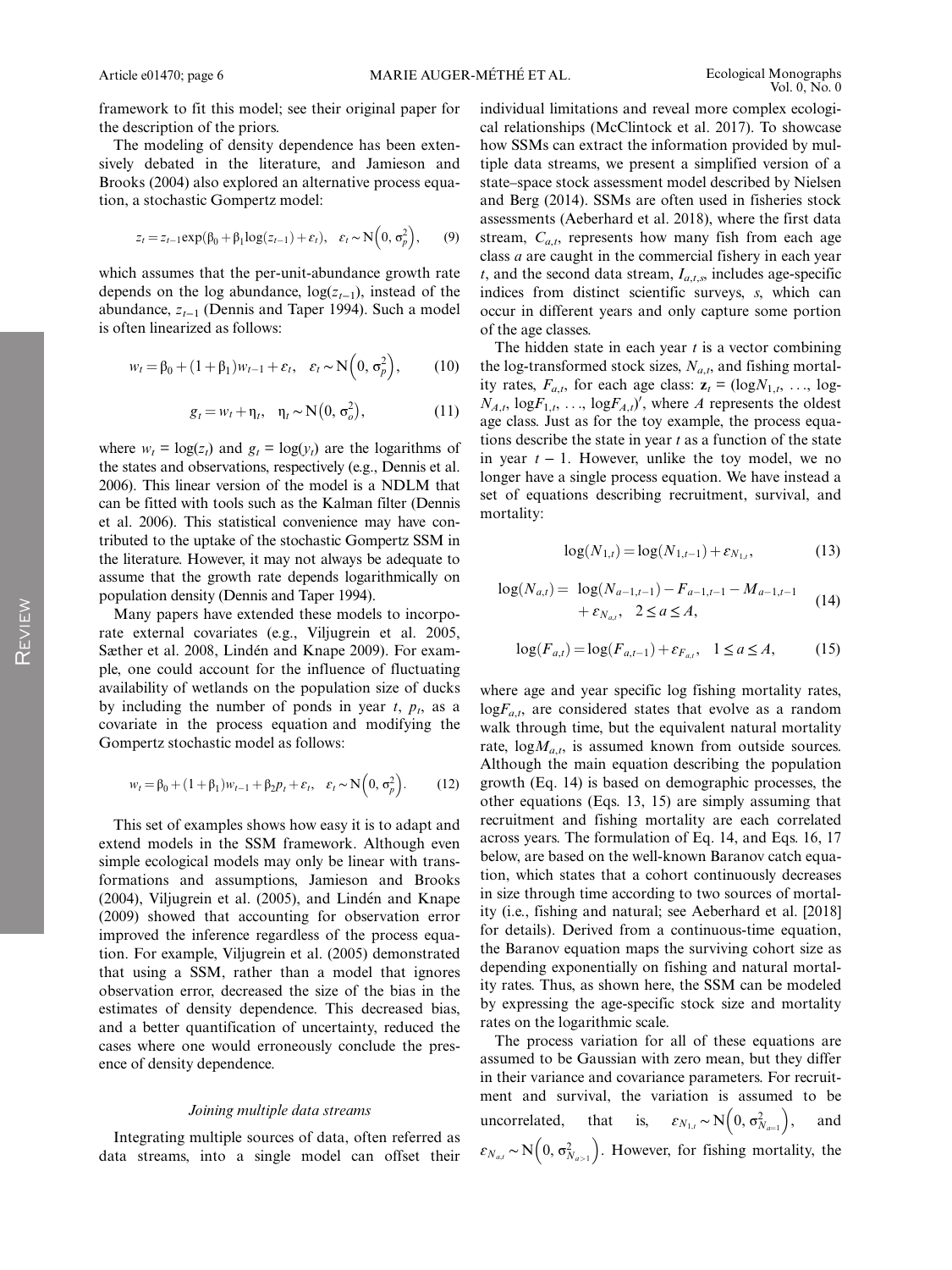framework to fit this model; see their original paper for the description of the priors.

The modeling of density dependence has been extensively debated in the literature, and Jamieson and Brooks (2004) also explored an alternative process equation, a stochastic Gompertz model:

$$
z_t = z_{t-1} \exp(\beta_0 + \beta_1 \log(z_{t-1}) + \varepsilon_t), \quad \varepsilon_t \sim \mathbf{N}\left(0, \sigma_p^2\right), \tag{9}
$$

which assumes that the per-unit-abundance growth rate depends on the log abundance,  $log(z_{t-1})$ , instead of the abundance,  $z_{t-1}$  (Dennis and Taper 1994). Such a model is often linearized as follows:

$$
w_t = \beta_0 + (1 + \beta_1)w_{t-1} + \varepsilon_t, \quad \varepsilon_t \sim \mathbf{N}\left(0, \sigma_p^2\right),\tag{10}
$$

$$
g_t = w_t + \eta_t, \quad \eta_t \sim \mathcal{N}\big(0, \sigma_o^2\big), \tag{11}
$$

where  $w_t = \log(z_t)$  and  $g_t = \log(y_t)$  are the logarithms of the states and observations, respectively (e.g., Dennis et al. 2006). This linear version of the model is a NDLM that can be fitted with tools such as the Kalman filter (Dennis et al. 2006). This statistical convenience may have contributed to the uptake of the stochastic Gompertz SSM in the literature. However, it may not always be adequate to assume that the growth rate depends logarithmically on population density (Dennis and Taper 1994).

Many papers have extended these models to incorporate external covariates (e.g., Viljugrein et al. 2005, Sæther et al. 2008, Lindén and Knape 2009). For example, one could account for the influence of fluctuating availability of wetlands on the population size of ducks by including the number of ponds in year  $t$ ,  $p_t$ , as a covariate in the process equation and modifying the Gompertz stochastic model as follows:

$$
w_t = \beta_0 + (1 + \beta_1)w_{t-1} + \beta_2 p_t + \varepsilon_t, \quad \varepsilon_t \sim \mathbf{N}\left(0, \sigma_p^2\right). \tag{12}
$$

This set of examples shows how easy it is to adapt and extend models in the SSM framework. Although even simple ecological models may only be linear with transformations and assumptions, Jamieson and Brooks (2004), Viljugrein et al. (2005), and Lindén and Knape (2009) showed that accounting for observation error improved the inference regardless of the process equation. For example, Viljugrein et al. (2005) demonstrated that using a SSM, rather than a model that ignores observation error, decreased the size of the bias in the estimates of density dependence. This decreased bias, and a better quantification of uncertainty, reduced the cases where one would erroneously conclude the presence of density dependence.

#### Joining multiple data streams

Integrating multiple sources of data, often referred as data streams, into a single model can offset their individual limitations and reveal more complex ecological relationships (McClintock et al. 2017). To showcase how SSMs can extract the information provided by multiple data streams, we present a simplified version of a state–space stock assessment model described by Nielsen and Berg (2014). SSMs are often used in fisheries stock assessments (Aeberhard et al. 2018), where the first data stream,  $C_{a,t}$ , represents how many fish from each age class a are caught in the commercial fishery in each year t, and the second data stream,  $I_{a,t,s}$ , includes age-specific indices from distinct scientific surveys, s, which can occur in different years and only capture some portion of the age classes.

The hidden state in each year  $t$  is a vector combining the log-transformed stock sizes,  $N_{a,t}$ , and fishing mortality rates,  $F_{a,t}$ , for each age class:  $z_t = (\log N_{1,t}, \ldots, \log t)$  $N_{A,t}$ ,  $logF_{1,t}$ , ...,  $logF_{A,t}$ , where A represents the oldest age class. Just as for the toy example, the process equations describe the state in year  $t$  as a function of the state in year  $t - 1$ . However, unlike the toy model, we no longer have a single process equation. We have instead a set of equations describing recruitment, survival, and mortality:

$$
log(N_{1,t}) = log(N_{1,t-1}) + \varepsilon_{N_{1,t}},
$$
\n(13)

$$
log(N_{a,t}) = log(N_{a-1,t-1}) - F_{a-1,t-1} - M_{a-1,t-1}
$$
  
+  $\varepsilon_{N_{a,t}}, 2 \le a \le A,$  (14)

$$
\log(F_{a,t}) = \log(F_{a,t-1}) + \varepsilon_{F_{a,t}}, \quad 1 \le a \le A,\tag{15}
$$

where age and year specific log fishing mortality rates,  $logF_{a,t}$ , are considered states that evolve as a random walk through time, but the equivalent natural mortality rate,  $log M_{a,t}$ , is assumed known from outside sources. Although the main equation describing the population growth (Eq. 14) is based on demographic processes, the other equations (Eqs. 13, 15) are simply assuming that recruitment and fishing mortality are each correlated across years. The formulation of Eq. 14, and Eqs. 16, 17 below, are based on the well-known Baranov catch equation, which states that a cohort continuously decreases in size through time according to two sources of mortality (i.e., fishing and natural; see Aeberhard et al. [2018] for details). Derived from a continuous-time equation, the Baranov equation maps the surviving cohort size as depending exponentially on fishing and natural mortality rates. Thus, as shown here, the SSM can be modeled by expressing the age-specific stock size and mortality rates on the logarithmic scale.

The process variation for all of these equations are assumed to be Gaussian with zero mean, but they differ in their variance and covariance parameters. For recruitment and survival, the variation is assumed to be uncorrelated, that is,  $\varepsilon_{N_{1,t}} \sim N(0, \sigma_{N_{a=1}}^2)$ , and  $\varepsilon_{N_{a,t}} \sim N\Big(0, \sigma_{N_{a>1}}^2\Big)$ . However, for fishing mortality, the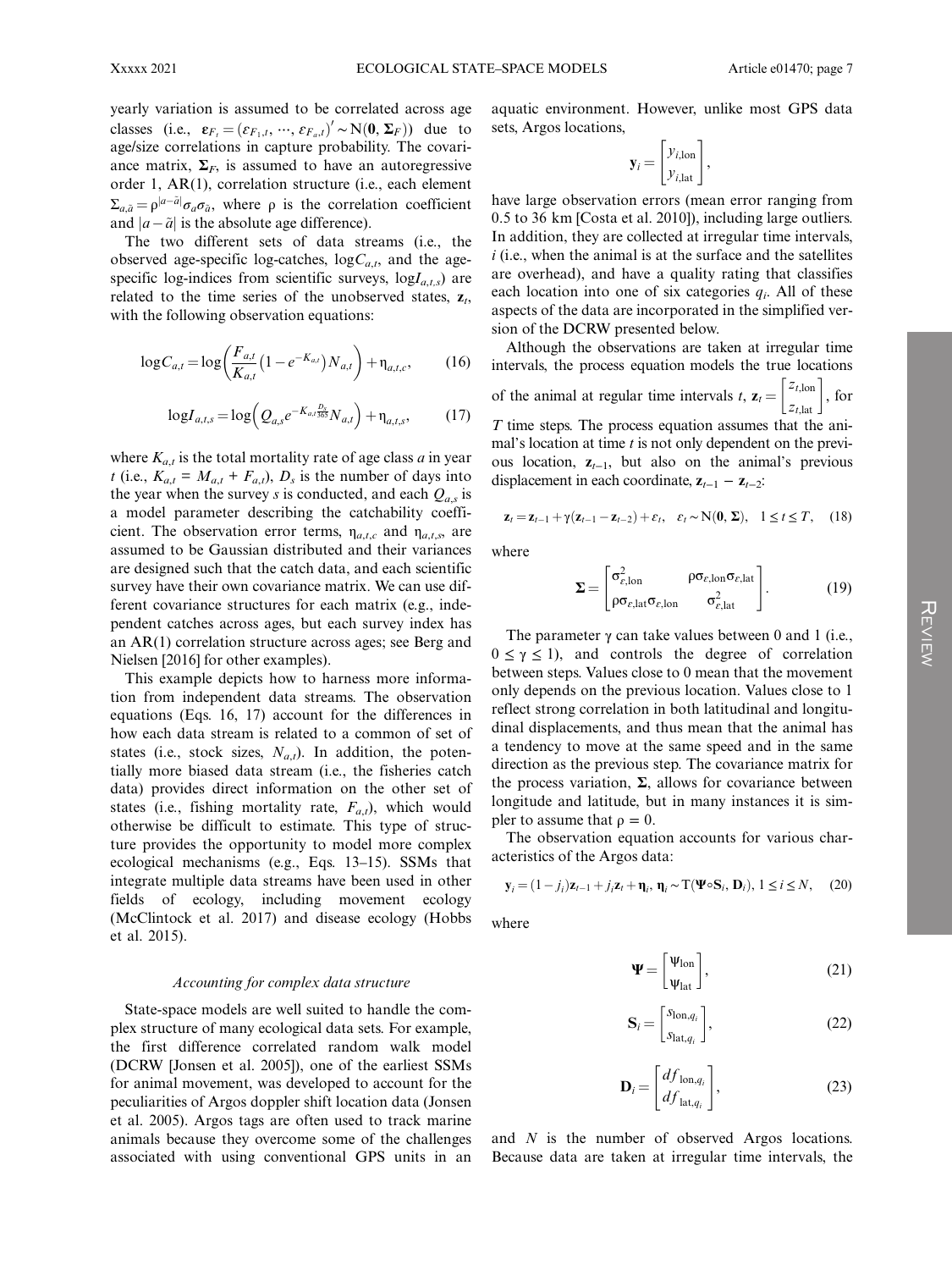yearly variation is assumed to be correlated across age classes (i.e.,  $\mathbf{\varepsilon}_{F_t} = (\varepsilon_{F_1,t}, \dots, \varepsilon_{F_a,t})' \sim N(\mathbf{0}, \Sigma_F)$ ) due to age/size correlations in capture probability. The covariance matrix,  $\Sigma_F$ , is assumed to have an autoregressive order 1, AR(1), correlation structure (i.e., each element  $\Sigma_{a,\tilde{a}} = \rho^{|a-\tilde{a}|} \sigma_a \sigma_{\tilde{a}}$ , where  $\rho$  is the correlation coefficient and  $|a-\tilde{a}|$  is the absolute age difference).

The two different sets of data streams (i.e., the observed age-specific log-catches,  $logC_{a,t}$ , and the agespecific log-indices from scientific surveys,  $logI_{a,t,s}$ ) are related to the time series of the unobserved states,  $z_t$ , with the following observation equations:

$$
\log C_{a,t} = \log \left( \frac{F_{a,t}}{K_{a,t}} \left( 1 - e^{-K_{a,t}} \right) N_{a,t} \right) + \eta_{a,t,c},\tag{16}
$$

$$
\log I_{a,t,s} = \log \left( Q_{a,s} e^{-K_{a,t} \frac{D_s}{365}} N_{a,t} \right) + \eta_{a,t,s},\tag{17}
$$

where  $K_{a,t}$  is the total mortality rate of age class a in year t (i.e.,  $K_{a,t} = M_{a,t} + F_{a,t}$ ),  $D_s$  is the number of days into the year when the survey s is conducted, and each  $Q_{a,s}$  is a model parameter describing the catchability coefficient. The observation error terms,  $\eta_{a,t,c}$  and  $\eta_{a,t,s}$ , are assumed to be Gaussian distributed and their variances are designed such that the catch data, and each scientific survey have their own covariance matrix. We can use different covariance structures for each matrix (e.g., independent catches across ages, but each survey index has an AR(1) correlation structure across ages; see Berg and Nielsen [2016] for other examples).

This example depicts how to harness more information from independent data streams. The observation equations (Eqs. 16, 17) account for the differences in how each data stream is related to a common of set of states (i.e., stock sizes,  $N_{a,t}$ ). In addition, the potentially more biased data stream (i.e., the fisheries catch data) provides direct information on the other set of states (i.e., fishing mortality rate,  $F_{a,t}$ ), which would otherwise be difficult to estimate. This type of structure provides the opportunity to model more complex ecological mechanisms (e.g., Eqs. 13–15). SSMs that integrate multiple data streams have been used in other fields of ecology, including movement ecology (McClintock et al. 2017) and disease ecology (Hobbs et al. 2015).

#### Accounting for complex data structure

State-space models are well suited to handle the complex structure of many ecological data sets. For example, the first difference correlated random walk model (DCRW [Jonsen et al. 2005]), one of the earliest SSMs for animal movement, was developed to account for the peculiarities of Argos doppler shift location data (Jonsen et al. 2005). Argos tags are often used to track marine animals because they overcome some of the challenges associated with using conventional GPS units in an aquatic environment. However, unlike most GPS data sets, Argos locations,

$$
\mathbf{y}_i = \begin{bmatrix} y_{i,\text{lon}} \\ y_{i,\text{lat}} \end{bmatrix},
$$

have large observation errors (mean error ranging from 0.5 to 36 km [Costa et al. 2010]), including large outliers. In addition, they are collected at irregular time intervals,  $i$  (i.e., when the animal is at the surface and the satellites are overhead), and have a quality rating that classifies each location into one of six categories  $q_i$ . All of these aspects of the data are incorporated in the simplified version of the DCRW presented below.

Although the observations are taken at irregular time intervals, the process equation models the true locations of the animal at regular time intervals t,  $\mathbf{z}_t = \begin{bmatrix} z_{t,\text{lon}} \\ z_{t,\text{lat}} \end{bmatrix}$ , for  $T$  time steps. The process equation assumes that the animal's location at time  $t$  is not only dependent on the previous location,  $z_{t-1}$ , but also on the animal's previous displacement in each coordinate,  $z_{t-1} - z_{t-2}$ :

$$
\mathbf{z}_t = \mathbf{z}_{t-1} + \gamma (\mathbf{z}_{t-1} - \mathbf{z}_{t-2}) + \varepsilon_t, \quad \varepsilon_t \sim \mathbf{N}(\mathbf{0}, \Sigma), \quad 1 \le t \le T, \quad (18)
$$

where

$$
\Sigma = \begin{bmatrix} \sigma_{\varepsilon, \text{lon}}^2 & \rho \sigma_{\varepsilon, \text{lon}} \sigma_{\varepsilon, \text{lat}} \\ \rho \sigma_{\varepsilon, \text{lat}} \sigma_{\varepsilon, \text{lon}} & \sigma_{\varepsilon, \text{lat}}^2 \end{bmatrix} .
$$
 (19)

The parameter  $\gamma$  can take values between 0 and 1 (i.e.,  $0 \le \gamma \le 1$ , and controls the degree of correlation between steps. Values close to 0 mean that the movement only depends on the previous location. Values close to 1 reflect strong correlation in both latitudinal and longitudinal displacements, and thus mean that the animal has a tendency to move at the same speed and in the same direction as the previous step. The covariance matrix for the process variation,  $\Sigma$ , allows for covariance between longitude and latitude, but in many instances it is simpler to assume that  $\rho = 0$ .

The observation equation accounts for various characteristics of the Argos data:

$$
\mathbf{y}_i = (1 - j_i)\mathbf{z}_{t-1} + j_i \mathbf{z}_t + \mathbf{\eta}_i, \, \mathbf{\eta}_i \sim \mathbf{T}(\mathbf{\Psi} \circ \mathbf{S}_i, \, \mathbf{D}_i), \, 1 \le i \le N, \tag{20}
$$

where

$$
\Psi = \begin{bmatrix} \Psi_{\text{lon}} \\ \Psi_{\text{lat}} \end{bmatrix},\tag{21}
$$

$$
\mathbf{S}_{i} = \begin{bmatrix} S_{\text{lon}, q_{i}} \\ S_{\text{lat}, q_{i}} \end{bmatrix}, \tag{22}
$$

$$
\mathbf{D}_{i} = \begin{bmatrix} df_{\text{lon},q_{i}} \\ df_{\text{lat},q_{i}} \end{bmatrix},
$$
(23)

and N is the number of observed Argos locations. Because data are taken at irregular time intervals, the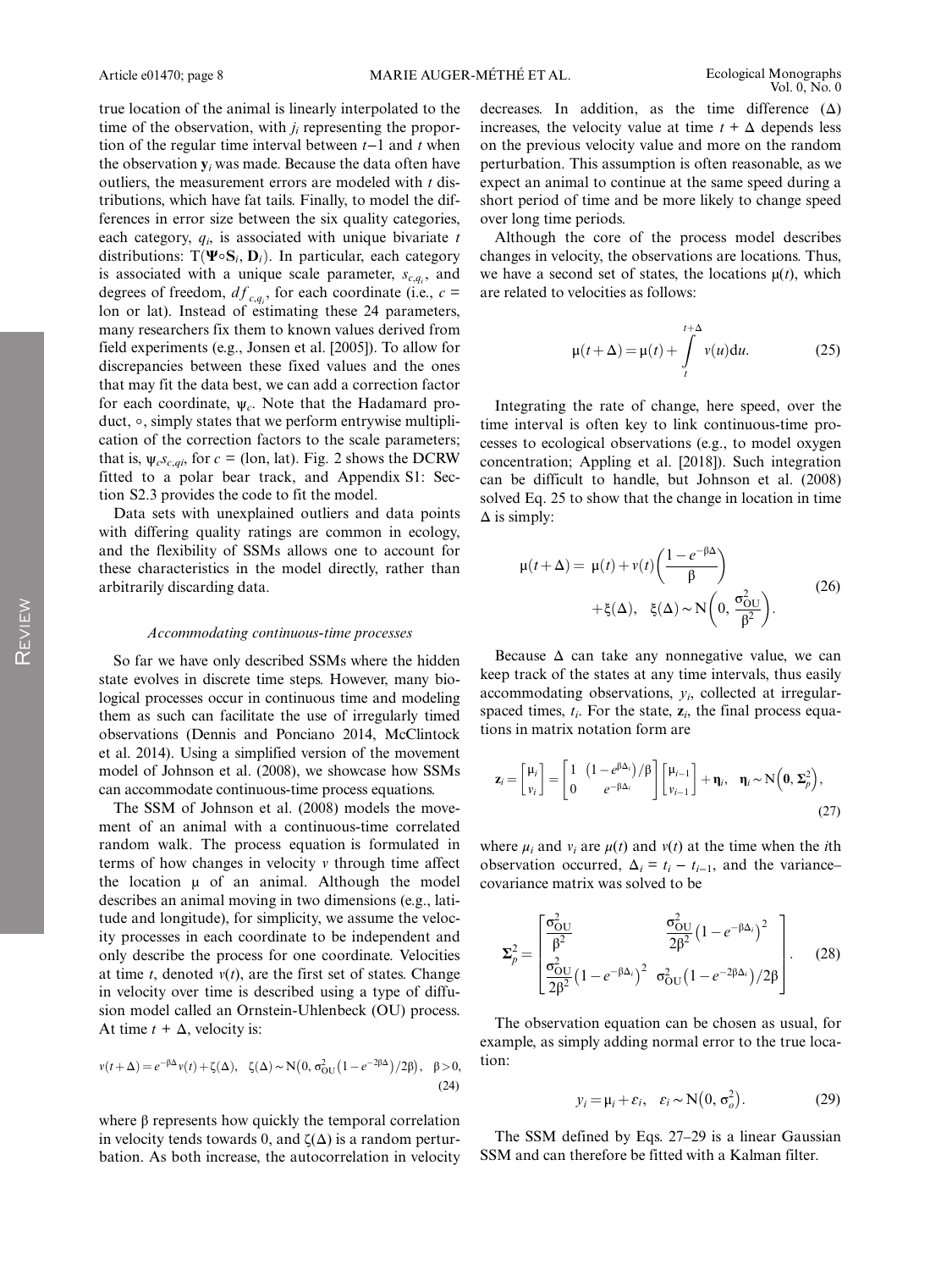true location of the animal is linearly interpolated to the time of the observation, with  $j_i$  representing the proportion of the regular time interval between t–1 and t when the observation  $y_i$  was made. Because the data often have outliers, the measurement errors are modeled with  $t$  distributions, which have fat tails. Finally, to model the differences in error size between the six quality categories, each category,  $q_i$ , is associated with unique bivariate t distributions: T( $\Psi$ ∘ $S_i$ ,  $D_i$ ). In particular, each category is associated with a unique scale parameter,  $s_{c,q_i}$ , and degrees of freedom,  $df_{c,q_i}$ , for each coordinate (i.e.,  $c =$ lon or lat). Instead of estimating these 24 parameters, many researchers fix them to known values derived from field experiments (e.g., Jonsen et al. [2005]). To allow for discrepancies between these fixed values and the ones that may fit the data best, we can add a correction factor for each coordinate,  $\psi_c$ . Note that the Hadamard product, ∘, simply states that we perform entrywise multiplication of the correction factors to the scale parameters; that is,  $\psi_c s_{c,qi}$ , for  $c =$  (lon, lat). Fig. 2 shows the DCRW fitted to a polar bear track, and Appendix S1: Section S2.3 provides the code to fit the model.

Data sets with unexplained outliers and data points with differing quality ratings are common in ecology, and the flexibility of SSMs allows one to account for these characteristics in the model directly, rather than arbitrarily discarding data.

#### Accommodating continuous-time processes

So far we have only described SSMs where the hidden state evolves in discrete time steps. However, many biological processes occur in continuous time and modeling them as such can facilitate the use of irregularly timed observations (Dennis and Ponciano 2014, McClintock et al. 2014). Using a simplified version of the movement model of Johnson et al. (2008), we showcase how SSMs can accommodate continuous-time process equations.

The SSM of Johnson et al. (2008) models the movement of an animal with a continuous-time correlated random walk. The process equation is formulated in terms of how changes in velocity  $\nu$  through time affect the location  $\mu$  of an animal. Although the model describes an animal moving in two dimensions (e.g., latitude and longitude), for simplicity, we assume the velocity processes in each coordinate to be independent and only describe the process for one coordinate. Velocities at time t, denoted  $v(t)$ , are the first set of states. Change in velocity over time is described using a type of diffusion model called an Ornstein-Uhlenbeck (OU) process. At time  $t + \Delta$ , velocity is:

$$
v(t+\Delta) = e^{-\beta \Delta} v(t) + \zeta(\Delta), \quad \zeta(\Delta) \sim N\big(0, \sigma_{\text{OU}}^2 \big(1 - e^{-2\beta \Delta}\big)/2\beta\big), \quad \beta > 0,
$$
\n(24)

where  $\beta$  represents how quickly the temporal correlation in velocity tends towards 0, and  $\zeta(\Delta)$  is a random perturbation. As both increase, the autocorrelation in velocity decreases. In addition, as the time difference  $(\Delta)$ increases, the velocity value at time  $t + \Delta$  depends less on the previous velocity value and more on the random perturbation. This assumption is often reasonable, as we expect an animal to continue at the same speed during a short period of time and be more likely to change speed over long time periods.

Although the core of the process model describes changes in velocity, the observations are locations. Thus, we have a second set of states, the locations  $\mu(t)$ , which are related to velocities as follows:

$$
\mu(t+\Delta) = \mu(t) + \int_{t}^{t+\Delta} v(u) \, \mathrm{d}u. \tag{25}
$$

Integrating the rate of change, here speed, over the time interval is often key to link continuous-time processes to ecological observations (e.g., to model oxygen concentration; Appling et al. [2018]). Such integration can be difficult to handle, but Johnson et al. (2008) solved Eq. 25 to show that the change in location in time  $\Delta$  is simply:

$$
\mu(t+\Delta) = \mu(t) + \nu(t) \left( \frac{1 - e^{-\beta \Delta}}{\beta} \right)
$$
  
 
$$
+ \xi(\Delta), \quad \xi(\Delta) \sim N \left( 0, \frac{\sigma_{\text{OU}}^2}{\beta^2} \right).
$$
 (26)

Because  $\Delta$  can take any nonnegative value, we can keep track of the states at any time intervals, thus easily accommodating observations,  $y_i$ , collected at irregularspaced times,  $t_i$ . For the state,  $z_i$ , the final process equations in matrix notation form are

$$
\mathbf{z}_{i} = \begin{bmatrix} \mu_{i} \\ \nu_{i} \end{bmatrix} = \begin{bmatrix} 1 & (1 - e^{\beta \Delta_{i}})/\beta \\ 0 & e^{-\beta \Delta_{i}} \end{bmatrix} \begin{bmatrix} \mu_{i-1} \\ \nu_{i-1} \end{bmatrix} + \mathbf{\eta}_{i}, \quad \mathbf{\eta}_{i} \sim \mathbf{N}\left(\mathbf{0}, \Sigma_{p}^{2}\right), \tag{27}
$$

where  $\mu_i$  and  $\nu_i$  are  $\mu(t)$  and  $\nu(t)$  at the time when the *i*th observation occurred,  $\Delta_i = t_i - t_{i-1}$ , and the variance– covariance matrix was solved to be

$$
\Sigma_p^2 = \begin{bmatrix} \frac{\sigma_{\text{OU}}^2}{\beta^2} & \frac{\sigma_{\text{OU}}^2}{2\beta^2} (1 - e^{-\beta \Delta_i})^2\\ \frac{\sigma_{\text{OU}}^2}{2\beta^2} (1 - e^{-\beta \Delta_i})^2 & \sigma_{\text{OU}}^2 (1 - e^{-2\beta \Delta_i}) / 2\beta \end{bmatrix} .
$$
 (28)

The observation equation can be chosen as usual, for example, as simply adding normal error to the true location:

$$
y_i = \mu_i + \varepsilon_i, \quad \varepsilon_i \sim \mathcal{N}\big(0, \sigma_o^2\big). \tag{29}
$$

The SSM defined by Eqs. 27–29 is a linear Gaussian SSM and can therefore be fitted with a Kalman filter.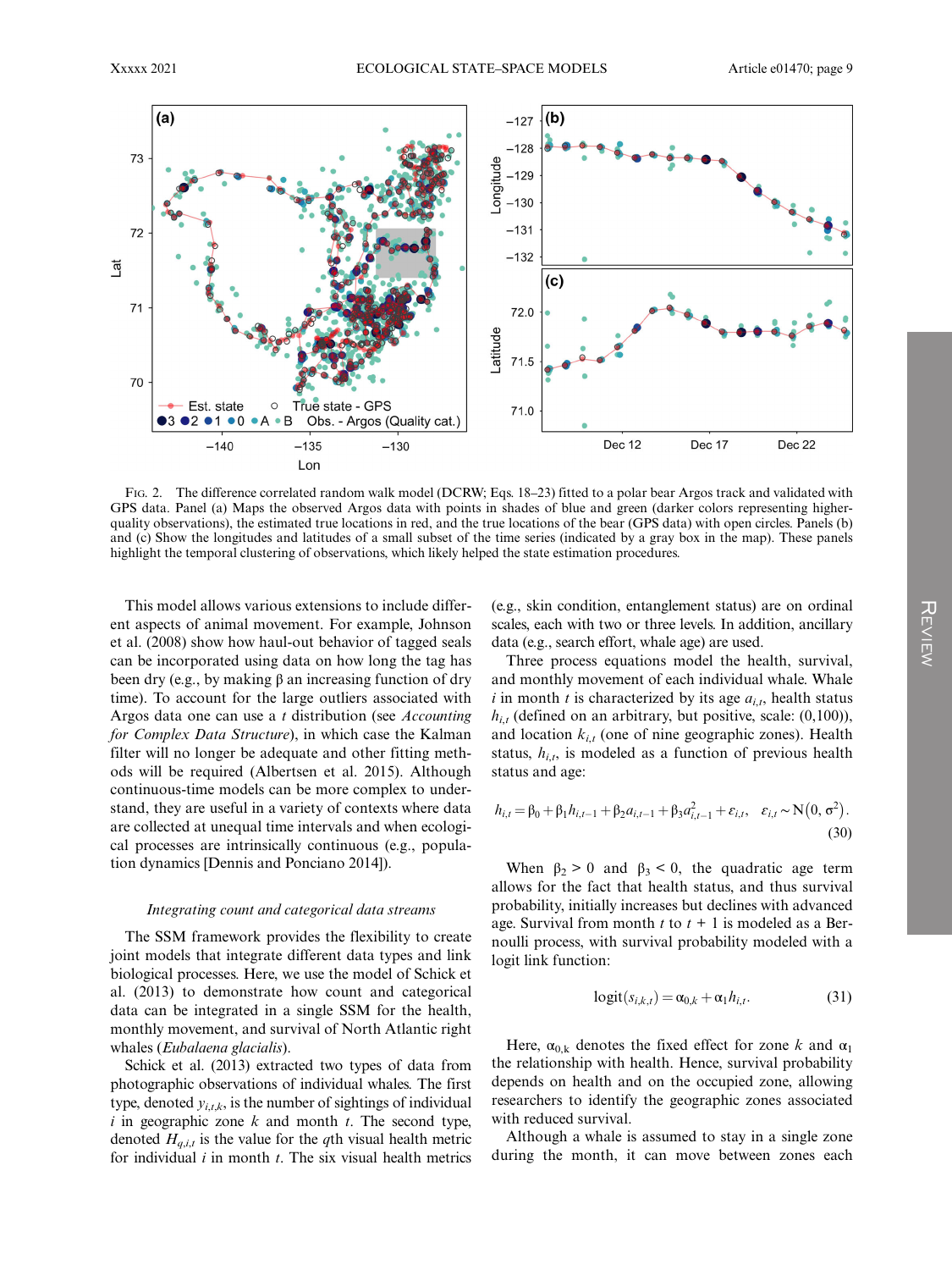

FIG. 2. The difference correlated random walk model (DCRW; Eqs. 18–23) fitted to a polar bear Argos track and validated with GPS data. Panel (a) Maps the observed Argos data with points in shades of blue and green (darker colors representing higherquality observations), the estimated true locations in red, and the true locations of the bear (GPS data) with open circles. Panels (b) and (c) Show the longitudes and latitudes of a small subset of the time series (indicated by a gray box in the map). These panels highlight the temporal clustering of observations, which likely helped the state estimation procedures.

This model allows various extensions to include different aspects of animal movement. For example, Johnson et al. (2008) show how haul-out behavior of tagged seals can be incorporated using data on how long the tag has been dry (e.g., by making β an increasing function of dry time). To account for the large outliers associated with Argos data one can use a t distribution (see Accounting for Complex Data Structure), in which case the Kalman filter will no longer be adequate and other fitting methods will be required (Albertsen et al. 2015). Although continuous-time models can be more complex to understand, they are useful in a variety of contexts where data are collected at unequal time intervals and when ecological processes are intrinsically continuous (e.g., population dynamics [Dennis and Ponciano 2014]).

#### Integrating count and categorical data streams

The SSM framework provides the flexibility to create joint models that integrate different data types and link biological processes. Here, we use the model of Schick et al. (2013) to demonstrate how count and categorical data can be integrated in a single SSM for the health, monthly movement, and survival of North Atlantic right whales (*Eubalaena glacialis*).

Schick et al. (2013) extracted two types of data from photographic observations of individual whales. The first type, denoted  $y_{i,t,k}$ , is the number of sightings of individual  $i$  in geographic zone  $k$  and month  $t$ . The second type, denoted  $H_{q,i,t}$  is the value for the qth visual health metric for individual  $i$  in month  $t$ . The six visual health metrics

(e.g., skin condition, entanglement status) are on ordinal scales, each with two or three levels. In addition, ancillary data (e.g., search effort, whale age) are used.

Three process equations model the health, survival, and monthly movement of each individual whale. Whale i in month t is characterized by its age  $a_{i,t}$ , health status  $h_{i,t}$  (defined on an arbitrary, but positive, scale: (0,100)), and location  $k_{i,t}$  (one of nine geographic zones). Health status,  $h_{i,t}$ , is modeled as a function of previous health status and age:

$$
h_{i,t} = \beta_0 + \beta_1 h_{i,t-1} + \beta_2 a_{i,t-1} + \beta_3 a_{i,t-1}^2 + \varepsilon_{i,t}, \quad \varepsilon_{i,t} \sim \mathbf{N}\big(0, \sigma^2\big). \tag{30}
$$

When  $\beta_2 > 0$  and  $\beta_3 < 0$ , the quadratic age term allows for the fact that health status, and thus survival probability, initially increases but declines with advanced age. Survival from month t to  $t + 1$  is modeled as a Bernoulli process, with survival probability modeled with a logit link function:

$$
logit(s_{i,k,t}) = \alpha_{0,k} + \alpha_1 h_{i,t}.
$$
 (31)

Here,  $\alpha_{0,k}$  denotes the fixed effect for zone k and  $\alpha_1$ the relationship with health. Hence, survival probability depends on health and on the occupied zone, allowing researchers to identify the geographic zones associated with reduced survival.

Although a whale is assumed to stay in a single zone during the month, it can move between zones each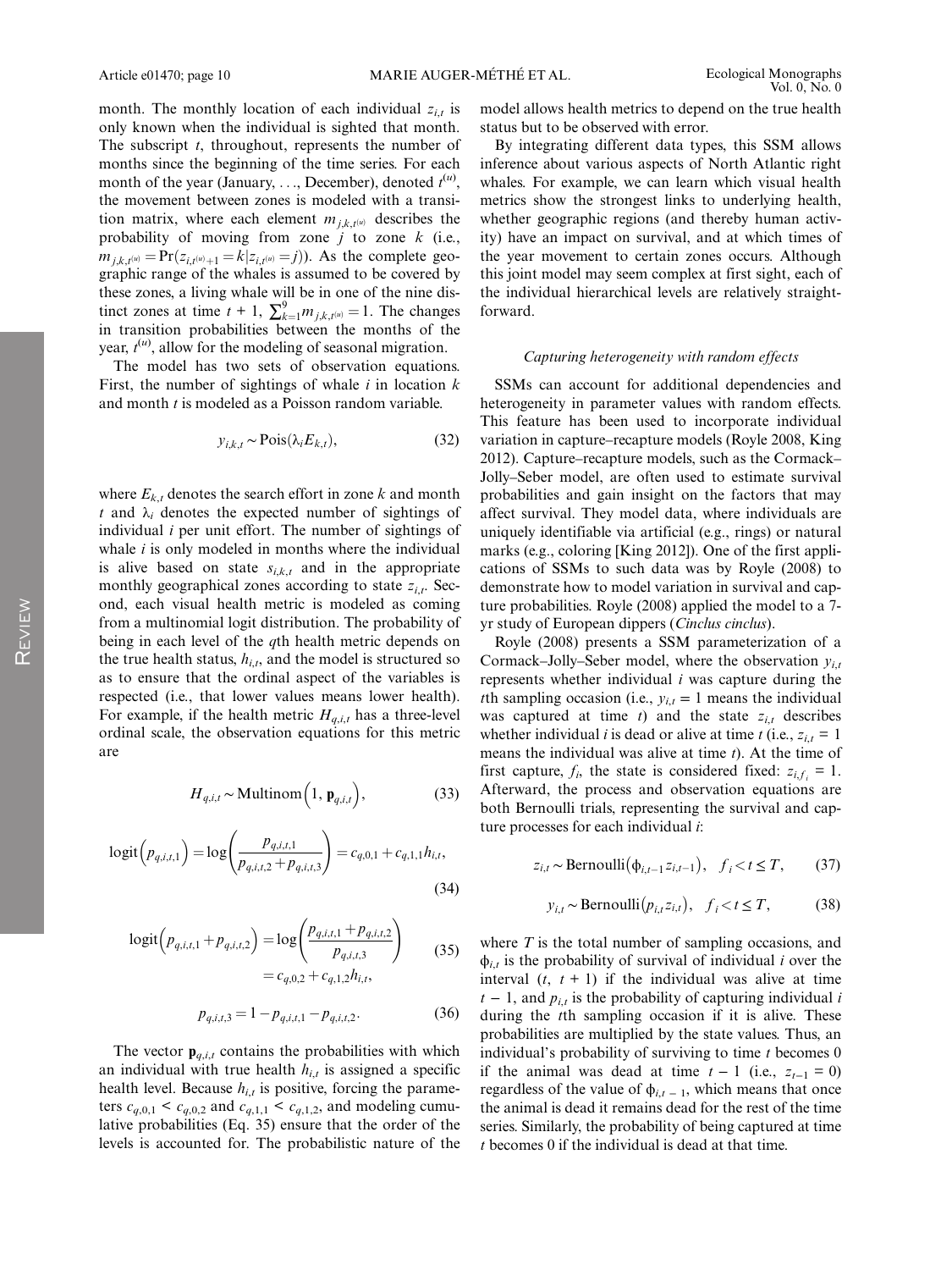month. The monthly location of each individual  $z_{i,t}$  is only known when the individual is sighted that month. The subscript  $t$ , throughout, represents the number of months since the beginning of the time series. For each month of the year (January, ..., December), denoted  $t^{(u)}$ , the movement between zones is modeled with a transition matrix, where each element  $m_{i,k,t}$  describes the probability of moving from zone  $j$  to zone  $k$  (i.e.,  $m_{i,k,t^{(u)}} = Pr(z_{i,t^{(u)}+1} = k|z_{i,t^{(u)}} = j)$ . As the complete geographic range of the whales is assumed to be covered by these zones, a living whale will be in one of the nine distinct zones at time  $t + 1$ ,  $\sum_{k=1}^{9} m_{j,k,t^{(u)}} = 1$ . The changes in transition probabilities between the months of the year,  $t^{(u)}$ , allow for the modeling of seasonal migration.

The model has two sets of observation equations. First, the number of sightings of whale  $i$  in location  $k$ and month *t* is modeled as a Poisson random variable.

$$
y_{i,k,t} \sim \text{Pois}(\lambda_i E_{k,t}),\tag{32}
$$

where  $E_{k,t}$  denotes the search effort in zone k and month t and  $\lambda_i$  denotes the expected number of sightings of individual i per unit effort. The number of sightings of whale  $i$  is only modeled in months where the individual is alive based on state  $s_{i,k,t}$  and in the appropriate monthly geographical zones according to state  $z_{i,t}$ . Second, each visual health metric is modeled as coming from a multinomial logit distribution. The probability of being in each level of the  $q$ th health metric depends on the true health status,  $h_{i,t}$ , and the model is structured so as to ensure that the ordinal aspect of the variables is respected (i.e., that lower values means lower health). For example, if the health metric  $H_{a,i,t}$  has a three-level ordinal scale, the observation equations for this metric are

$$
H_{q,i,t} \sim \text{Multinom}\left(1, \mathbf{p}_{q,i,t}\right),\tag{33}
$$

$$
logit(p_{q,i,t,1}) = log\left(\frac{p_{q,i,t,1}}{p_{q,i,t,2} + p_{q,i,t,3}}\right) = c_{q,0,1} + c_{q,1,1}h_{i,t},
$$
\n(34)

$$
logit(p_{q,i,t,1} + p_{q,i,t,2}) = log\left(\frac{p_{q,i,t,1} + p_{q,i,t,2}}{p_{q,i,t,3}}\right)
$$
  
=  $c_{q,0,2} + c_{q,1,2}h_{i,t}$ , (35)

$$
p_{q,i,t,3} = 1 - p_{q,i,t,1} - p_{q,i,t,2}.
$$
 (36)

The vector  $\mathbf{p}_{q,i,t}$  contains the probabilities with which an individual with true health  $h_{i,t}$  is assigned a specific health level. Because  $h_{i,t}$  is positive, forcing the parameters  $c_{q,0,1} < c_{q,0,2}$  and  $c_{q,1,1} < c_{q,1,2}$ , and modeling cumulative probabilities (Eq. 35) ensure that the order of the levels is accounted for. The probabilistic nature of the model allows health metrics to depend on the true health status but to be observed with error.

By integrating different data types, this SSM allows inference about various aspects of North Atlantic right whales. For example, we can learn which visual health metrics show the strongest links to underlying health, whether geographic regions (and thereby human activity) have an impact on survival, and at which times of the year movement to certain zones occurs. Although this joint model may seem complex at first sight, each of the individual hierarchical levels are relatively straightforward.

#### Capturing heterogeneity with random effects

SSMs can account for additional dependencies and heterogeneity in parameter values with random effects. This feature has been used to incorporate individual variation in capture–recapture models (Royle 2008, King 2012). Capture–recapture models, such as the Cormack– Jolly–Seber model, are often used to estimate survival probabilities and gain insight on the factors that may affect survival. They model data, where individuals are uniquely identifiable via artificial (e.g., rings) or natural marks (e.g., coloring [King 2012]). One of the first applications of SSMs to such data was by Royle (2008) to demonstrate how to model variation in survival and capture probabilities. Royle (2008) applied the model to a 7 yr study of European dippers (Cinclus cinclus).

Royle (2008) presents a SSM parameterization of a Cormack–Jolly–Seber model, where the observation  $y_{i,t}$ represents whether individual i was capture during the th sampling occasion (i.e.,  $y_{i,t} = 1$  means the individual was captured at time  $t$ ) and the state  $z_{i,t}$  describes whether individual *i* is dead or alive at time *t* (i.e.,  $z_{i,t} = 1$ means the individual was alive at time  $t$ ). At the time of first capture,  $f_i$ , the state is considered fixed:  $z_{i,f_i} = 1$ . Afterward, the process and observation equations are both Bernoulli trials, representing the survival and capture processes for each individual i:

$$
z_{i,t} \sim \text{Bernoulli}(\phi_{i,t-1} z_{i,t-1}), \quad f_i < t \leq T,\tag{37}
$$

$$
y_{i,t} \sim \text{Bernoulli}(p_{i,t}z_{i,t}), \quad f_i < t \leq T,\tag{38}
$$

where  $T$  is the total number of sampling occasions, and  $\phi$ <sub>i,t</sub> is the probability of survival of individual i over the interval  $(t, t + 1)$  if the individual was alive at time  $t - 1$ , and  $p_{i,t}$  is the probability of capturing individual i during the tth sampling occasion if it is alive. These probabilities are multiplied by the state values. Thus, an individual's probability of surviving to time  $t$  becomes 0 if the animal was dead at time  $t - 1$  (i.e.,  $z_{t-1} = 0$ ) regardless of the value of  $\phi$ <sub>i,t − 1</sub>, which means that once the animal is dead it remains dead for the rest of the time series. Similarly, the probability of being captured at time t becomes 0 if the individual is dead at that time.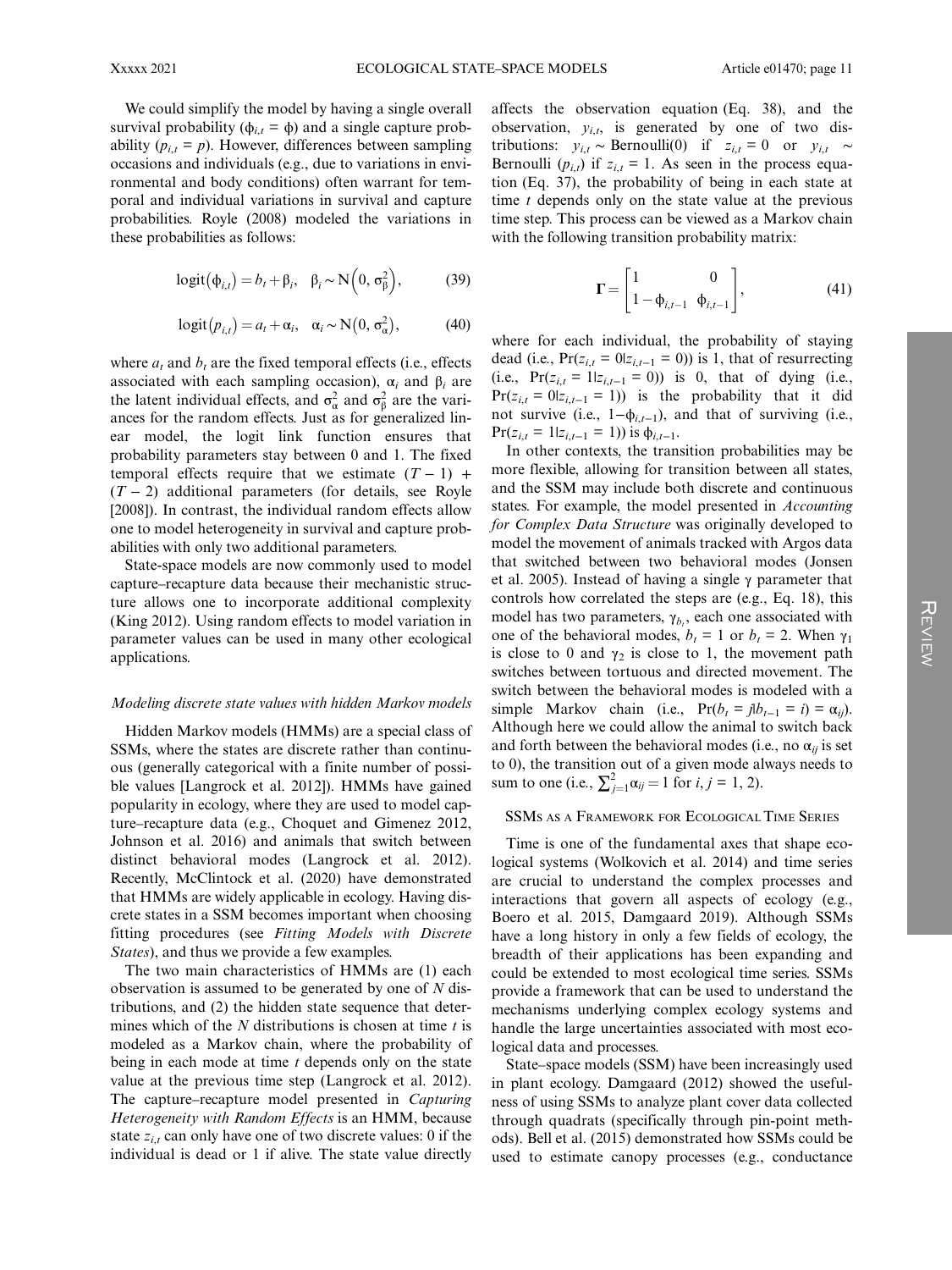We could simplify the model by having a single overall survival probability ( $\phi_{i,t} = \phi$ ) and a single capture probability ( $p_{i,t} = p$ ). However, differences between sampling occasions and individuals (e.g., due to variations in environmental and body conditions) often warrant for temporal and individual variations in survival and capture probabilities. Royle (2008) modeled the variations in these probabilities as follows:

$$
logit(\phi_{i,t}) = b_t + \beta_i, \ \beta_i \sim N(0, \sigma_\beta^2), \tag{39}
$$

$$
logit(p_{i,t}) = a_t + \alpha_i, \quad \alpha_i \sim N(0, \sigma_\alpha^2), \tag{40}
$$

where  $a_t$  and  $b_t$  are the fixed temporal effects (i.e., effects associated with each sampling occasion),  $\alpha_i$  and  $\beta_i$  are the latent individual effects, and  $\sigma_{\alpha}^2$  and  $\sigma_{\beta}^2$  are the variances for the random effects. Just as for generalized linear model, the logit link function ensures that probability parameters stay between 0 and 1. The fixed temporal effects require that we estimate  $(T - 1)$  +  $(T - 2)$  additional parameters (for details, see Royle [2008]). In contrast, the individual random effects allow one to model heterogeneity in survival and capture probabilities with only two additional parameters.

State-space models are now commonly used to model capture–recapture data because their mechanistic structure allows one to incorporate additional complexity (King 2012). Using random effects to model variation in parameter values can be used in many other ecological applications.

#### Modeling discrete state values with hidden Markov models

Hidden Markov models (HMMs) are a special class of SSMs, where the states are discrete rather than continuous (generally categorical with a finite number of possible values [Langrock et al. 2012]). HMMs have gained popularity in ecology, where they are used to model capture–recapture data (e.g., Choquet and Gimenez 2012, Johnson et al. 2016) and animals that switch between distinct behavioral modes (Langrock et al. 2012). Recently, McClintock et al. (2020) have demonstrated that HMMs are widely applicable in ecology. Having discrete states in a SSM becomes important when choosing fitting procedures (see Fitting Models with Discrete States), and thus we provide a few examples.

The two main characteristics of HMMs are (1) each observation is assumed to be generated by one of  $N$  distributions, and (2) the hidden state sequence that determines which of the  $N$  distributions is chosen at time  $t$  is modeled as a Markov chain, where the probability of being in each mode at time  $t$  depends only on the state value at the previous time step (Langrock et al. 2012). The capture–recapture model presented in Capturing Heterogeneity with Random Effects is an HMM, because state  $z_{i,t}$  can only have one of two discrete values: 0 if the individual is dead or 1 if alive. The state value directly

affects the observation equation (Eq. 38), and the observation,  $y_{i,t}$ , is generated by one of two distributions:  $y_{i,t} \sim \text{Bernoulli}(0)$  if  $z_{i,t} = 0$  or  $y_{i,t} \sim$ Bernoulli  $(p_{i,t})$  if  $z_{i,t} = 1$ . As seen in the process equation (Eq. 37), the probability of being in each state at time  $t$  depends only on the state value at the previous time step. This process can be viewed as a Markov chain with the following transition probability matrix:

$$
\Gamma = \begin{bmatrix} 1 & 0 \\ 1 - \phi_{i,t-1} & \phi_{i,t-1} \end{bmatrix},
$$
(41)

where for each individual, the probability of staying dead (i.e.,  $Pr(z_{i,t} = 0 | z_{i,t-1} = 0)$ ) is 1, that of resurrecting (i.e.,  $Pr(z_{i,t} = 1 | z_{i,t-1} = 0)$ ) is 0, that of dying (i.e.,  $Pr(z_{i,t} = 0 | z_{i,t-1} = 1)$  is the probability that it did not survive (i.e.,  $1-\phi_{i,t-1}$ ), and that of surviving (i.e.,  $Pr(z_{i,t} = 1 | z_{i,t-1} = 1)$ ) is  $\phi_{i,t-1}$ .

In other contexts, the transition probabilities may be more flexible, allowing for transition between all states, and the SSM may include both discrete and continuous states. For example, the model presented in *Accounting* for Complex Data Structure was originally developed to model the movement of animals tracked with Argos data that switched between two behavioral modes (Jonsen et al. 2005). Instead of having a single  $\gamma$  parameter that controls how correlated the steps are (e.g., Eq. 18), this model has two parameters,  $\gamma_{b_t}$ , each one associated with one of the behavioral modes,  $b_t = 1$  or  $b_t = 2$ . When  $\gamma_1$ is close to 0 and  $\gamma_2$  is close to 1, the movement path switches between tortuous and directed movement. The switch between the behavioral modes is modeled with a simple Markov chain (i.e.,  $Pr(b_t = jb_{t-1} = i) = \alpha_{ij}$ ). Although here we could allow the animal to switch back and forth between the behavioral modes (i.e., no  $\alpha_{ii}$  is set to 0), the transition out of a given mode always needs to sum to one (i.e.,  $\sum_{j=1}^{2} \alpha_{ij} = 1$  for  $i, j = 1, 2$ ).

#### SSMS AS A FRAMEWORK FOR ECOLOGICAL TIME SERIES

Time is one of the fundamental axes that shape ecological systems (Wolkovich et al. 2014) and time series are crucial to understand the complex processes and interactions that govern all aspects of ecology (e.g., Boero et al. 2015, Damgaard 2019). Although SSMs have a long history in only a few fields of ecology, the breadth of their applications has been expanding and could be extended to most ecological time series. SSMs provide a framework that can be used to understand the mechanisms underlying complex ecology systems and handle the large uncertainties associated with most ecological data and processes.

State–space models (SSM) have been increasingly used in plant ecology. Damgaard (2012) showed the usefulness of using SSMs to analyze plant cover data collected through quadrats (specifically through pin-point methods). Bell et al. (2015) demonstrated how SSMs could be used to estimate canopy processes (e.g., conductance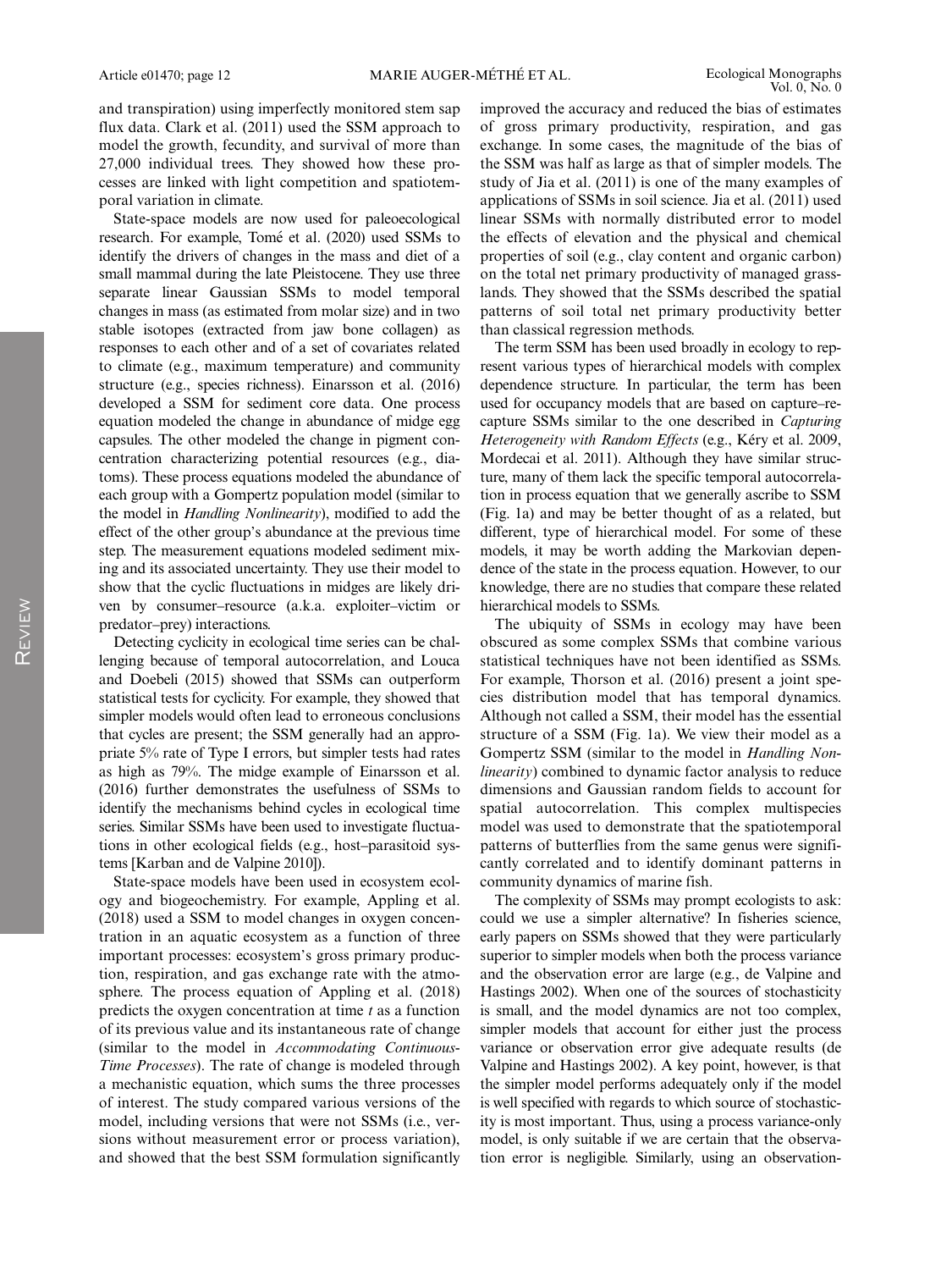and transpiration) using imperfectly monitored stem sap flux data. Clark et al. (2011) used the SSM approach to model the growth, fecundity, and survival of more than 27,000 individual trees. They showed how these processes are linked with light competition and spatiotemporal variation in climate.

State-space models are now used for paleoecological research. For example, Tomé et al. (2020) used SSMs to identify the drivers of changes in the mass and diet of a small mammal during the late Pleistocene. They use three separate linear Gaussian SSMs to model temporal changes in mass (as estimated from molar size) and in two stable isotopes (extracted from jaw bone collagen) as responses to each other and of a set of covariates related to climate (e.g., maximum temperature) and community structure (e.g., species richness). Einarsson et al. (2016) developed a SSM for sediment core data. One process equation modeled the change in abundance of midge egg capsules. The other modeled the change in pigment concentration characterizing potential resources (e.g., diatoms). These process equations modeled the abundance of each group with a Gompertz population model (similar to the model in Handling Nonlinearity), modified to add the effect of the other group's abundance at the previous time step. The measurement equations modeled sediment mixing and its associated uncertainty. They use their model to show that the cyclic fluctuations in midges are likely driven by consumer–resource (a.k.a. exploiter–victim or predator–prey) interactions.

Detecting cyclicity in ecological time series can be challenging because of temporal autocorrelation, and Louca and Doebeli (2015) showed that SSMs can outperform statistical tests for cyclicity. For example, they showed that simpler models would often lead to erroneous conclusions that cycles are present; the SSM generally had an appropriate 5% rate of Type I errors, but simpler tests had rates as high as 79%. The midge example of Einarsson et al. (2016) further demonstrates the usefulness of SSMs to identify the mechanisms behind cycles in ecological time series. Similar SSMs have been used to investigate fluctuations in other ecological fields (e.g., host–parasitoid systems [Karban and de Valpine 2010]).

State-space models have been used in ecosystem ecology and biogeochemistry. For example, Appling et al. (2018) used a SSM to model changes in oxygen concentration in an aquatic ecosystem as a function of three important processes: ecosystem's gross primary production, respiration, and gas exchange rate with the atmosphere. The process equation of Appling et al. (2018) predicts the oxygen concentration at time  $t$  as a function of its previous value and its instantaneous rate of change (similar to the model in Accommodating Continuous-Time Processes). The rate of change is modeled through a mechanistic equation, which sums the three processes of interest. The study compared various versions of the model, including versions that were not SSMs (i.e., versions without measurement error or process variation), and showed that the best SSM formulation significantly

improved the accuracy and reduced the bias of estimates of gross primary productivity, respiration, and gas exchange. In some cases, the magnitude of the bias of the SSM was half as large as that of simpler models. The study of Jia et al. (2011) is one of the many examples of applications of SSMs in soil science. Jia et al. (2011) used linear SSMs with normally distributed error to model the effects of elevation and the physical and chemical properties of soil (e.g., clay content and organic carbon) on the total net primary productivity of managed grasslands. They showed that the SSMs described the spatial patterns of soil total net primary productivity better than classical regression methods.

The term SSM has been used broadly in ecology to represent various types of hierarchical models with complex dependence structure. In particular, the term has been used for occupancy models that are based on capture–recapture SSMs similar to the one described in Capturing Heterogeneity with Random Effects (e.g., Kéry et al. 2009, Mordecai et al. 2011). Although they have similar structure, many of them lack the specific temporal autocorrelation in process equation that we generally ascribe to SSM (Fig. 1a) and may be better thought of as a related, but different, type of hierarchical model. For some of these models, it may be worth adding the Markovian dependence of the state in the process equation. However, to our knowledge, there are no studies that compare these related hierarchical models to SSMs.

The ubiquity of SSMs in ecology may have been obscured as some complex SSMs that combine various statistical techniques have not been identified as SSMs. For example, Thorson et al. (2016) present a joint species distribution model that has temporal dynamics. Although not called a SSM, their model has the essential structure of a SSM (Fig. 1a). We view their model as a Gompertz SSM (similar to the model in Handling Nonlinearity) combined to dynamic factor analysis to reduce dimensions and Gaussian random fields to account for spatial autocorrelation. This complex multispecies model was used to demonstrate that the spatiotemporal patterns of butterflies from the same genus were significantly correlated and to identify dominant patterns in community dynamics of marine fish.

The complexity of SSMs may prompt ecologists to ask: could we use a simpler alternative? In fisheries science, early papers on SSMs showed that they were particularly superior to simpler models when both the process variance and the observation error are large (e.g., de Valpine and Hastings 2002). When one of the sources of stochasticity is small, and the model dynamics are not too complex, simpler models that account for either just the process variance or observation error give adequate results (de Valpine and Hastings 2002). A key point, however, is that the simpler model performs adequately only if the model is well specified with regards to which source of stochasticity is most important. Thus, using a process variance-only model, is only suitable if we are certain that the observation error is negligible. Similarly, using an observation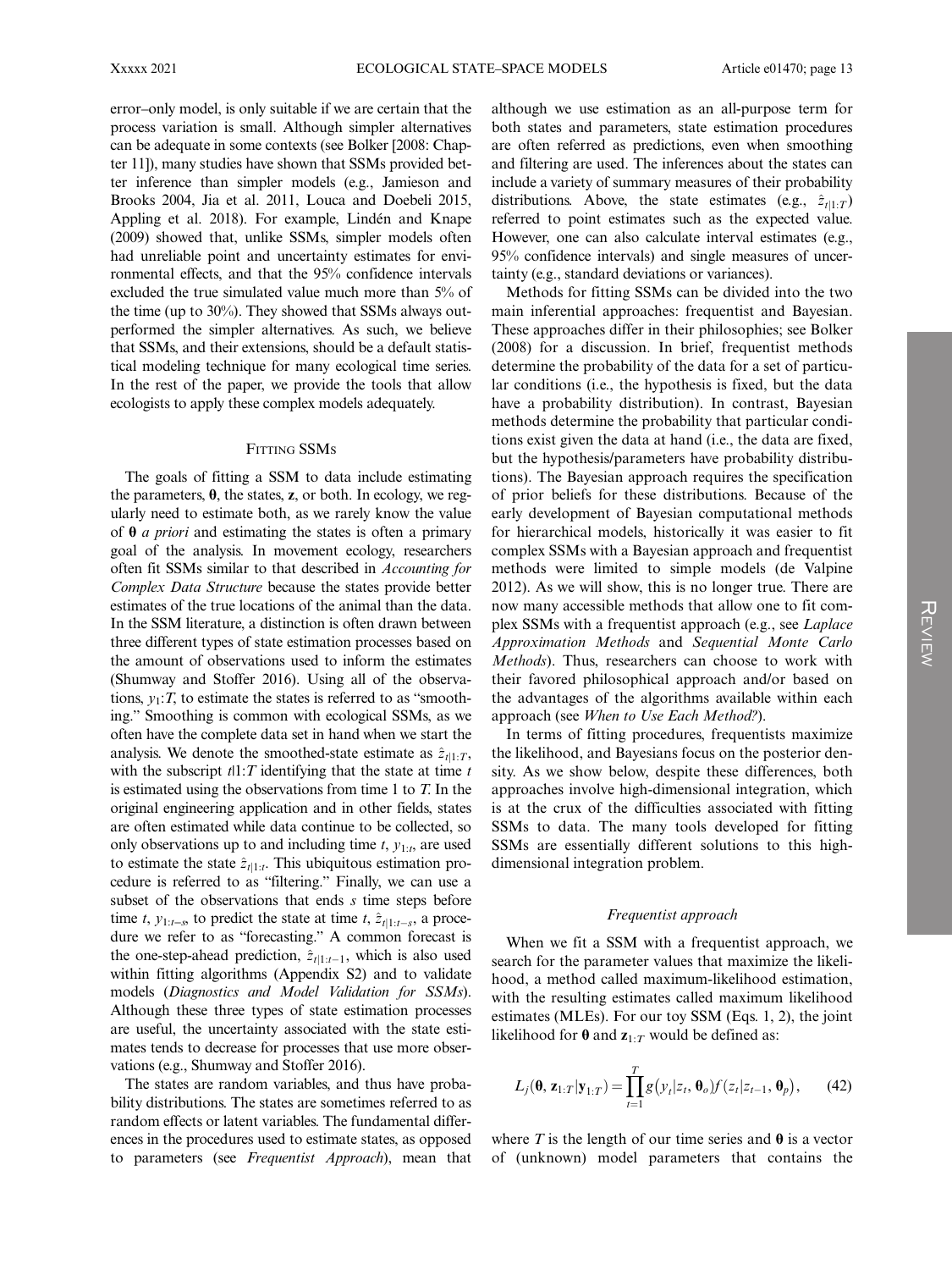error–only model, is only suitable if we are certain that the process variation is small. Although simpler alternatives can be adequate in some contexts (see Bolker [2008: Chapter 11]), many studies have shown that SSMs provided better inference than simpler models (e.g., Jamieson and Brooks 2004, Jia et al. 2011, Louca and Doebeli 2015, Appling et al. 2018). For example, Lindén and Knape (2009) showed that, unlike SSMs, simpler models often had unreliable point and uncertainty estimates for environmental effects, and that the 95% confidence intervals excluded the true simulated value much more than 5% of the time (up to 30%). They showed that SSMs always outperformed the simpler alternatives. As such, we believe that SSMs, and their extensions, should be a default statistical modeling technique for many ecological time series. In the rest of the paper, we provide the tools that allow ecologists to apply these complex models adequately.

#### **FITTING SSMs**

The goals of fitting a SSM to data include estimating the parameters,  $\theta$ , the states, z, or both. In ecology, we regularly need to estimate both, as we rarely know the value of  $\theta$  *a priori* and estimating the states is often a primary goal of the analysis. In movement ecology, researchers often fit SSMs similar to that described in Accounting for Complex Data Structure because the states provide better estimates of the true locations of the animal than the data. In the SSM literature, a distinction is often drawn between three different types of state estimation processes based on the amount of observations used to inform the estimates (Shumway and Stoffer 2016). Using all of the observations,  $y_1$ : T, to estimate the states is referred to as "smoothing." Smoothing is common with ecological SSMs, as we often have the complete data set in hand when we start the analysis. We denote the smoothed-state estimate as  $\hat{z}_{t|1:T}$ , with the subscript  $t1:T$  identifying that the state at time  $t$ is estimated using the observations from time 1 to  $T$ . In the original engineering application and in other fields, states are often estimated while data continue to be collected, so only observations up to and including time  $t$ ,  $y_{1:t}$ , are used to estimate the state  $\hat{z}_{t|1:t}$ . This ubiquitous estimation procedure is referred to as "filtering." Finally, we can use a subset of the observations that ends  $s$  time steps before time t,  $y_{1:t-s}$  to predict the state at time t,  $\hat{z}_{t|1:t-s}$ , a procedure we refer to as "forecasting." A common forecast is the one-step-ahead prediction,  $\hat{z}_{t|1:t-1}$ , which is also used within fitting algorithms (Appendix S2) and to validate models (Diagnostics and Model Validation for SSMs). Although these three types of state estimation processes are useful, the uncertainty associated with the state estimates tends to decrease for processes that use more observations (e.g., Shumway and Stoffer 2016).

The states are random variables, and thus have probability distributions. The states are sometimes referred to as random effects or latent variables. The fundamental differences in the procedures used to estimate states, as opposed to parameters (see Frequentist Approach), mean that

although we use estimation as an all-purpose term for both states and parameters, state estimation procedures are often referred as predictions, even when smoothing and filtering are used. The inferences about the states can include a variety of summary measures of their probability distributions. Above, the state estimates (e.g.,  $\hat{z}_{t|1:T}$ ) referred to point estimates such as the expected value. However, one can also calculate interval estimates (e.g., 95% confidence intervals) and single measures of uncertainty (e.g., standard deviations or variances).

Methods for fitting SSMs can be divided into the two main inferential approaches: frequentist and Bayesian. These approaches differ in their philosophies; see Bolker (2008) for a discussion. In brief, frequentist methods determine the probability of the data for a set of particular conditions (i.e., the hypothesis is fixed, but the data have a probability distribution). In contrast, Bayesian methods determine the probability that particular conditions exist given the data at hand (i.e., the data are fixed, but the hypothesis/parameters have probability distributions). The Bayesian approach requires the specification of prior beliefs for these distributions. Because of the early development of Bayesian computational methods for hierarchical models, historically it was easier to fit complex SSMs with a Bayesian approach and frequentist methods were limited to simple models (de Valpine 2012). As we will show, this is no longer true. There are now many accessible methods that allow one to fit complex SSMs with a frequentist approach (e.g., see Laplace Approximation Methods and Sequential Monte Carlo Methods). Thus, researchers can choose to work with their favored philosophical approach and/or based on the advantages of the algorithms available within each approach (see When to Use Each Method?).

In terms of fitting procedures, frequentists maximize the likelihood, and Bayesians focus on the posterior density. As we show below, despite these differences, both approaches involve high-dimensional integration, which is at the crux of the difficulties associated with fitting SSMs to data. The many tools developed for fitting SSMs are essentially different solutions to this highdimensional integration problem.

#### Frequentist approach

When we fit a SSM with a frequentist approach, we search for the parameter values that maximize the likelihood, a method called maximum-likelihood estimation, with the resulting estimates called maximum likelihood estimates (MLEs). For our toy SSM (Eqs. 1, 2), the joint likelihood for  $\theta$  and  $z_{1:T}$  would be defined as:

$$
L_j(\mathbf{\theta}, \mathbf{z}_{1:T}|\mathbf{y}_{1:T}) = \prod_{t=1}^T g\big(y_t|z_t, \mathbf{\theta}_o\big) f\big(z_t|z_{t-1}, \mathbf{\theta}_p\big),\qquad(42)
$$

where T is the length of our time series and  $\theta$  is a vector of (unknown) model parameters that contains the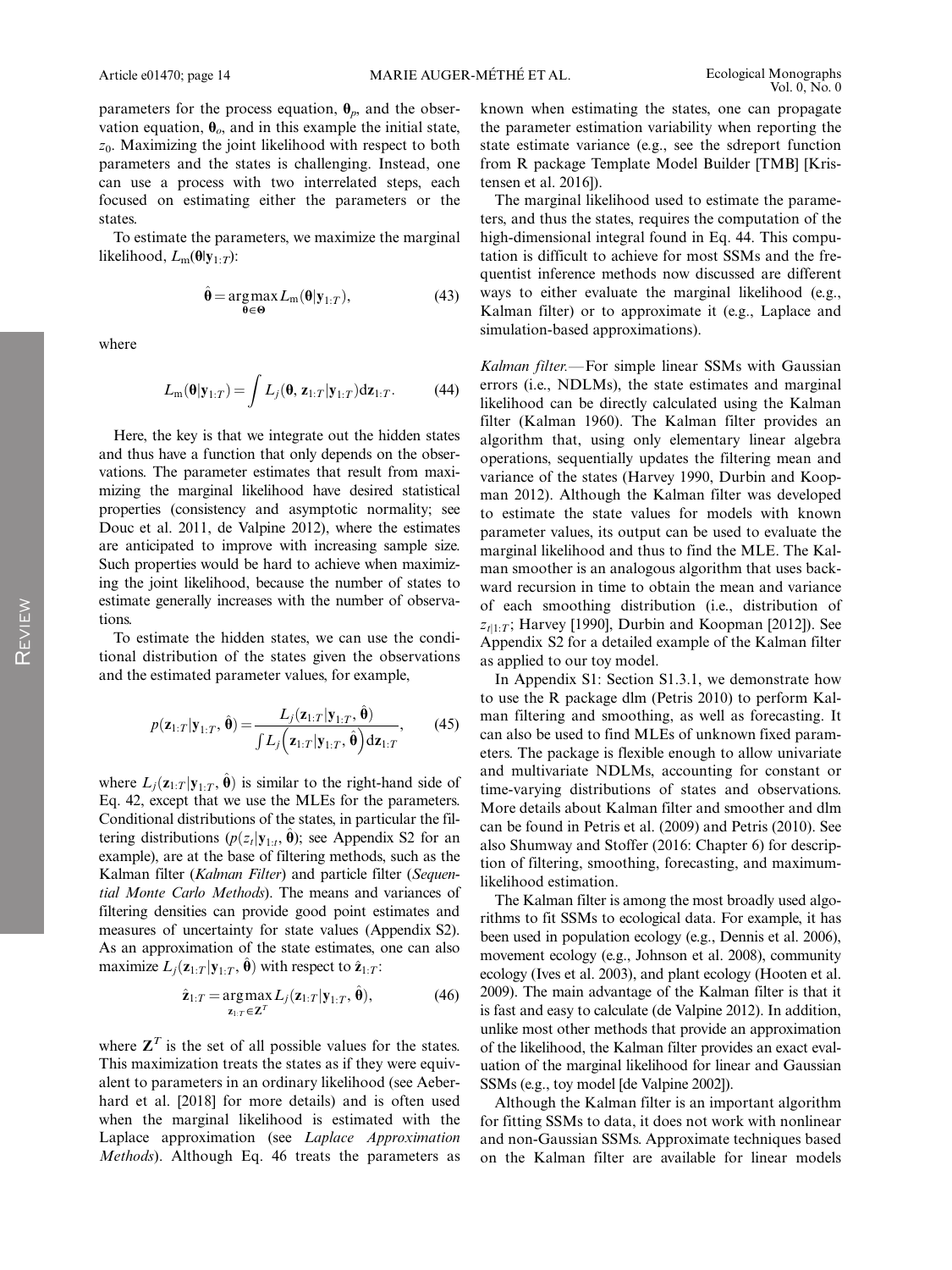parameters for the process equation,  $\theta_p$ , and the observation equation,  $\theta_o$ , and in this example the initial state,  $z_0$ . Maximizing the joint likelihood with respect to both parameters and the states is challenging. Instead, one can use a process with two interrelated steps, each focused on estimating either the parameters or the states.

To estimate the parameters, we maximize the marginal likelihood,  $L_m(\theta|y_{1:T})$ :

$$
\hat{\boldsymbol{\theta}} = \underset{\boldsymbol{\theta} \in \boldsymbol{\Theta}}{\operatorname{argmax}} L_{m}(\boldsymbol{\theta} | \mathbf{y}_{1:T}), \tag{43}
$$

where

$$
L_{\mathbf{m}}(\mathbf{\theta}|\mathbf{y}_{1:T}) = \int L_j(\mathbf{\theta}, \mathbf{z}_{1:T}|\mathbf{y}_{1:T}) d\mathbf{z}_{1:T}.
$$
 (44)

Here, the key is that we integrate out the hidden states and thus have a function that only depends on the observations. The parameter estimates that result from maximizing the marginal likelihood have desired statistical properties (consistency and asymptotic normality; see Douc et al. 2011, de Valpine 2012), where the estimates are anticipated to improve with increasing sample size. Such properties would be hard to achieve when maximizing the joint likelihood, because the number of states to estimate generally increases with the number of observations.

To estimate the hidden states, we can use the conditional distribution of the states given the observations and the estimated parameter values, for example,

$$
p(\mathbf{z}_{1:T}|\mathbf{y}_{1:T}, \hat{\boldsymbol{\theta}}) = \frac{L_j(\mathbf{z}_{1:T}|\mathbf{y}_{1:T}, \hat{\boldsymbol{\theta}})}{\int L_j(\mathbf{z}_{1:T}|\mathbf{y}_{1:T}, \hat{\boldsymbol{\theta}})\mathrm{d}\mathbf{z}_{1:T}},\qquad(45)
$$

where  $L_j(\mathbf{z}_{1:T} | \mathbf{y}_{1:T}, \hat{\boldsymbol{\theta}})$  is similar to the right-hand side of Eq. 42, except that we use the MLEs for the parameters. Conditional distributions of the states, in particular the filtering distributions ( $p(z_t|\mathbf{y}_{1:t}, \hat{\boldsymbol{\theta}})$ ; see Appendix S2 for an example), are at the base of filtering methods, such as the Kalman filter (Kalman Filter) and particle filter (Sequential Monte Carlo Methods). The means and variances of filtering densities can provide good point estimates and measures of uncertainty for state values (Appendix S2). As an approximation of the state estimates, one can also maximize  $L_i(\mathbf{z}_{1:T} | \mathbf{y}_{1:T}, \hat{\boldsymbol{\theta}})$  with respect to  $\hat{\mathbf{z}}_{1:T}$ :

$$
\hat{\mathbf{z}}_{1:T} = \underset{\mathbf{z}_{1:T} \in \mathbf{Z}^T}{\arg \max} L_j(\mathbf{z}_{1:T} | \mathbf{y}_{1:T}, \hat{\boldsymbol{\theta}}), \tag{46}
$$

where  $\mathbf{Z}^T$  is the set of all possible values for the states. This maximization treats the states as if they were equivalent to parameters in an ordinary likelihood (see Aeberhard et al. [2018] for more details) and is often used when the marginal likelihood is estimated with the Laplace approximation (see Laplace Approximation Methods). Although Eq. 46 treats the parameters as known when estimating the states, one can propagate the parameter estimation variability when reporting the state estimate variance (e.g., see the sdreport function from R package Template Model Builder [TMB] [Kristensen et al. 2016]).

The marginal likelihood used to estimate the parameters, and thus the states, requires the computation of the high-dimensional integral found in Eq. 44. This computation is difficult to achieve for most SSMs and the frequentist inference methods now discussed are different ways to either evaluate the marginal likelihood (e.g., Kalman filter) or to approximate it (e.g., Laplace and simulation-based approximations).

Kalman filter.—For simple linear SSMs with Gaussian errors (i.e., NDLMs), the state estimates and marginal likelihood can be directly calculated using the Kalman filter (Kalman 1960). The Kalman filter provides an algorithm that, using only elementary linear algebra operations, sequentially updates the filtering mean and variance of the states (Harvey 1990, Durbin and Koopman 2012). Although the Kalman filter was developed to estimate the state values for models with known parameter values, its output can be used to evaluate the marginal likelihood and thus to find the MLE. The Kalman smoother is an analogous algorithm that uses backward recursion in time to obtain the mean and variance of each smoothing distribution (i.e., distribution of  $z_{t1}:T$ ; Harvey [1990], Durbin and Koopman [2012]). See Appendix S2 for a detailed example of the Kalman filter as applied to our toy model.

In Appendix S1: Section S1.3.1, we demonstrate how to use the R package dlm (Petris 2010) to perform Kalman filtering and smoothing, as well as forecasting. It can also be used to find MLEs of unknown fixed parameters. The package is flexible enough to allow univariate and multivariate NDLMs, accounting for constant or time-varying distributions of states and observations. More details about Kalman filter and smoother and dlm can be found in Petris et al. (2009) and Petris (2010). See also Shumway and Stoffer (2016: Chapter 6) for description of filtering, smoothing, forecasting, and maximumlikelihood estimation.

The Kalman filter is among the most broadly used algorithms to fit SSMs to ecological data. For example, it has been used in population ecology (e.g., Dennis et al. 2006), movement ecology (e.g., Johnson et al. 2008), community ecology (Ives et al. 2003), and plant ecology (Hooten et al. 2009). The main advantage of the Kalman filter is that it is fast and easy to calculate (de Valpine 2012). In addition, unlike most other methods that provide an approximation of the likelihood, the Kalman filter provides an exact evaluation of the marginal likelihood for linear and Gaussian SSMs (e.g., toy model [de Valpine 2002]).

Although the Kalman filter is an important algorithm for fitting SSMs to data, it does not work with nonlinear and non-Gaussian SSMs. Approximate techniques based on the Kalman filter are available for linear models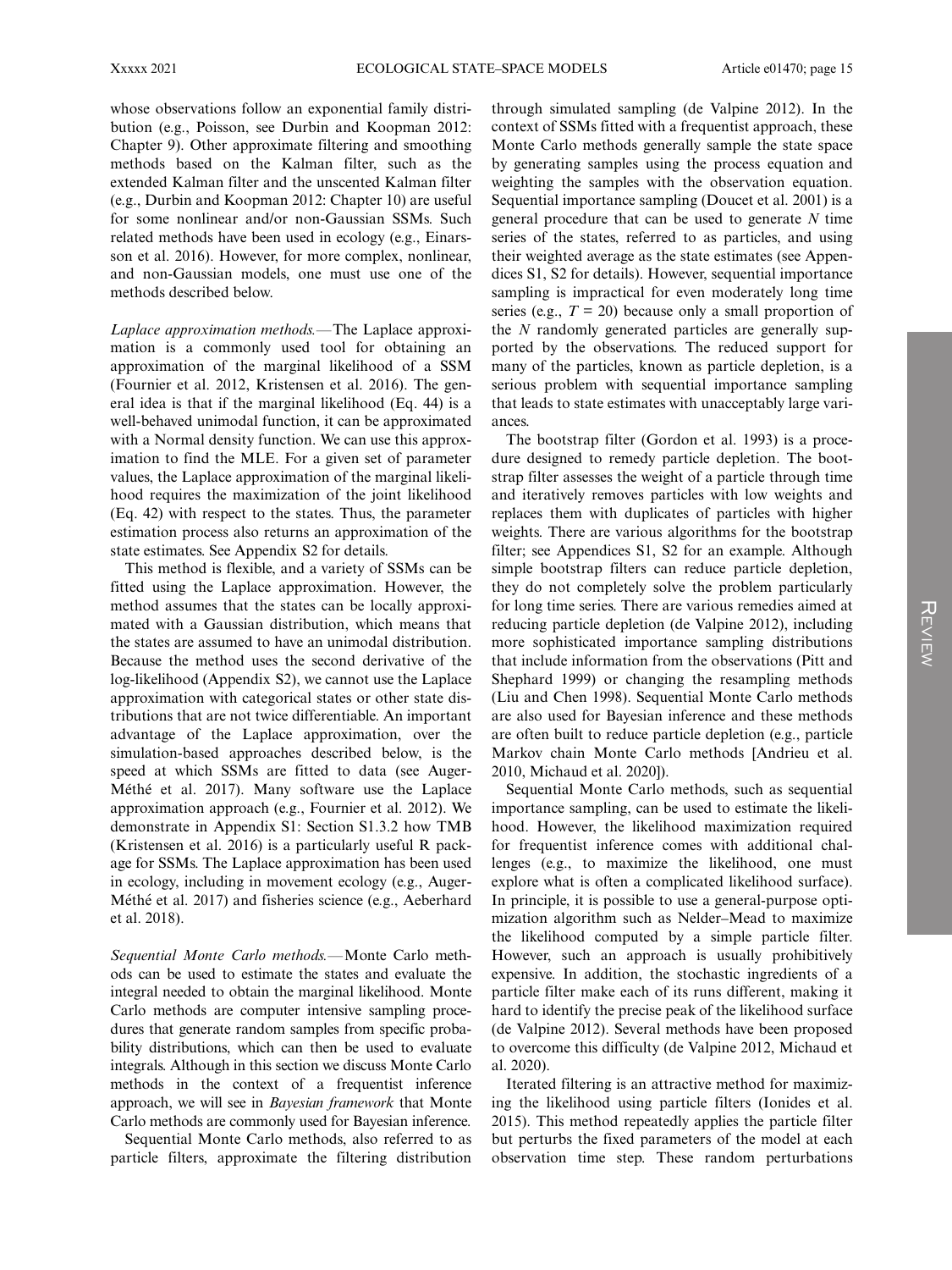whose observations follow an exponential family distribution (e.g., Poisson, see Durbin and Koopman 2012: Chapter 9). Other approximate filtering and smoothing methods based on the Kalman filter, such as the extended Kalman filter and the unscented Kalman filter (e.g., Durbin and Koopman 2012: Chapter 10) are useful for some nonlinear and/or non-Gaussian SSMs. Such related methods have been used in ecology (e.g., Einarsson et al. 2016). However, for more complex, nonlinear, and non-Gaussian models, one must use one of the methods described below.

Laplace approximation methods.—The Laplace approximation is a commonly used tool for obtaining an approximation of the marginal likelihood of a SSM (Fournier et al. 2012, Kristensen et al. 2016). The general idea is that if the marginal likelihood (Eq. 44) is a well-behaved unimodal function, it can be approximated with a Normal density function. We can use this approximation to find the MLE. For a given set of parameter values, the Laplace approximation of the marginal likelihood requires the maximization of the joint likelihood (Eq. 42) with respect to the states. Thus, the parameter estimation process also returns an approximation of the state estimates. See Appendix S2 for details.

This method is flexible, and a variety of SSMs can be fitted using the Laplace approximation. However, the method assumes that the states can be locally approximated with a Gaussian distribution, which means that the states are assumed to have an unimodal distribution. Because the method uses the second derivative of the log-likelihood (Appendix S2), we cannot use the Laplace approximation with categorical states or other state distributions that are not twice differentiable. An important advantage of the Laplace approximation, over the simulation-based approaches described below, is the speed at which SSMs are fitted to data (see Auger-Méthé et al. 2017). Many software use the Laplace approximation approach (e.g., Fournier et al. 2012). We demonstrate in Appendix S1: Section S1.3.2 how TMB (Kristensen et al. 2016) is a particularly useful R package for SSMs. The Laplace approximation has been used in ecology, including in movement ecology (e.g., Auger-Méthé et al. 2017) and fisheries science (e.g., Aeberhard et al. 2018).

Sequential Monte Carlo methods.—Monte Carlo methods can be used to estimate the states and evaluate the integral needed to obtain the marginal likelihood. Monte Carlo methods are computer intensive sampling procedures that generate random samples from specific probability distributions, which can then be used to evaluate integrals. Although in this section we discuss Monte Carlo methods in the context of a frequentist inference approach, we will see in Bayesian framework that Monte Carlo methods are commonly used for Bayesian inference.

Sequential Monte Carlo methods, also referred to as particle filters, approximate the filtering distribution through simulated sampling (de Valpine 2012). In the context of SSMs fitted with a frequentist approach, these Monte Carlo methods generally sample the state space by generating samples using the process equation and weighting the samples with the observation equation. Sequential importance sampling (Doucet et al. 2001) is a general procedure that can be used to generate  $N$  time series of the states, referred to as particles, and using their weighted average as the state estimates (see Appendices S1, S2 for details). However, sequential importance sampling is impractical for even moderately long time series (e.g.,  $T = 20$ ) because only a small proportion of the N randomly generated particles are generally supported by the observations. The reduced support for many of the particles, known as particle depletion, is a serious problem with sequential importance sampling that leads to state estimates with unacceptably large variances.

The bootstrap filter (Gordon et al. 1993) is a procedure designed to remedy particle depletion. The bootstrap filter assesses the weight of a particle through time and iteratively removes particles with low weights and replaces them with duplicates of particles with higher weights. There are various algorithms for the bootstrap filter; see Appendices S1, S2 for an example. Although simple bootstrap filters can reduce particle depletion, they do not completely solve the problem particularly for long time series. There are various remedies aimed at reducing particle depletion (de Valpine 2012), including more sophisticated importance sampling distributions that include information from the observations (Pitt and Shephard 1999) or changing the resampling methods (Liu and Chen 1998). Sequential Monte Carlo methods are also used for Bayesian inference and these methods are often built to reduce particle depletion (e.g., particle Markov chain Monte Carlo methods [Andrieu et al. 2010, Michaud et al. 2020]).

Sequential Monte Carlo methods, such as sequential importance sampling, can be used to estimate the likelihood. However, the likelihood maximization required for frequentist inference comes with additional challenges (e.g., to maximize the likelihood, one must explore what is often a complicated likelihood surface). In principle, it is possible to use a general-purpose optimization algorithm such as Nelder–Mead to maximize the likelihood computed by a simple particle filter. However, such an approach is usually prohibitively expensive. In addition, the stochastic ingredients of a particle filter make each of its runs different, making it hard to identify the precise peak of the likelihood surface (de Valpine 2012). Several methods have been proposed to overcome this difficulty (de Valpine 2012, Michaud et al. 2020).

Iterated filtering is an attractive method for maximizing the likelihood using particle filters (Ionides et al. 2015). This method repeatedly applies the particle filter but perturbs the fixed parameters of the model at each observation time step. These random perturbations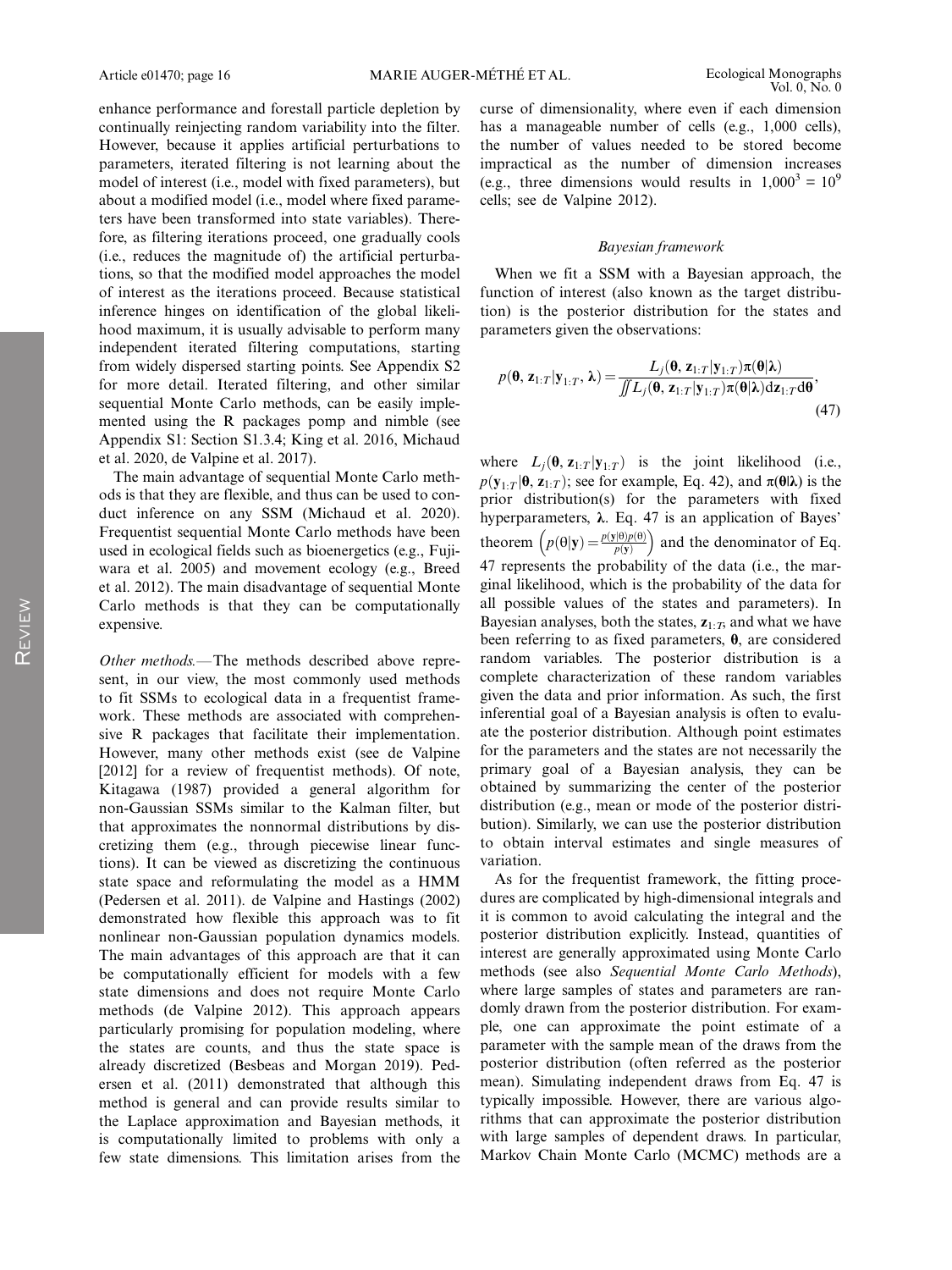enhance performance and forestall particle depletion by continually reinjecting random variability into the filter. However, because it applies artificial perturbations to parameters, iterated filtering is not learning about the model of interest (i.e., model with fixed parameters), but about a modified model (i.e., model where fixed parameters have been transformed into state variables). Therefore, as filtering iterations proceed, one gradually cools (i.e., reduces the magnitude of) the artificial perturbations, so that the modified model approaches the model of interest as the iterations proceed. Because statistical inference hinges on identification of the global likelihood maximum, it is usually advisable to perform many independent iterated filtering computations, starting from widely dispersed starting points. See Appendix S2 for more detail. Iterated filtering, and other similar sequential Monte Carlo methods, can be easily implemented using the R packages pomp and nimble (see Appendix S1: Section S1.3.4; King et al. 2016, Michaud et al. 2020, de Valpine et al. 2017).

The main advantage of sequential Monte Carlo methods is that they are flexible, and thus can be used to conduct inference on any SSM (Michaud et al. 2020). Frequentist sequential Monte Carlo methods have been used in ecological fields such as bioenergetics (e.g., Fujiwara et al. 2005) and movement ecology (e.g., Breed et al. 2012). The main disadvantage of sequential Monte Carlo methods is that they can be computationally expensive.

Other methods.—The methods described above represent, in our view, the most commonly used methods to fit SSMs to ecological data in a frequentist framework. These methods are associated with comprehensive R packages that facilitate their implementation. However, many other methods exist (see de Valpine [2012] for a review of frequentist methods). Of note, Kitagawa (1987) provided a general algorithm for non-Gaussian SSMs similar to the Kalman filter, but that approximates the nonnormal distributions by discretizing them (e.g., through piecewise linear functions). It can be viewed as discretizing the continuous state space and reformulating the model as a HMM (Pedersen et al. 2011). de Valpine and Hastings (2002) demonstrated how flexible this approach was to fit nonlinear non-Gaussian population dynamics models. The main advantages of this approach are that it can be computationally efficient for models with a few state dimensions and does not require Monte Carlo methods (de Valpine 2012). This approach appears particularly promising for population modeling, where the states are counts, and thus the state space is already discretized (Besbeas and Morgan 2019). Pedersen et al. (2011) demonstrated that although this method is general and can provide results similar to the Laplace approximation and Bayesian methods, it is computationally limited to problems with only a few state dimensions. This limitation arises from the curse of dimensionality, where even if each dimension has a manageable number of cells (e.g., 1,000 cells), the number of values needed to be stored become impractical as the number of dimension increases (e.g., three dimensions would results in  $1,000^3 = 10^9$ cells; see de Valpine 2012).

#### Bayesian framework

When we fit a SSM with a Bayesian approach, the function of interest (also known as the target distribution) is the posterior distribution for the states and parameters given the observations:

$$
p(\mathbf{\theta}, \mathbf{z}_{1:T} | \mathbf{y}_{1:T}, \lambda) = \frac{L_j(\mathbf{\theta}, \mathbf{z}_{1:T} | \mathbf{y}_{1:T}) \pi(\mathbf{\theta} | \lambda)}{\iint L_j(\mathbf{\theta}, \mathbf{z}_{1:T} | \mathbf{y}_{1:T}) \pi(\mathbf{\theta} | \lambda) d\mathbf{z}_{1:T} d\mathbf{\theta}},
$$
\n(47)

where  $L_j(\mathbf{\theta}, \mathbf{z}_{1:T} | \mathbf{y}_{1:T})$  is the joint likelihood (i.e.,  $p(\mathbf{y}_{1:T}|\mathbf{\theta}, \mathbf{z}_{1:T})$ ; see for example, Eq. 42), and  $\pi(\mathbf{\theta}|\lambda)$  is the prior distribution(s) for the parameters with fixed hyperparameters, λ. Eq. 47 is an application of Bayes' theorem  $\left(p(\theta|\mathbf{y}) = \frac{p(\mathbf{y}|\theta)p(\theta)}{p(\mathbf{y})}\right)$  and the denominator of Eq. 47 represents the probability of the data (i.e., the marginal likelihood, which is the probability of the data for all possible values of the states and parameters). In Bayesian analyses, both the states,  $z_1$ ,  $\tau$ , and what we have been referring to as fixed parameters, θ, are considered random variables. The posterior distribution is a complete characterization of these random variables given the data and prior information. As such, the first inferential goal of a Bayesian analysis is often to evaluate the posterior distribution. Although point estimates for the parameters and the states are not necessarily the primary goal of a Bayesian analysis, they can be obtained by summarizing the center of the posterior distribution (e.g., mean or mode of the posterior distribution). Similarly, we can use the posterior distribution to obtain interval estimates and single measures of variation.

As for the frequentist framework, the fitting procedures are complicated by high-dimensional integrals and it is common to avoid calculating the integral and the posterior distribution explicitly. Instead, quantities of interest are generally approximated using Monte Carlo methods (see also Sequential Monte Carlo Methods), where large samples of states and parameters are randomly drawn from the posterior distribution. For example, one can approximate the point estimate of a parameter with the sample mean of the draws from the posterior distribution (often referred as the posterior mean). Simulating independent draws from Eq. 47 is typically impossible. However, there are various algorithms that can approximate the posterior distribution with large samples of dependent draws. In particular, Markov Chain Monte Carlo (MCMC) methods are a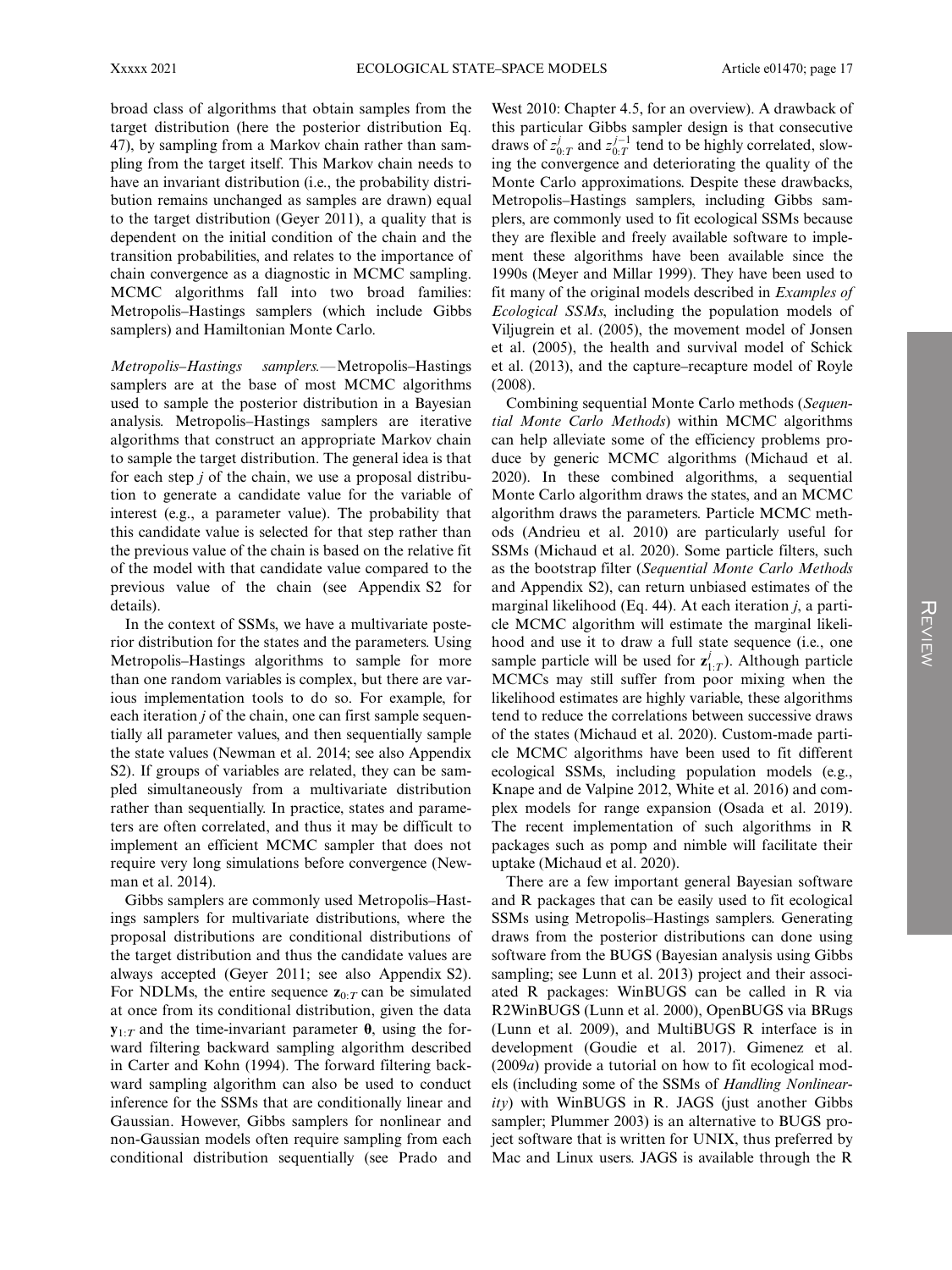broad class of algorithms that obtain samples from the target distribution (here the posterior distribution Eq. 47), by sampling from a Markov chain rather than sampling from the target itself. This Markov chain needs to have an invariant distribution (i.e., the probability distribution remains unchanged as samples are drawn) equal to the target distribution (Geyer 2011), a quality that is dependent on the initial condition of the chain and the transition probabilities, and relates to the importance of chain convergence as a diagnostic in MCMC sampling. MCMC algorithms fall into two broad families: Metropolis–Hastings samplers (which include Gibbs samplers) and Hamiltonian Monte Carlo.

Metropolis–Hastings samplers.—Metropolis–Hastings samplers are at the base of most MCMC algorithms used to sample the posterior distribution in a Bayesian analysis. Metropolis–Hastings samplers are iterative algorithms that construct an appropriate Markov chain to sample the target distribution. The general idea is that for each step j of the chain, we use a proposal distribution to generate a candidate value for the variable of interest (e.g., a parameter value). The probability that this candidate value is selected for that step rather than the previous value of the chain is based on the relative fit of the model with that candidate value compared to the previous value of the chain (see Appendix S2 for details).

In the context of SSMs, we have a multivariate posterior distribution for the states and the parameters. Using Metropolis–Hastings algorithms to sample for more than one random variables is complex, but there are various implementation tools to do so. For example, for each iteration *j* of the chain, one can first sample sequentially all parameter values, and then sequentially sample the state values (Newman et al. 2014; see also Appendix S2). If groups of variables are related, they can be sampled simultaneously from a multivariate distribution rather than sequentially. In practice, states and parameters are often correlated, and thus it may be difficult to implement an efficient MCMC sampler that does not require very long simulations before convergence (Newman et al. 2014).

Gibbs samplers are commonly used Metropolis–Hastings samplers for multivariate distributions, where the proposal distributions are conditional distributions of the target distribution and thus the candidate values are always accepted (Geyer 2011; see also Appendix S2). For NDLMs, the entire sequence  $z_{0:T}$  can be simulated at once from its conditional distribution, given the data  $y_{1:T}$  and the time-invariant parameter  $\theta$ , using the forward filtering backward sampling algorithm described in Carter and Kohn (1994). The forward filtering backward sampling algorithm can also be used to conduct inference for the SSMs that are conditionally linear and Gaussian. However, Gibbs samplers for nonlinear and non-Gaussian models often require sampling from each conditional distribution sequentially (see Prado and

West 2010: Chapter 4.5, for an overview). A drawback of this particular Gibbs sampler design is that consecutive draws of  $z_{0:T}^j$  and  $z_{0:T}^{j-1}$  tend to be highly correlated, slowing the convergence and deteriorating the quality of the Monte Carlo approximations. Despite these drawbacks, Metropolis–Hastings samplers, including Gibbs samplers, are commonly used to fit ecological SSMs because they are flexible and freely available software to implement these algorithms have been available since the 1990s (Meyer and Millar 1999). They have been used to fit many of the original models described in Examples of Ecological SSMs, including the population models of Viljugrein et al. (2005), the movement model of Jonsen et al. (2005), the health and survival model of Schick et al. (2013), and the capture–recapture model of Royle (2008).

Combining sequential Monte Carlo methods (Sequential Monte Carlo Methods) within MCMC algorithms can help alleviate some of the efficiency problems produce by generic MCMC algorithms (Michaud et al. 2020). In these combined algorithms, a sequential Monte Carlo algorithm draws the states, and an MCMC algorithm draws the parameters. Particle MCMC methods (Andrieu et al. 2010) are particularly useful for SSMs (Michaud et al. 2020). Some particle filters, such as the bootstrap filter (Sequential Monte Carlo Methods and Appendix S2), can return unbiased estimates of the marginal likelihood (Eq. 44). At each iteration j, a particle MCMC algorithm will estimate the marginal likelihood and use it to draw a full state sequence (i.e., one sample particle will be used for  $z_{1:T}^j$ ). Although particle MCMCs may still suffer from poor mixing when the likelihood estimates are highly variable, these algorithms tend to reduce the correlations between successive draws of the states (Michaud et al. 2020). Custom-made particle MCMC algorithms have been used to fit different ecological SSMs, including population models (e.g., Knape and de Valpine 2012, White et al. 2016) and complex models for range expansion (Osada et al. 2019). The recent implementation of such algorithms in R packages such as pomp and nimble will facilitate their uptake (Michaud et al. 2020).

There are a few important general Bayesian software and R packages that can be easily used to fit ecological SSMs using Metropolis–Hastings samplers. Generating draws from the posterior distributions can done using software from the BUGS (Bayesian analysis using Gibbs sampling; see Lunn et al. 2013) project and their associated R packages: WinBUGS can be called in R via R2WinBUGS (Lunn et al. 2000), OpenBUGS via BRugs (Lunn et al. 2009), and MultiBUGS R interface is in development (Goudie et al. 2017). Gimenez et al. (2009a) provide a tutorial on how to fit ecological models (including some of the SSMs of Handling Nonlinear $ity)$  with WinBUGS in R. JAGS (just another Gibbs sampler; Plummer 2003) is an alternative to BUGS project software that is written for UNIX, thus preferred by Mac and Linux users. JAGS is available through the R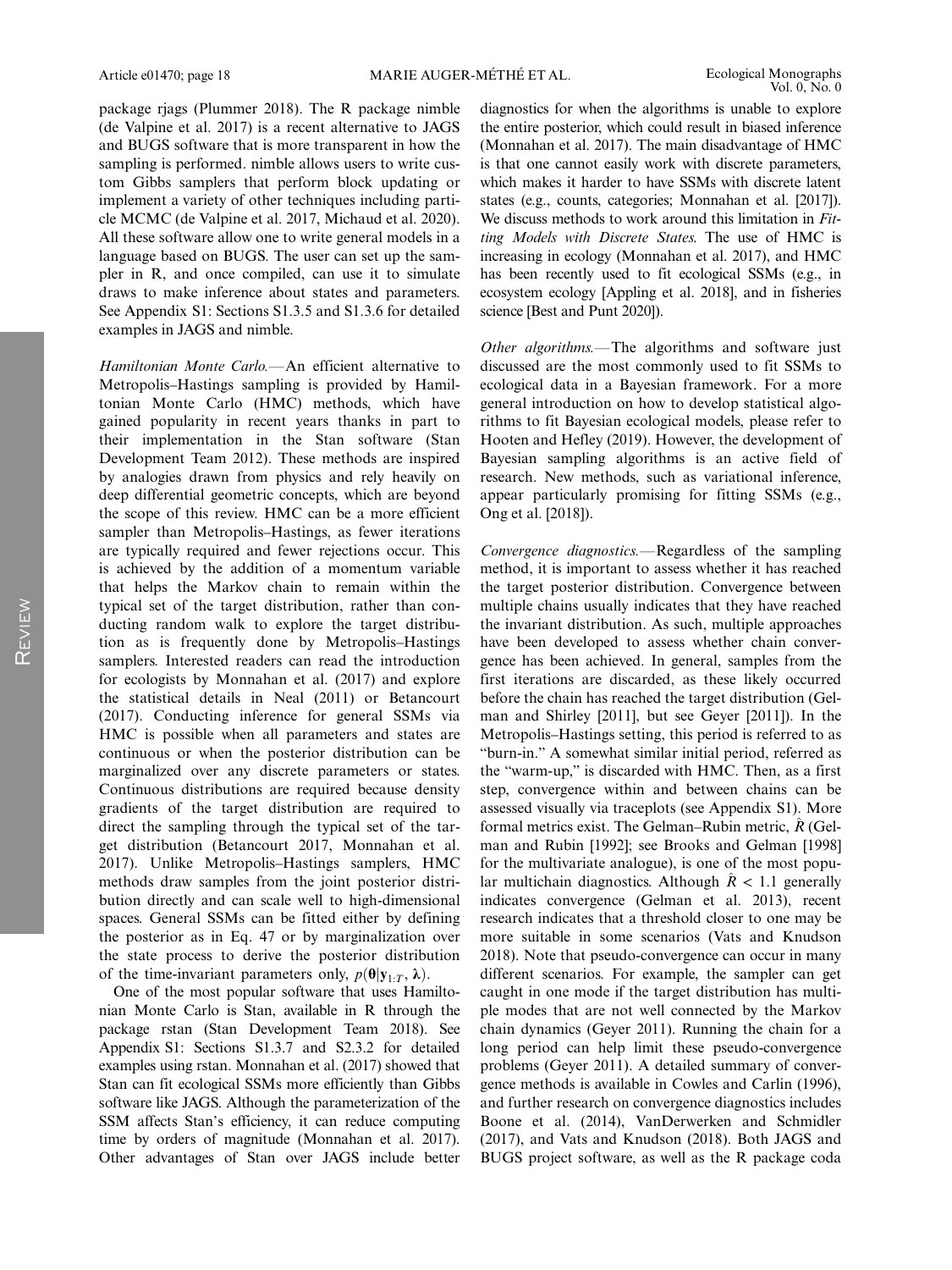package rjags (Plummer 2018). The R package nimble (de Valpine et al. 2017) is a recent alternative to JAGS and BUGS software that is more transparent in how the sampling is performed. nimble allows users to write custom Gibbs samplers that perform block updating or implement a variety of other techniques including particle MCMC (de Valpine et al. 2017, Michaud et al. 2020). All these software allow one to write general models in a language based on BUGS. The user can set up the sampler in R, and once compiled, can use it to simulate draws to make inference about states and parameters. See Appendix S1: Sections S1.3.5 and S1.3.6 for detailed examples in JAGS and nimble.

Hamiltonian Monte Carlo.—An efficient alternative to Metropolis–Hastings sampling is provided by Hamiltonian Monte Carlo (HMC) methods, which have gained popularity in recent years thanks in part to their implementation in the Stan software (Stan Development Team 2012). These methods are inspired by analogies drawn from physics and rely heavily on deep differential geometric concepts, which are beyond the scope of this review. HMC can be a more efficient sampler than Metropolis–Hastings, as fewer iterations are typically required and fewer rejections occur. This is achieved by the addition of a momentum variable that helps the Markov chain to remain within the typical set of the target distribution, rather than conducting random walk to explore the target distribution as is frequently done by Metropolis–Hastings samplers. Interested readers can read the introduction for ecologists by Monnahan et al. (2017) and explore the statistical details in Neal (2011) or Betancourt (2017). Conducting inference for general SSMs via HMC is possible when all parameters and states are continuous or when the posterior distribution can be marginalized over any discrete parameters or states. Continuous distributions are required because density gradients of the target distribution are required to direct the sampling through the typical set of the target distribution (Betancourt 2017, Monnahan et al. 2017). Unlike Metropolis–Hastings samplers, HMC methods draw samples from the joint posterior distribution directly and can scale well to high-dimensional spaces. General SSMs can be fitted either by defining the posterior as in Eq. 47 or by marginalization over the state process to derive the posterior distribution of the time-invariant parameters only,  $p(\theta | y_{1:T}, \lambda)$ .

One of the most popular software that uses Hamiltonian Monte Carlo is Stan, available in R through the package rstan (Stan Development Team 2018). See Appendix S1: Sections S1.3.7 and S2.3.2 for detailed examples using rstan. Monnahan et al. (2017) showed that Stan can fit ecological SSMs more efficiently than Gibbs software like JAGS. Although the parameterization of the SSM affects Stan's efficiency, it can reduce computing time by orders of magnitude (Monnahan et al. 2017). Other advantages of Stan over JAGS include better

diagnostics for when the algorithms is unable to explore the entire posterior, which could result in biased inference (Monnahan et al. 2017). The main disadvantage of HMC is that one cannot easily work with discrete parameters, which makes it harder to have SSMs with discrete latent states (e.g., counts, categories; Monnahan et al. [2017]). We discuss methods to work around this limitation in Fitting Models with Discrete States. The use of HMC is increasing in ecology (Monnahan et al. 2017), and HMC has been recently used to fit ecological SSMs (e.g., in ecosystem ecology [Appling et al. 2018], and in fisheries science [Best and Punt 2020]).

Other algorithms.—The algorithms and software just discussed are the most commonly used to fit SSMs to ecological data in a Bayesian framework. For a more general introduction on how to develop statistical algorithms to fit Bayesian ecological models, please refer to Hooten and Hefley (2019). However, the development of Bayesian sampling algorithms is an active field of research. New methods, such as variational inference, appear particularly promising for fitting SSMs (e.g., Ong et al. [2018]).

Convergence diagnostics.—Regardless of the sampling method, it is important to assess whether it has reached the target posterior distribution. Convergence between multiple chains usually indicates that they have reached the invariant distribution. As such, multiple approaches have been developed to assess whether chain convergence has been achieved. In general, samples from the first iterations are discarded, as these likely occurred before the chain has reached the target distribution (Gelman and Shirley [2011], but see Geyer [2011]). In the Metropolis–Hastings setting, this period is referred to as "burn-in." A somewhat similar initial period, referred as the "warm-up," is discarded with HMC. Then, as a first step, convergence within and between chains can be assessed visually via traceplots (see Appendix S1). More formal metrics exist. The Gelman–Rubin metric,  $\hat{R}$  (Gelman and Rubin [1992]; see Brooks and Gelman [1998] for the multivariate analogue), is one of the most popular multichain diagnostics. Although  $\hat{R}$  < 1.1 generally indicates convergence (Gelman et al. 2013), recent research indicates that a threshold closer to one may be more suitable in some scenarios (Vats and Knudson 2018). Note that pseudo-convergence can occur in many different scenarios. For example, the sampler can get caught in one mode if the target distribution has multiple modes that are not well connected by the Markov chain dynamics (Geyer 2011). Running the chain for a long period can help limit these pseudo-convergence problems (Geyer 2011). A detailed summary of convergence methods is available in Cowles and Carlin (1996), and further research on convergence diagnostics includes Boone et al. (2014), VanDerwerken and Schmidler (2017), and Vats and Knudson (2018). Both JAGS and BUGS project software, as well as the R package coda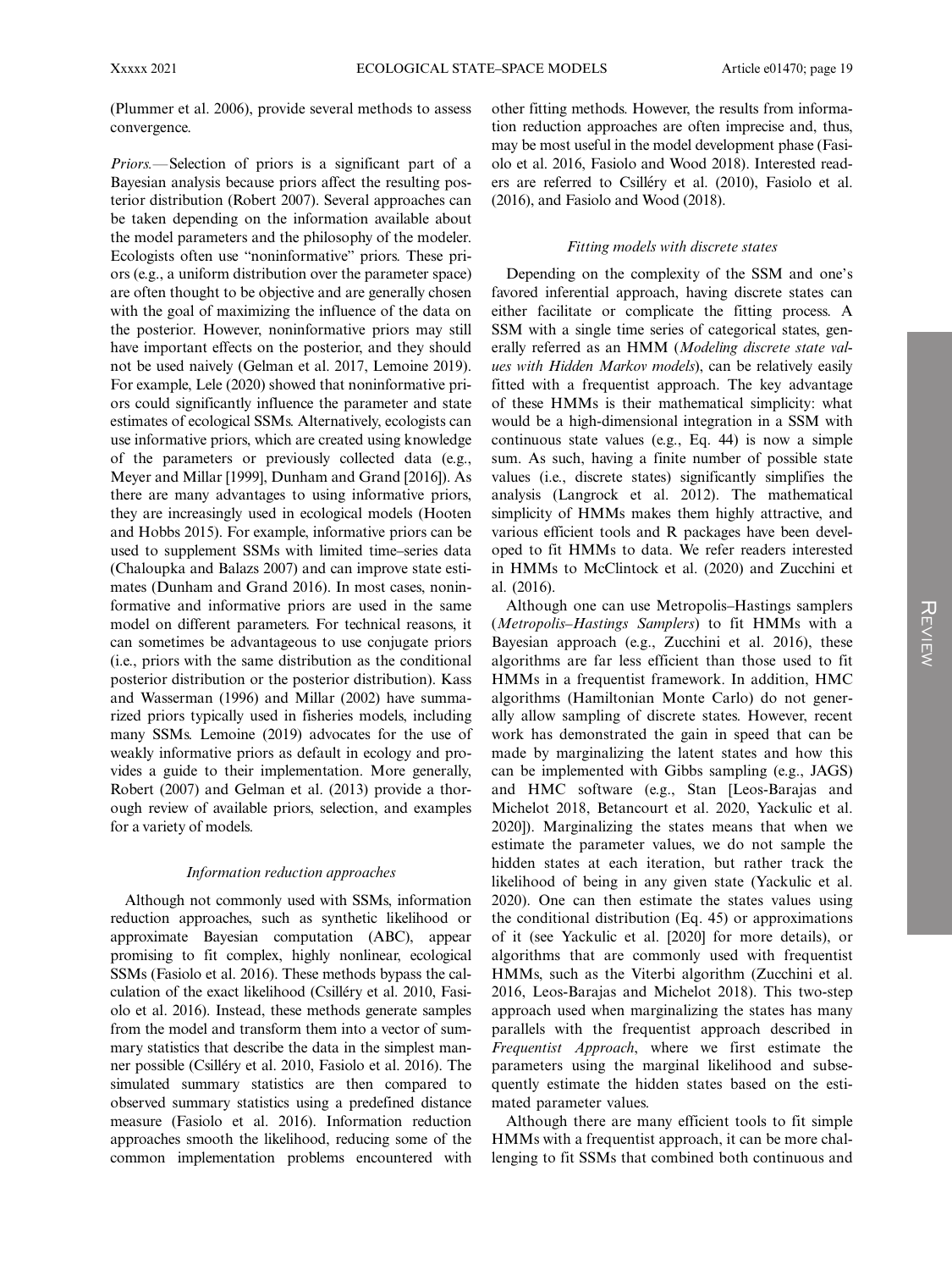(Plummer et al. 2006), provide several methods to assess convergence.

Priors.—Selection of priors is a significant part of a Bayesian analysis because priors affect the resulting posterior distribution (Robert 2007). Several approaches can be taken depending on the information available about the model parameters and the philosophy of the modeler. Ecologists often use "noninformative" priors. These priors (e.g., a uniform distribution over the parameter space) are often thought to be objective and are generally chosen with the goal of maximizing the influence of the data on the posterior. However, noninformative priors may still have important effects on the posterior, and they should not be used naively (Gelman et al. 2017, Lemoine 2019). For example, Lele (2020) showed that noninformative priors could significantly influence the parameter and state estimates of ecological SSMs. Alternatively, ecologists can use informative priors, which are created using knowledge of the parameters or previously collected data (e.g., Meyer and Millar [1999], Dunham and Grand [2016]). As there are many advantages to using informative priors, they are increasingly used in ecological models (Hooten and Hobbs 2015). For example, informative priors can be used to supplement SSMs with limited time–series data (Chaloupka and Balazs 2007) and can improve state estimates (Dunham and Grand 2016). In most cases, noninformative and informative priors are used in the same model on different parameters. For technical reasons, it can sometimes be advantageous to use conjugate priors (i.e., priors with the same distribution as the conditional posterior distribution or the posterior distribution). Kass and Wasserman (1996) and Millar (2002) have summarized priors typically used in fisheries models, including many SSMs. Lemoine (2019) advocates for the use of weakly informative priors as default in ecology and provides a guide to their implementation. More generally, Robert (2007) and Gelman et al. (2013) provide a thorough review of available priors, selection, and examples for a variety of models.

#### Information reduction approaches

Although not commonly used with SSMs, information reduction approaches, such as synthetic likelihood or approximate Bayesian computation (ABC), appear promising to fit complex, highly nonlinear, ecological SSMs (Fasiolo et al. 2016). These methods bypass the calculation of the exact likelihood (Csilléry et al. 2010, Fasiolo et al. 2016). Instead, these methods generate samples from the model and transform them into a vector of summary statistics that describe the data in the simplest manner possible (Csilléry et al. 2010, Fasiolo et al. 2016). The simulated summary statistics are then compared to observed summary statistics using a predefined distance measure (Fasiolo et al. 2016). Information reduction approaches smooth the likelihood, reducing some of the common implementation problems encountered with other fitting methods. However, the results from information reduction approaches are often imprecise and, thus, may be most useful in the model development phase (Fasiolo et al. 2016, Fasiolo and Wood 2018). Interested readers are referred to Csilléry et al. (2010), Fasiolo et al. (2016), and Fasiolo and Wood (2018).

#### Fitting models with discrete states

Depending on the complexity of the SSM and one's favored inferential approach, having discrete states can either facilitate or complicate the fitting process. A SSM with a single time series of categorical states, generally referred as an HMM (Modeling discrete state values with Hidden Markov models), can be relatively easily fitted with a frequentist approach. The key advantage of these HMMs is their mathematical simplicity: what would be a high-dimensional integration in a SSM with continuous state values (e.g., Eq. 44) is now a simple sum. As such, having a finite number of possible state values (i.e., discrete states) significantly simplifies the analysis (Langrock et al. 2012). The mathematical simplicity of HMMs makes them highly attractive, and various efficient tools and R packages have been developed to fit HMMs to data. We refer readers interested in HMMs to McClintock et al. (2020) and Zucchini et al. (2016).

Although one can use Metropolis–Hastings samplers (Metropolis–Hastings Samplers) to fit HMMs with a Bayesian approach (e.g., Zucchini et al. 2016), these algorithms are far less efficient than those used to fit HMMs in a frequentist framework. In addition, HMC algorithms (Hamiltonian Monte Carlo) do not generally allow sampling of discrete states. However, recent work has demonstrated the gain in speed that can be made by marginalizing the latent states and how this can be implemented with Gibbs sampling (e.g., JAGS) and HMC software (e.g., Stan [Leos-Barajas and Michelot 2018, Betancourt et al. 2020, Yackulic et al. 2020]). Marginalizing the states means that when we estimate the parameter values, we do not sample the hidden states at each iteration, but rather track the likelihood of being in any given state (Yackulic et al. 2020). One can then estimate the states values using the conditional distribution (Eq. 45) or approximations of it (see Yackulic et al. [2020] for more details), or algorithms that are commonly used with frequentist HMMs, such as the Viterbi algorithm (Zucchini et al. 2016, Leos-Barajas and Michelot 2018). This two-step approach used when marginalizing the states has many parallels with the frequentist approach described in Frequentist Approach, where we first estimate the parameters using the marginal likelihood and subsequently estimate the hidden states based on the estimated parameter values.

Although there are many efficient tools to fit simple HMMs with a frequentist approach, it can be more challenging to fit SSMs that combined both continuous and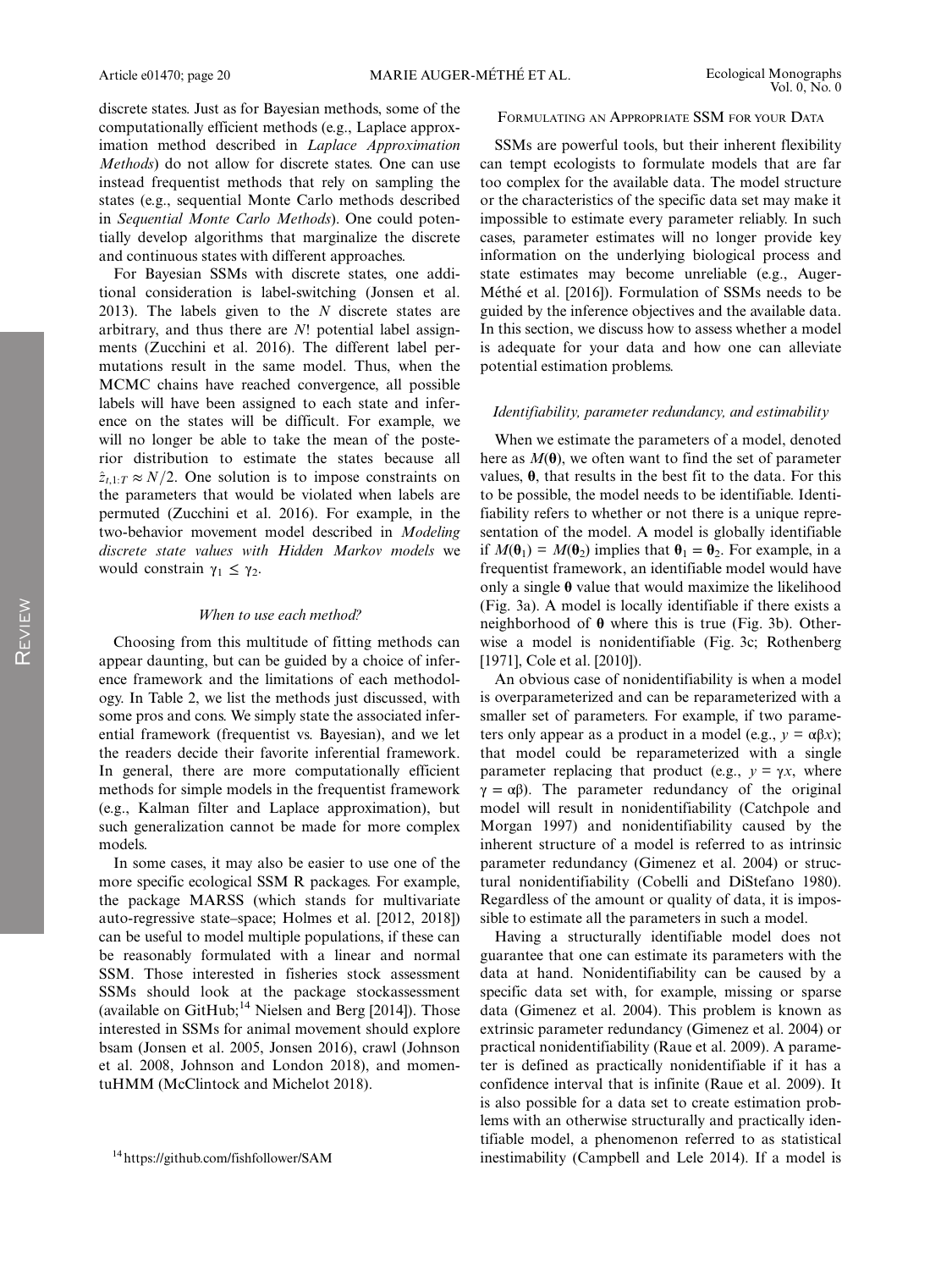discrete states. Just as for Bayesian methods, some of the computationally efficient methods (e.g., Laplace approximation method described in Laplace Approximation Methods) do not allow for discrete states. One can use instead frequentist methods that rely on sampling the states (e.g., sequential Monte Carlo methods described in Sequential Monte Carlo Methods). One could potentially develop algorithms that marginalize the discrete and continuous states with different approaches.

For Bayesian SSMs with discrete states, one additional consideration is label-switching (Jonsen et al. 2013). The labels given to the  $N$  discrete states are arbitrary, and thus there are N! potential label assignments (Zucchini et al. 2016). The different label permutations result in the same model. Thus, when the MCMC chains have reached convergence, all possible labels will have been assigned to each state and inference on the states will be difficult. For example, we will no longer be able to take the mean of the posterior distribution to estimate the states because all  $\hat{z}_{t,1:T} \approx N/2$ . One solution is to impose constraints on the parameters that would be violated when labels are permuted (Zucchini et al. 2016). For example, in the two-behavior movement model described in Modeling discrete state values with Hidden Markov models we would constrain  $\gamma_1 \leq \gamma_2$ .

#### When to use each method?

Choosing from this multitude of fitting methods can appear daunting, but can be guided by a choice of inference framework and the limitations of each methodology. In Table 2, we list the methods just discussed, with some pros and cons. We simply state the associated inferential framework (frequentist vs. Bayesian), and we let the readers decide their favorite inferential framework. In general, there are more computationally efficient methods for simple models in the frequentist framework (e.g., Kalman filter and Laplace approximation), but such generalization cannot be made for more complex models.

In some cases, it may also be easier to use one of the more specific ecological SSM R packages. For example, the package MARSS (which stands for multivariate auto-regressive state–space; Holmes et al. [2012, 2018]) can be useful to model multiple populations, if these can be reasonably formulated with a linear and normal SSM. Those interested in fisheries stock assessment SSMs should look at the package stockassessment (available on GitHub; $^{14}$  Nielsen and Berg [2014]). Those interested in SSMs for animal movement should explore bsam (Jonsen et al. 2005, Jonsen 2016), crawl (Johnson et al. 2008, Johnson and London 2018), and momentuHMM (McClintock and Michelot 2018).

#### FORMULATING AN APPROPRIATE SSM FOR YOUR DATA

SSMs are powerful tools, but their inherent flexibility can tempt ecologists to formulate models that are far too complex for the available data. The model structure or the characteristics of the specific data set may make it impossible to estimate every parameter reliably. In such cases, parameter estimates will no longer provide key information on the underlying biological process and state estimates may become unreliable (e.g., Auger-Méthé et al. [2016]). Formulation of SSMs needs to be guided by the inference objectives and the available data. In this section, we discuss how to assess whether a model is adequate for your data and how one can alleviate potential estimation problems.

#### Identifiability, parameter redundancy, and estimability

When we estimate the parameters of a model, denoted here as  $M(\theta)$ , we often want to find the set of parameter values, θ, that results in the best fit to the data. For this to be possible, the model needs to be identifiable. Identifiability refers to whether or not there is a unique representation of the model. A model is globally identifiable if  $M(\theta_1) = M(\theta_2)$  implies that  $\theta_1 = \theta_2$ . For example, in a frequentist framework, an identifiable model would have only a single  $\theta$  value that would maximize the likelihood (Fig. 3a). A model is locally identifiable if there exists a neighborhood of  $\theta$  where this is true (Fig. 3b). Otherwise a model is nonidentifiable (Fig. 3c; Rothenberg [1971], Cole et al. [2010]).

An obvious case of nonidentifiability is when a model is overparameterized and can be reparameterized with a smaller set of parameters. For example, if two parameters only appear as a product in a model (e.g.,  $y = \alpha \beta x$ ); that model could be reparameterized with a single parameter replacing that product (e.g.,  $y = \gamma x$ , where  $\gamma = \alpha \beta$ ). The parameter redundancy of the original model will result in nonidentifiability (Catchpole and Morgan 1997) and nonidentifiability caused by the inherent structure of a model is referred to as intrinsic parameter redundancy (Gimenez et al. 2004) or structural nonidentifiability (Cobelli and DiStefano 1980). Regardless of the amount or quality of data, it is impossible to estimate all the parameters in such a model.

Having a structurally identifiable model does not guarantee that one can estimate its parameters with the data at hand. Nonidentifiability can be caused by a specific data set with, for example, missing or sparse data (Gimenez et al. 2004). This problem is known as extrinsic parameter redundancy (Gimenez et al. 2004) or practical nonidentifiability (Raue et al. 2009). A parameter is defined as practically nonidentifiable if it has a confidence interval that is infinite (Raue et al. 2009). It is also possible for a data set to create estimation problems with an otherwise structurally and practically identifiable model, a phenomenon referred to as statistical <sup>14</sup><https://github.com/fishfollower/SAM> inestimability (Campbell and Lele 2014). If a model is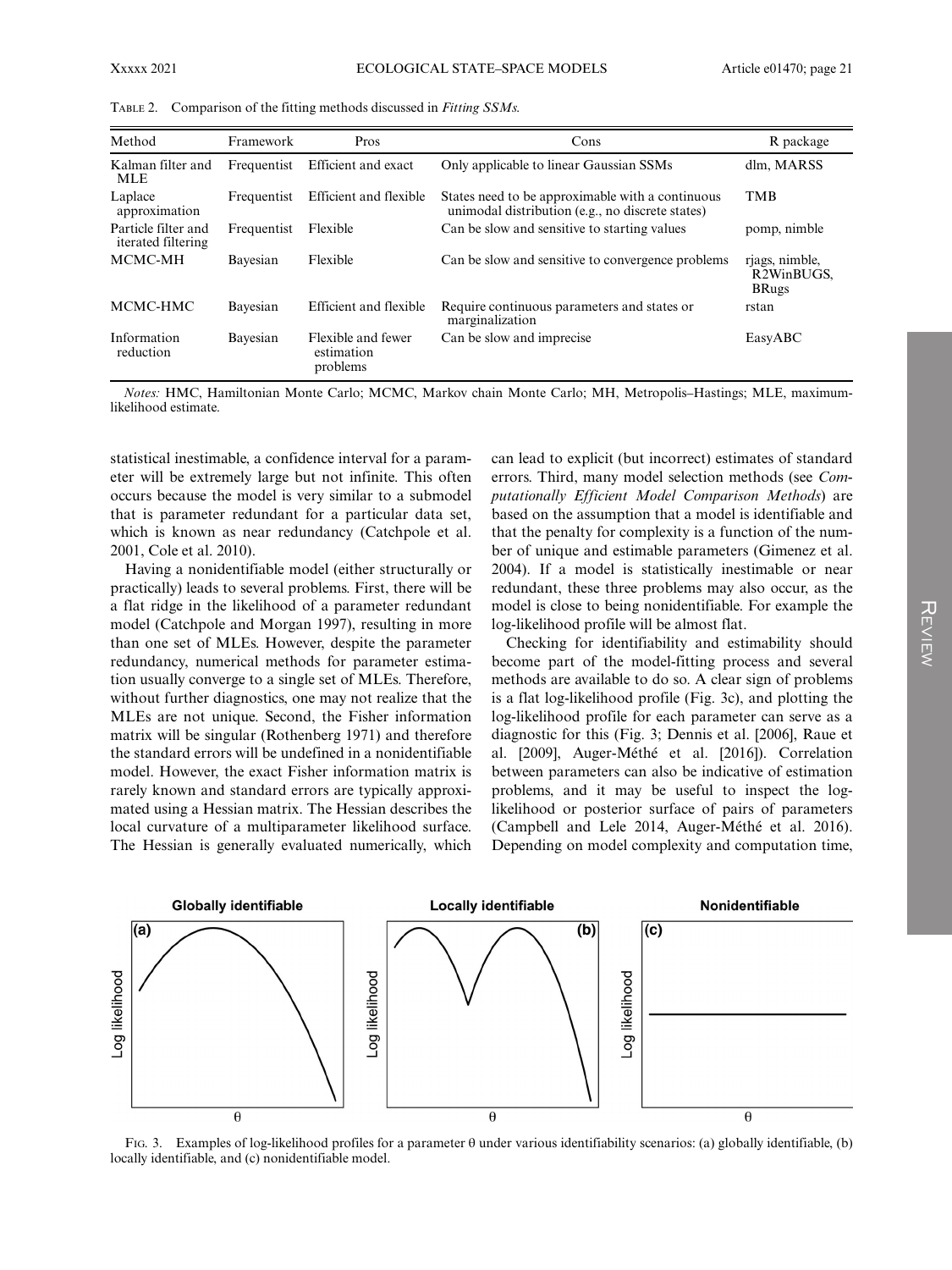| Method                                    | Framework   | Pros                                         | Cons                                                                                                 | R package                                                 |
|-------------------------------------------|-------------|----------------------------------------------|------------------------------------------------------------------------------------------------------|-----------------------------------------------------------|
| Kalman filter and<br><b>MLE</b>           | Frequentist | Efficient and exact                          | Only applicable to linear Gaussian SSMs                                                              | dlm, MARSS                                                |
| Laplace<br>approximation                  | Frequentist | Efficient and flexible                       | States need to be approximable with a continuous<br>unimodal distribution (e.g., no discrete states) | <b>TMB</b>                                                |
| Particle filter and<br>iterated filtering | Frequentist | Flexible                                     | Can be slow and sensitive to starting values                                                         | pomp, nimble                                              |
| MCMC-MH                                   | Bayesian    | Flexible                                     | Can be slow and sensitive to convergence problems                                                    | rjags, nimble,<br>R <sub>2</sub> WinBUGS.<br><b>BRugs</b> |
| MCMC-HMC                                  | Bayesian    | Efficient and flexible                       | Require continuous parameters and states or<br>marginalization                                       | rstan                                                     |
| Information<br>reduction                  | Bayesian    | Flexible and fewer<br>estimation<br>problems | Can be slow and imprecise                                                                            | EasyABC                                                   |

TABLE 2. Comparison of the fitting methods discussed in Fitting SSMs.

Notes: HMC, Hamiltonian Monte Carlo; MCMC, Markov chain Monte Carlo; MH, Metropolis–Hastings; MLE, maximumlikelihood estimate.

statistical inestimable, a confidence interval for a parameter will be extremely large but not infinite. This often occurs because the model is very similar to a submodel that is parameter redundant for a particular data set, which is known as near redundancy (Catchpole et al. 2001, Cole et al. 2010).

Having a nonidentifiable model (either structurally or practically) leads to several problems. First, there will be a flat ridge in the likelihood of a parameter redundant model (Catchpole and Morgan 1997), resulting in more than one set of MLEs. However, despite the parameter redundancy, numerical methods for parameter estimation usually converge to a single set of MLEs. Therefore, without further diagnostics, one may not realize that the MLEs are not unique. Second, the Fisher information matrix will be singular (Rothenberg 1971) and therefore the standard errors will be undefined in a nonidentifiable model. However, the exact Fisher information matrix is rarely known and standard errors are typically approximated using a Hessian matrix. The Hessian describes the local curvature of a multiparameter likelihood surface. The Hessian is generally evaluated numerically, which

can lead to explicit (but incorrect) estimates of standard errors. Third, many model selection methods (see Computationally Efficient Model Comparison Methods) are based on the assumption that a model is identifiable and that the penalty for complexity is a function of the number of unique and estimable parameters (Gimenez et al. 2004). If a model is statistically inestimable or near redundant, these three problems may also occur, as the model is close to being nonidentifiable. For example the log-likelihood profile will be almost flat.

Checking for identifiability and estimability should become part of the model-fitting process and several methods are available to do so. A clear sign of problems is a flat log-likelihood profile (Fig. 3c), and plotting the log-likelihood profile for each parameter can serve as a diagnostic for this (Fig. 3; Dennis et al. [2006], Raue et al.  $[2009]$ , Auger-Méthé et al.  $[2016]$ ). Correlation between parameters can also be indicative of estimation problems, and it may be useful to inspect the loglikelihood or posterior surface of pairs of parameters (Campbell and Lele 2014, Auger-Méthé et al. 2016). Depending on model complexity and computation time,



FIG. 3. Examples of log-likelihood profiles for a parameter θ under various identifiability scenarios: (a) globally identifiable, (b) locally identifiable, and (c) nonidentifiable model.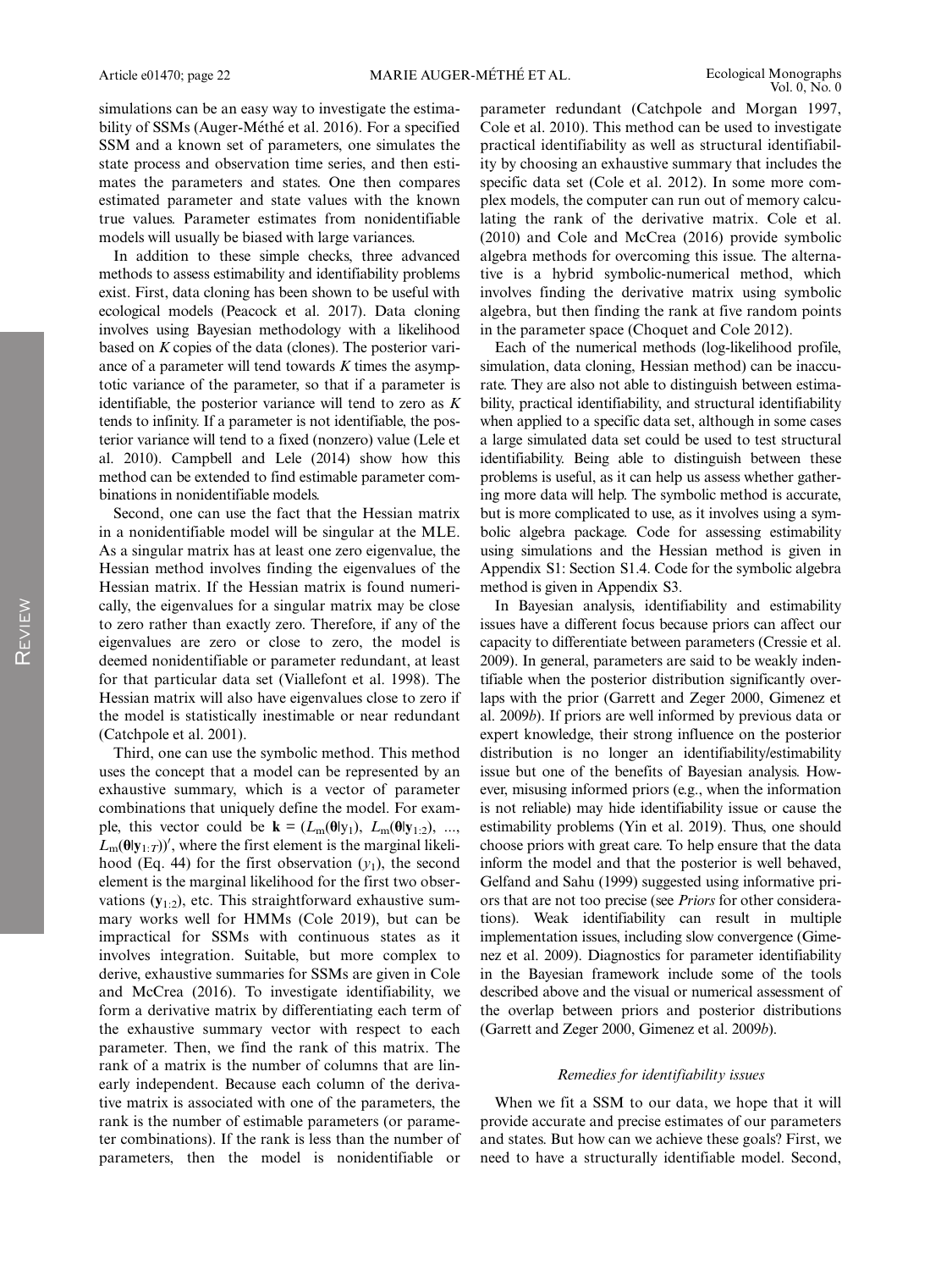simulations can be an easy way to investigate the estimability of SSMs (Auger-Méthé et al. 2016). For a specified SSM and a known set of parameters, one simulates the state process and observation time series, and then estimates the parameters and states. One then compares estimated parameter and state values with the known true values. Parameter estimates from nonidentifiable models will usually be biased with large variances.

In addition to these simple checks, three advanced methods to assess estimability and identifiability problems exist. First, data cloning has been shown to be useful with ecological models (Peacock et al. 2017). Data cloning involves using Bayesian methodology with a likelihood based on K copies of the data (clones). The posterior variance of a parameter will tend towards  $K$  times the asymptotic variance of the parameter, so that if a parameter is identifiable, the posterior variance will tend to zero as  $K$ tends to infinity. If a parameter is not identifiable, the posterior variance will tend to a fixed (nonzero) value (Lele et al. 2010). Campbell and Lele (2014) show how this method can be extended to find estimable parameter combinations in nonidentifiable models.

Second, one can use the fact that the Hessian matrix in a nonidentifiable model will be singular at the MLE. As a singular matrix has at least one zero eigenvalue, the Hessian method involves finding the eigenvalues of the Hessian matrix. If the Hessian matrix is found numerically, the eigenvalues for a singular matrix may be close to zero rather than exactly zero. Therefore, if any of the eigenvalues are zero or close to zero, the model is deemed nonidentifiable or parameter redundant, at least for that particular data set (Viallefont et al. 1998). The Hessian matrix will also have eigenvalues close to zero if the model is statistically inestimable or near redundant (Catchpole et al. 2001).

Third, one can use the symbolic method. This method uses the concept that a model can be represented by an exhaustive summary, which is a vector of parameter combinations that uniquely define the model. For example, this vector could be  $\mathbf{k} = (L_m(\theta | y_1), L_m(\theta | y_1, z), ...,$  $L_m(\theta|\mathbf{y}_{1:T})'$ , where the first element is the marginal likelihood (Eq. 44) for the first observation  $(y_1)$ , the second element is the marginal likelihood for the first two observations  $(y_{1:2})$ , etc. This straightforward exhaustive summary works well for HMMs (Cole 2019), but can be impractical for SSMs with continuous states as it involves integration. Suitable, but more complex to derive, exhaustive summaries for SSMs are given in Cole and McCrea (2016). To investigate identifiability, we form a derivative matrix by differentiating each term of the exhaustive summary vector with respect to each parameter. Then, we find the rank of this matrix. The rank of a matrix is the number of columns that are linearly independent. Because each column of the derivative matrix is associated with one of the parameters, the rank is the number of estimable parameters (or parameter combinations). If the rank is less than the number of parameters, then the model is nonidentifiable or

parameter redundant (Catchpole and Morgan 1997, Cole et al. 2010). This method can be used to investigate practical identifiability as well as structural identifiability by choosing an exhaustive summary that includes the specific data set (Cole et al. 2012). In some more complex models, the computer can run out of memory calculating the rank of the derivative matrix. Cole et al. (2010) and Cole and McCrea (2016) provide symbolic algebra methods for overcoming this issue. The alternative is a hybrid symbolic-numerical method, which involves finding the derivative matrix using symbolic algebra, but then finding the rank at five random points in the parameter space (Choquet and Cole 2012).

Each of the numerical methods (log-likelihood profile, simulation, data cloning, Hessian method) can be inaccurate. They are also not able to distinguish between estimability, practical identifiability, and structural identifiability when applied to a specific data set, although in some cases a large simulated data set could be used to test structural identifiability. Being able to distinguish between these problems is useful, as it can help us assess whether gathering more data will help. The symbolic method is accurate, but is more complicated to use, as it involves using a symbolic algebra package. Code for assessing estimability using simulations and the Hessian method is given in Appendix S1: Section S1.4. Code for the symbolic algebra method is given in Appendix S3.

In Bayesian analysis, identifiability and estimability issues have a different focus because priors can affect our capacity to differentiate between parameters (Cressie et al. 2009). In general, parameters are said to be weakly indentifiable when the posterior distribution significantly overlaps with the prior (Garrett and Zeger 2000, Gimenez et al. 2009b). If priors are well informed by previous data or expert knowledge, their strong influence on the posterior distribution is no longer an identifiability/estimability issue but one of the benefits of Bayesian analysis. However, misusing informed priors (e.g., when the information is not reliable) may hide identifiability issue or cause the estimability problems (Yin et al. 2019). Thus, one should choose priors with great care. To help ensure that the data inform the model and that the posterior is well behaved, Gelfand and Sahu (1999) suggested using informative priors that are not too precise (see Priors for other considerations). Weak identifiability can result in multiple implementation issues, including slow convergence (Gimenez et al. 2009). Diagnostics for parameter identifiability in the Bayesian framework include some of the tools described above and the visual or numerical assessment of the overlap between priors and posterior distributions (Garrett and Zeger 2000, Gimenez et al. 2009b).

#### Remedies for identifiability issues

When we fit a SSM to our data, we hope that it will provide accurate and precise estimates of our parameters and states. But how can we achieve these goals? First, we need to have a structurally identifiable model. Second,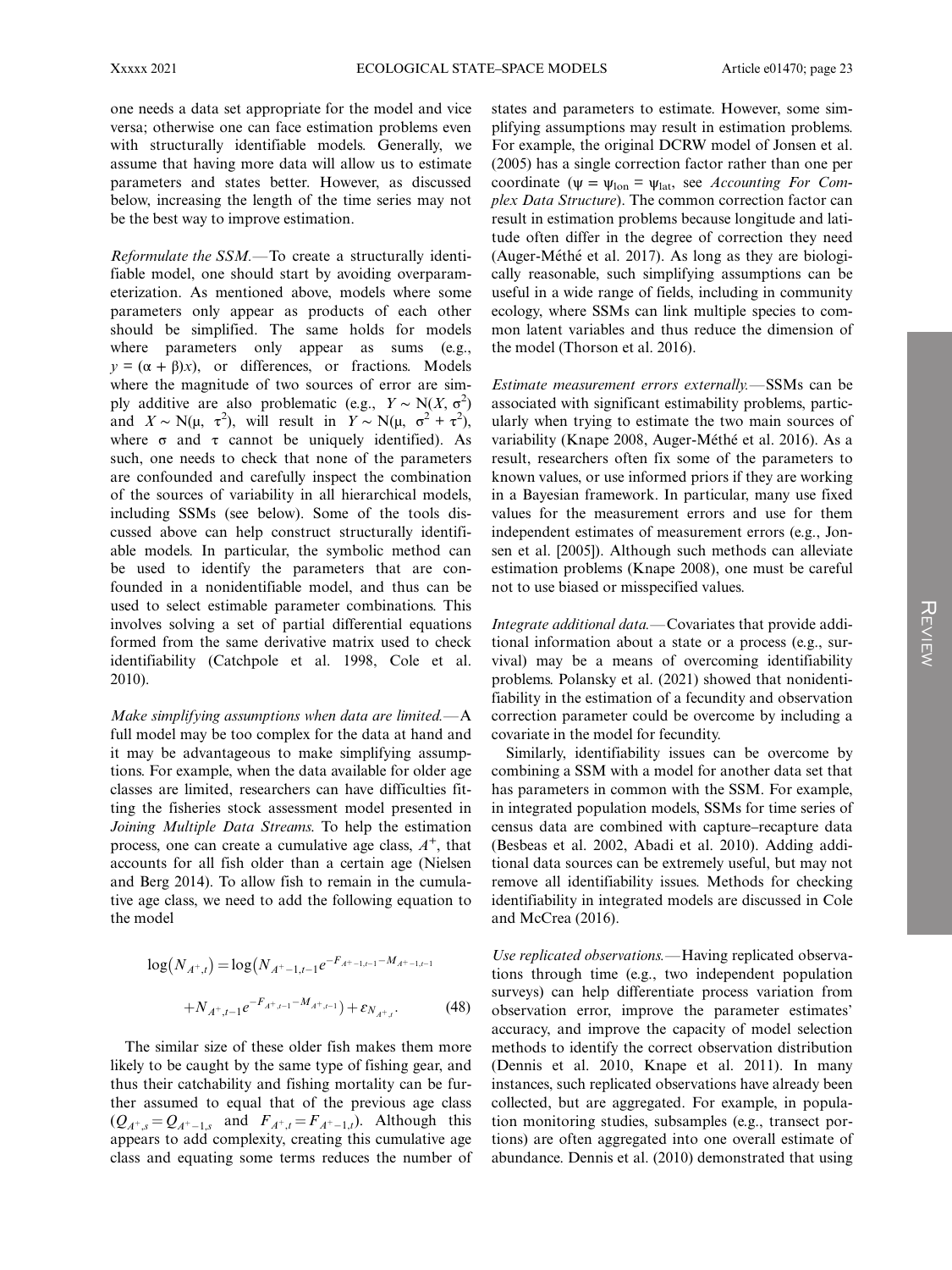one needs a data set appropriate for the model and vice versa; otherwise one can face estimation problems even with structurally identifiable models. Generally, we assume that having more data will allow us to estimate parameters and states better. However, as discussed below, increasing the length of the time series may not be the best way to improve estimation.

Reformulate the SSM.—To create a structurally identifiable model, one should start by avoiding overparameterization. As mentioned above, models where some parameters only appear as products of each other should be simplified. The same holds for models where parameters only appear as sums (e.g.,  $y = (\alpha + \beta)x$ , or differences, or fractions. Models where the magnitude of two sources of error are simply additive are also problematic (e.g.,  $Y \sim N(X, \sigma^2)$ and  $X \sim N(\mu, \tau^2)$ , will result in  $Y \sim N(\mu, \sigma^2 + \tau^2)$ , where  $\sigma$  and  $\tau$  cannot be uniquely identified). As such, one needs to check that none of the parameters are confounded and carefully inspect the combination of the sources of variability in all hierarchical models, including SSMs (see below). Some of the tools discussed above can help construct structurally identifiable models. In particular, the symbolic method can be used to identify the parameters that are confounded in a nonidentifiable model, and thus can be used to select estimable parameter combinations. This involves solving a set of partial differential equations formed from the same derivative matrix used to check identifiability (Catchpole et al. 1998, Cole et al. 2010).

Make simplifying assumptions when data are limited. $-A$ full model may be too complex for the data at hand and it may be advantageous to make simplifying assumptions. For example, when the data available for older age classes are limited, researchers can have difficulties fitting the fisheries stock assessment model presented in Joining Multiple Data Streams. To help the estimation process, one can create a cumulative age class,  $A^+$ , that accounts for all fish older than a certain age (Nielsen and Berg 2014). To allow fish to remain in the cumulative age class, we need to add the following equation to the model

$$
\log(N_{A^+,t}) = \log(N_{A^+-1,t-1}e^{-F_{A^+-1,t-1}-M_{A^+-1,t-1}}
$$

$$
+ N_{A^+,t-1}e^{-F_{A^+,t-1}-M_{A^+,t-1}}) + \varepsilon_{N_{A^+,t}}.
$$
(48)

The similar size of these older fish makes them more likely to be caught by the same type of fishing gear, and thus their catchability and fishing mortality can be further assumed to equal that of the previous age class  $(Q_{A^+,s} = Q_{A^+-1,s}$  and  $F_{A^+,t} = F_{A^+-1,t}$ ). Although this appears to add complexity, creating this cumulative age class and equating some terms reduces the number of states and parameters to estimate. However, some simplifying assumptions may result in estimation problems. For example, the original DCRW model of Jonsen et al. (2005) has a single correction factor rather than one per coordinate ( $\psi = \psi_{\text{lon}} = \psi_{\text{lat}}$ , see Accounting For Complex Data Structure). The common correction factor can result in estimation problems because longitude and latitude often differ in the degree of correction they need (Auger-Méthé et al. 2017). As long as they are biologically reasonable, such simplifying assumptions can be useful in a wide range of fields, including in community ecology, where SSMs can link multiple species to common latent variables and thus reduce the dimension of the model (Thorson et al. 2016).

Estimate measurement errors externally.—SSMs can be associated with significant estimability problems, particularly when trying to estimate the two main sources of variability (Knape 2008, Auger-Méthé et al. 2016). As a result, researchers often fix some of the parameters to known values, or use informed priors if they are working in a Bayesian framework. In particular, many use fixed values for the measurement errors and use for them independent estimates of measurement errors (e.g., Jonsen et al. [2005]). Although such methods can alleviate estimation problems (Knape 2008), one must be careful not to use biased or misspecified values.

Integrate additional data.—Covariates that provide additional information about a state or a process (e.g., survival) may be a means of overcoming identifiability problems. Polansky et al. (2021) showed that nonidentifiability in the estimation of a fecundity and observation correction parameter could be overcome by including a covariate in the model for fecundity.

Similarly, identifiability issues can be overcome by combining a SSM with a model for another data set that has parameters in common with the SSM. For example, in integrated population models, SSMs for time series of census data are combined with capture–recapture data (Besbeas et al. 2002, Abadi et al. 2010). Adding additional data sources can be extremely useful, but may not remove all identifiability issues. Methods for checking identifiability in integrated models are discussed in Cole and McCrea (2016).

Use replicated observations.—Having replicated observations through time (e.g., two independent population surveys) can help differentiate process variation from observation error, improve the parameter estimates' accuracy, and improve the capacity of model selection methods to identify the correct observation distribution (Dennis et al. 2010, Knape et al. 2011). In many instances, such replicated observations have already been collected, but are aggregated. For example, in population monitoring studies, subsamples (e.g., transect portions) are often aggregated into one overall estimate of abundance. Dennis et al. (2010) demonstrated that using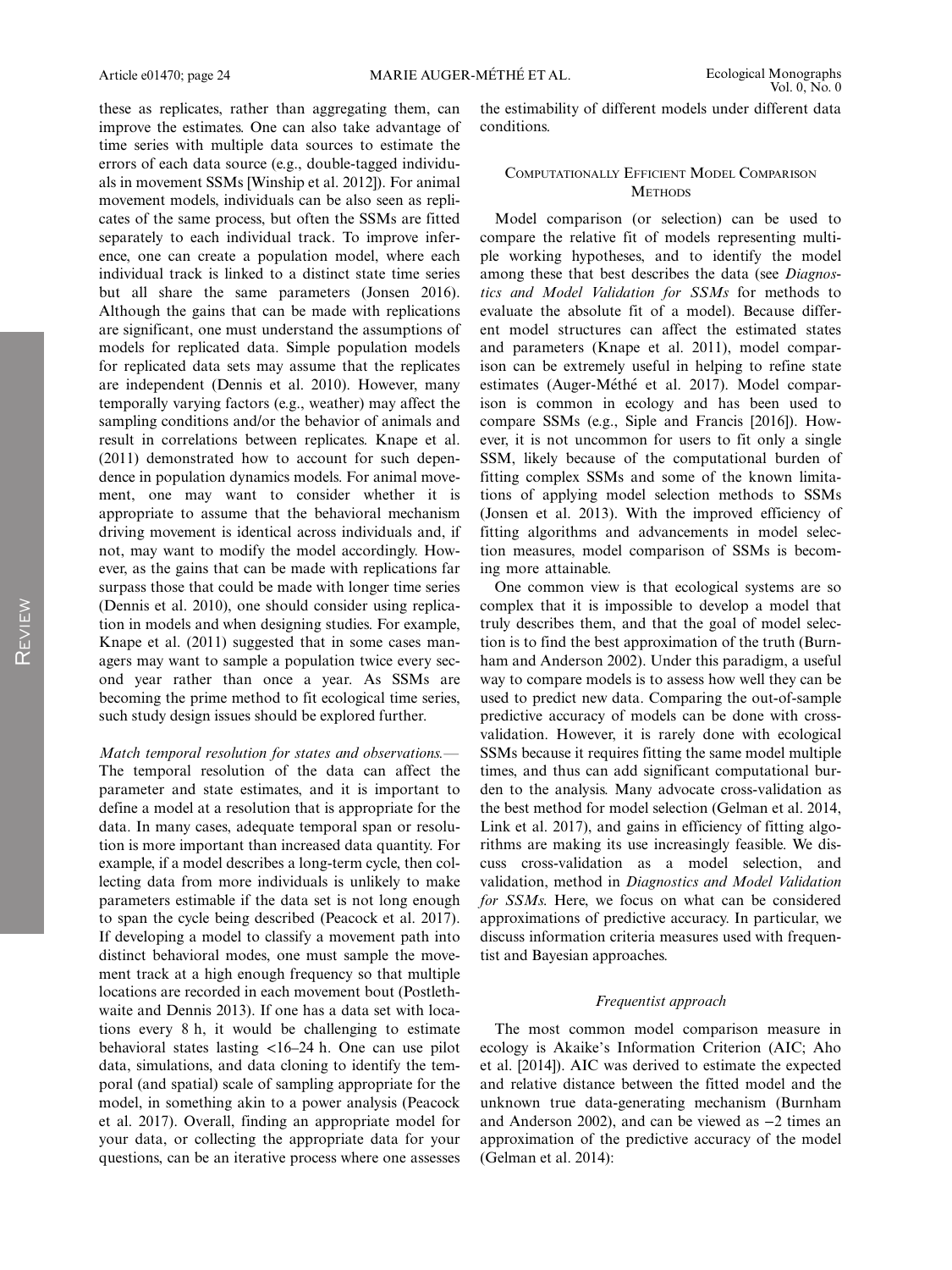these as replicates, rather than aggregating them, can improve the estimates. One can also take advantage of time series with multiple data sources to estimate the errors of each data source (e.g., double-tagged individuals in movement SSMs [Winship et al. 2012]). For animal movement models, individuals can be also seen as replicates of the same process, but often the SSMs are fitted separately to each individual track. To improve inference, one can create a population model, where each individual track is linked to a distinct state time series but all share the same parameters (Jonsen 2016). Although the gains that can be made with replications are significant, one must understand the assumptions of models for replicated data. Simple population models for replicated data sets may assume that the replicates are independent (Dennis et al. 2010). However, many temporally varying factors (e.g., weather) may affect the sampling conditions and/or the behavior of animals and result in correlations between replicates. Knape et al. (2011) demonstrated how to account for such dependence in population dynamics models. For animal movement, one may want to consider whether it is appropriate to assume that the behavioral mechanism driving movement is identical across individuals and, if not, may want to modify the model accordingly. However, as the gains that can be made with replications far surpass those that could be made with longer time series (Dennis et al. 2010), one should consider using replication in models and when designing studies. For example, Knape et al. (2011) suggested that in some cases managers may want to sample a population twice every second year rather than once a year. As SSMs are becoming the prime method to fit ecological time series, such study design issues should be explored further.

#### Match temporal resolution for states and observations.—

The temporal resolution of the data can affect the parameter and state estimates, and it is important to define a model at a resolution that is appropriate for the data. In many cases, adequate temporal span or resolution is more important than increased data quantity. For example, if a model describes a long-term cycle, then collecting data from more individuals is unlikely to make parameters estimable if the data set is not long enough to span the cycle being described (Peacock et al. 2017). If developing a model to classify a movement path into distinct behavioral modes, one must sample the movement track at a high enough frequency so that multiple locations are recorded in each movement bout (Postlethwaite and Dennis 2013). If one has a data set with locations every 8 h, it would be challenging to estimate behavioral states lasting <16–24 h. One can use pilot data, simulations, and data cloning to identify the temporal (and spatial) scale of sampling appropriate for the model, in something akin to a power analysis (Peacock et al. 2017). Overall, finding an appropriate model for your data, or collecting the appropriate data for your questions, can be an iterative process where one assesses the estimability of different models under different data conditions.

#### COMPUTATIONALLY EFFICIENT MODEL COMPARISON **METHODS**

Model comparison (or selection) can be used to compare the relative fit of models representing multiple working hypotheses, and to identify the model among these that best describes the data (see Diagnostics and Model Validation for SSMs for methods to evaluate the absolute fit of a model). Because different model structures can affect the estimated states and parameters (Knape et al. 2011), model comparison can be extremely useful in helping to refine state estimates (Auger-Méthé et al. 2017). Model comparison is common in ecology and has been used to compare SSMs (e.g., Siple and Francis [2016]). However, it is not uncommon for users to fit only a single SSM, likely because of the computational burden of fitting complex SSMs and some of the known limitations of applying model selection methods to SSMs (Jonsen et al. 2013). With the improved efficiency of fitting algorithms and advancements in model selection measures, model comparison of SSMs is becoming more attainable.

One common view is that ecological systems are so complex that it is impossible to develop a model that truly describes them, and that the goal of model selection is to find the best approximation of the truth (Burnham and Anderson 2002). Under this paradigm, a useful way to compare models is to assess how well they can be used to predict new data. Comparing the out-of-sample predictive accuracy of models can be done with crossvalidation. However, it is rarely done with ecological SSMs because it requires fitting the same model multiple times, and thus can add significant computational burden to the analysis. Many advocate cross-validation as the best method for model selection (Gelman et al. 2014, Link et al. 2017), and gains in efficiency of fitting algorithms are making its use increasingly feasible. We discuss cross-validation as a model selection, and validation, method in Diagnostics and Model Validation for SSMs. Here, we focus on what can be considered approximations of predictive accuracy. In particular, we discuss information criteria measures used with frequentist and Bayesian approaches.

#### Frequentist approach

The most common model comparison measure in ecology is Akaike's Information Criterion (AIC; Aho et al. [2014]). AIC was derived to estimate the expected and relative distance between the fitted model and the unknown true data-generating mechanism (Burnham and Anderson 2002), and can be viewed as −2 times an approximation of the predictive accuracy of the model (Gelman et al. 2014):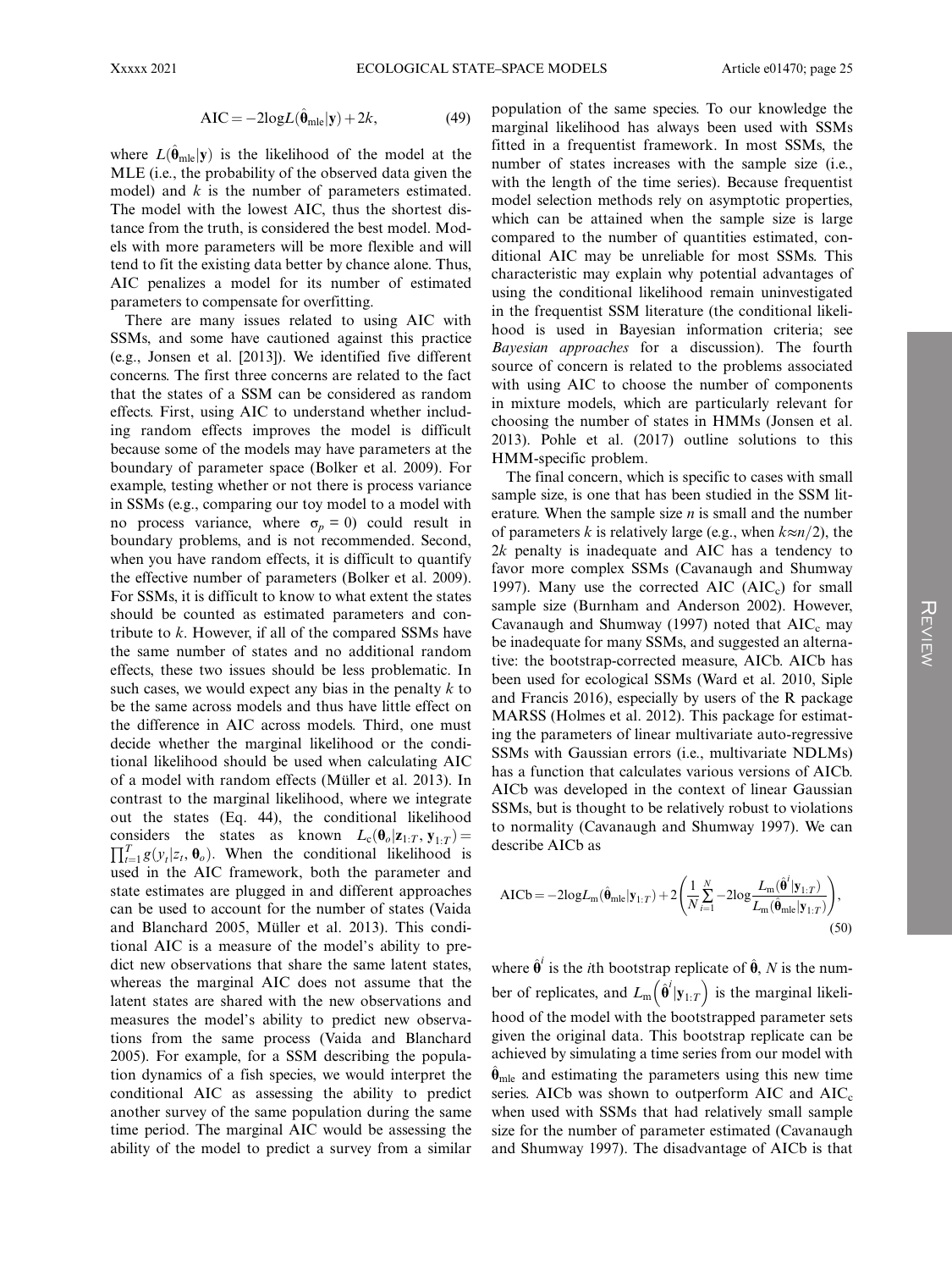$$
AIC = -2logL(\hat{\theta}_{mle}|\mathbf{y}) + 2k,
$$
 (49)

where  $L(\hat{\theta}_{mle}|\mathbf{y})$  is the likelihood of the model at the MLE (i.e., the probability of the observed data given the model) and  $k$  is the number of parameters estimated. The model with the lowest AIC, thus the shortest distance from the truth, is considered the best model. Models with more parameters will be more flexible and will tend to fit the existing data better by chance alone. Thus, AIC penalizes a model for its number of estimated parameters to compensate for overfitting.

There are many issues related to using AIC with SSMs, and some have cautioned against this practice (e.g., Jonsen et al. [2013]). We identified five different concerns. The first three concerns are related to the fact that the states of a SSM can be considered as random effects. First, using AIC to understand whether including random effects improves the model is difficult because some of the models may have parameters at the boundary of parameter space (Bolker et al. 2009). For example, testing whether or not there is process variance in SSMs (e.g., comparing our toy model to a model with no process variance, where  $\sigma_p = 0$ ) could result in boundary problems, and is not recommended. Second, when you have random effects, it is difficult to quantify the effective number of parameters (Bolker et al. 2009). For SSMs, it is difficult to know to what extent the states should be counted as estimated parameters and contribute to  $k$ . However, if all of the compared SSMs have the same number of states and no additional random effects, these two issues should be less problematic. In such cases, we would expect any bias in the penalty  $k$  to be the same across models and thus have little effect on the difference in AIC across models. Third, one must decide whether the marginal likelihood or the conditional likelihood should be used when calculating AIC of a model with random effects (Müller et al. 2013). In contrast to the marginal likelihood, where we integrate out the states (Eq. 44), the conditional likelihood considers the states as known  $L_c(\theta_o | z_{1:T}, y_{1:T}) =$  $\prod_{t=1}^{T} g(y_t | z_t, \theta_o)$ . When the conditional likelihood is used in the AIC framework, both the parameter and state estimates are plugged in and different approaches can be used to account for the number of states (Vaida and Blanchard 2005, Müller et al. 2013). This conditional AIC is a measure of the model's ability to predict new observations that share the same latent states, whereas the marginal AIC does not assume that the latent states are shared with the new observations and measures the model's ability to predict new observations from the same process (Vaida and Blanchard 2005). For example, for a SSM describing the population dynamics of a fish species, we would interpret the conditional AIC as assessing the ability to predict another survey of the same population during the same time period. The marginal AIC would be assessing the ability of the model to predict a survey from a similar

population of the same species. To our knowledge the marginal likelihood has always been used with SSMs fitted in a frequentist framework. In most SSMs, the number of states increases with the sample size (i.e., with the length of the time series). Because frequentist model selection methods rely on asymptotic properties, which can be attained when the sample size is large compared to the number of quantities estimated, conditional AIC may be unreliable for most SSMs. This characteristic may explain why potential advantages of using the conditional likelihood remain uninvestigated in the frequentist SSM literature (the conditional likelihood is used in Bayesian information criteria; see Bayesian approaches for a discussion). The fourth source of concern is related to the problems associated with using AIC to choose the number of components in mixture models, which are particularly relevant for choosing the number of states in HMMs (Jonsen et al. 2013). Pohle et al. (2017) outline solutions to this HMM-specific problem.

The final concern, which is specific to cases with small sample size, is one that has been studied in the SSM literature. When the sample size  $n$  is small and the number of parameters k is relatively large (e.g., when  $k \approx n/2$ ), the  $2k$  penalty is inadequate and AIC has a tendency to favor more complex SSMs (Cavanaugh and Shumway 1997). Many use the corrected  $AIC$  ( $AIC<sub>c</sub>$ ) for small sample size (Burnham and Anderson 2002). However, Cavanaugh and Shumway (1997) noted that  $AIC_c$  may be inadequate for many SSMs, and suggested an alternative: the bootstrap-corrected measure, AICb. AICb has been used for ecological SSMs (Ward et al. 2010, Siple and Francis 2016), especially by users of the R package MARSS (Holmes et al. 2012). This package for estimating the parameters of linear multivariate auto-regressive SSMs with Gaussian errors (i.e., multivariate NDLMs) has a function that calculates various versions of AICb. AICb was developed in the context of linear Gaussian SSMs, but is thought to be relatively robust to violations to normality (Cavanaugh and Shumway 1997). We can describe AICb as

$$
AICb = -2logL_m(\hat{\boldsymbol{\theta}}_{mle}|\mathbf{y}_{1:T}) + 2\left(\frac{1}{N}\sum_{i=1}^{N} -2log\frac{L_m(\hat{\boldsymbol{\theta}}^i|\mathbf{y}_{1:T})}{L_m(\hat{\boldsymbol{\theta}}_{mle}|\mathbf{y}_{1:T})}\right),\tag{50}
$$

where  $\hat{\theta}^i$  is the *i*th bootstrap replicate of  $\hat{\theta}$ , N is the number of replicates, and  $L_m(\hat{\theta}^i | y_{1:T})$  is the marginal likelihood of the model with the bootstrapped parameter sets given the original data. This bootstrap replicate can be achieved by simulating a time series from our model with  $\hat{\theta}_{mle}$  and estimating the parameters using this new time series. AICb was shown to outperform  $AIC$  and  $AIC<sub>c</sub>$ when used with SSMs that had relatively small sample size for the number of parameter estimated (Cavanaugh and Shumway 1997). The disadvantage of AICb is that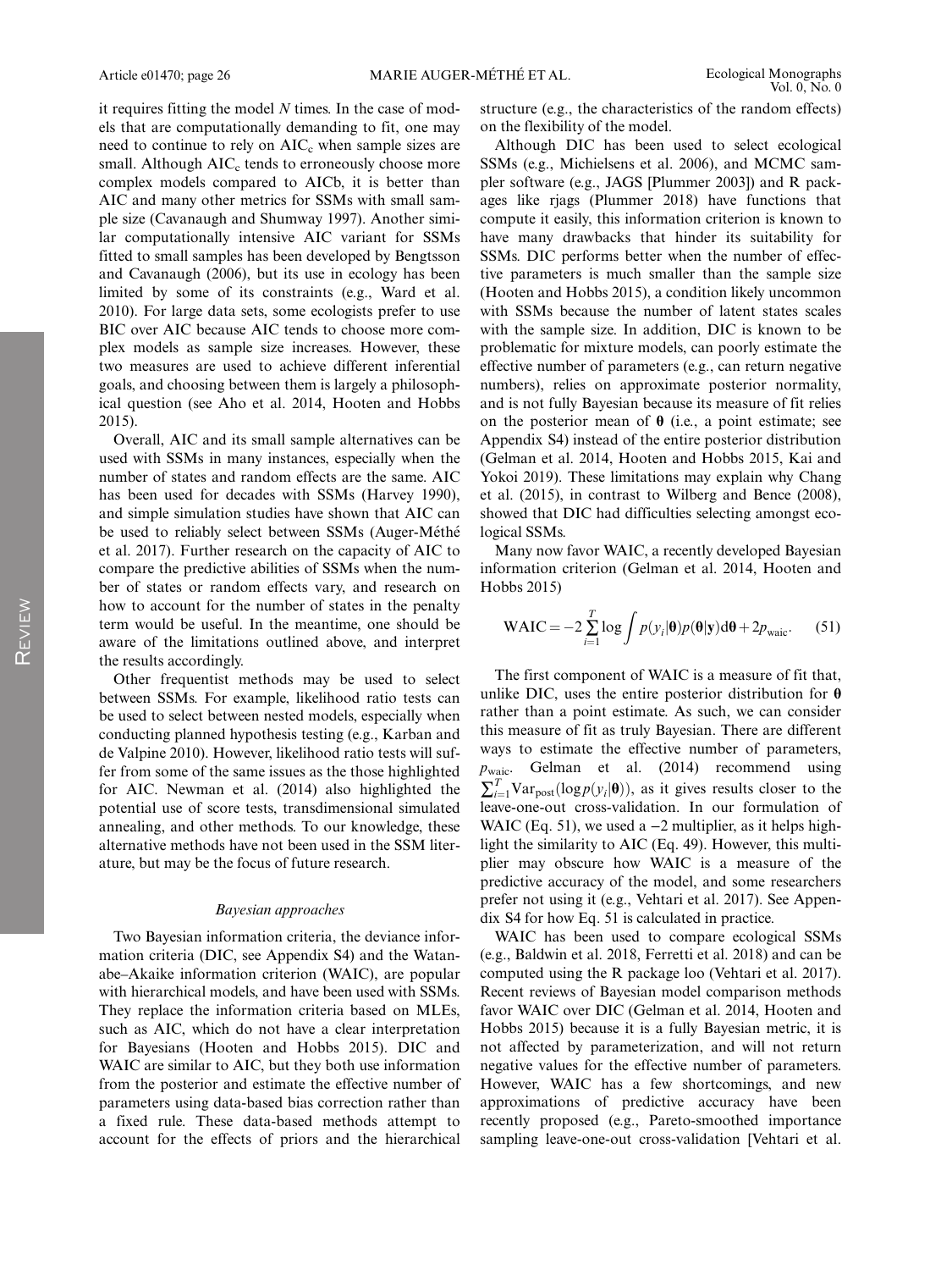it requires fitting the model  $N$  times. In the case of models that are computationally demanding to fit, one may need to continue to rely on  $AIC<sub>c</sub>$  when sample sizes are small. Although  $AIC<sub>c</sub>$  tends to erroneously choose more complex models compared to AICb, it is better than AIC and many other metrics for SSMs with small sample size (Cavanaugh and Shumway 1997). Another similar computationally intensive AIC variant for SSMs fitted to small samples has been developed by Bengtsson and Cavanaugh (2006), but its use in ecology has been limited by some of its constraints (e.g., Ward et al. 2010). For large data sets, some ecologists prefer to use BIC over AIC because AIC tends to choose more complex models as sample size increases. However, these two measures are used to achieve different inferential goals, and choosing between them is largely a philosophical question (see Aho et al. 2014, Hooten and Hobbs 2015).

Overall, AIC and its small sample alternatives can be used with SSMs in many instances, especially when the number of states and random effects are the same. AIC has been used for decades with SSMs (Harvey 1990), and simple simulation studies have shown that AIC can be used to reliably select between SSMs (Auger-Méthé et al. 2017). Further research on the capacity of AIC to compare the predictive abilities of SSMs when the number of states or random effects vary, and research on how to account for the number of states in the penalty term would be useful. In the meantime, one should be aware of the limitations outlined above, and interpret the results accordingly.

Other frequentist methods may be used to select between SSMs. For example, likelihood ratio tests can be used to select between nested models, especially when conducting planned hypothesis testing (e.g., Karban and de Valpine 2010). However, likelihood ratio tests will suffer from some of the same issues as the those highlighted for AIC. Newman et al. (2014) also highlighted the potential use of score tests, transdimensional simulated annealing, and other methods. To our knowledge, these alternative methods have not been used in the SSM literature, but may be the focus of future research.

#### Bayesian approaches

Two Bayesian information criteria, the deviance information criteria (DIC, see Appendix S4) and the Watanabe–Akaike information criterion (WAIC), are popular with hierarchical models, and have been used with SSMs. They replace the information criteria based on MLEs, such as AIC, which do not have a clear interpretation for Bayesians (Hooten and Hobbs 2015). DIC and WAIC are similar to AIC, but they both use information from the posterior and estimate the effective number of parameters using data-based bias correction rather than a fixed rule. These data-based methods attempt to account for the effects of priors and the hierarchical structure (e.g., the characteristics of the random effects) on the flexibility of the model.

Although DIC has been used to select ecological SSMs (e.g., Michielsens et al. 2006), and MCMC sampler software (e.g., JAGS [Plummer 2003]) and R packages like rjags (Plummer 2018) have functions that compute it easily, this information criterion is known to have many drawbacks that hinder its suitability for SSMs. DIC performs better when the number of effective parameters is much smaller than the sample size (Hooten and Hobbs 2015), a condition likely uncommon with SSMs because the number of latent states scales with the sample size. In addition, DIC is known to be problematic for mixture models, can poorly estimate the effective number of parameters (e.g., can return negative numbers), relies on approximate posterior normality, and is not fully Bayesian because its measure of fit relies on the posterior mean of  $\theta$  (i.e., a point estimate; see Appendix S4) instead of the entire posterior distribution (Gelman et al. 2014, Hooten and Hobbs 2015, Kai and Yokoi 2019). These limitations may explain why Chang et al. (2015), in contrast to Wilberg and Bence (2008), showed that DIC had difficulties selecting amongst ecological SSMs.

Many now favor WAIC, a recently developed Bayesian information criterion (Gelman et al. 2014, Hooten and Hobbs 2015)

$$
\text{WAIC} = -2\sum_{i=1}^{T} \log \int p(y_i|\mathbf{\theta})p(\mathbf{\theta}|\mathbf{y})d\mathbf{\theta} + 2p_{\text{waic}}.\tag{51}
$$

The first component of WAIC is a measure of fit that, unlike DIC, uses the entire posterior distribution for  $\theta$ rather than a point estimate. As such, we can consider this measure of fit as truly Bayesian. There are different ways to estimate the effective number of parameters,  $p_{\text{waic}}$ . Gelman et al. (2014) recommend using  $\sum_{i=1}^{T} \text{Var}_{\text{post}}(\log p(y_i|\theta))$ , as it gives results closer to the leave-one-out cross-validation. In our formulation of WAIC (Eq. 51), we used a  $-2$  multiplier, as it helps highlight the similarity to AIC (Eq. 49). However, this multiplier may obscure how WAIC is a measure of the predictive accuracy of the model, and some researchers prefer not using it (e.g., Vehtari et al. 2017). See Appendix S4 for how Eq. 51 is calculated in practice.

WAIC has been used to compare ecological SSMs (e.g., Baldwin et al. 2018, Ferretti et al. 2018) and can be computed using the R package loo (Vehtari et al. 2017). Recent reviews of Bayesian model comparison methods favor WAIC over DIC (Gelman et al. 2014, Hooten and Hobbs 2015) because it is a fully Bayesian metric, it is not affected by parameterization, and will not return negative values for the effective number of parameters. However, WAIC has a few shortcomings, and new approximations of predictive accuracy have been recently proposed (e.g., Pareto-smoothed importance sampling leave-one-out cross-validation [Vehtari et al.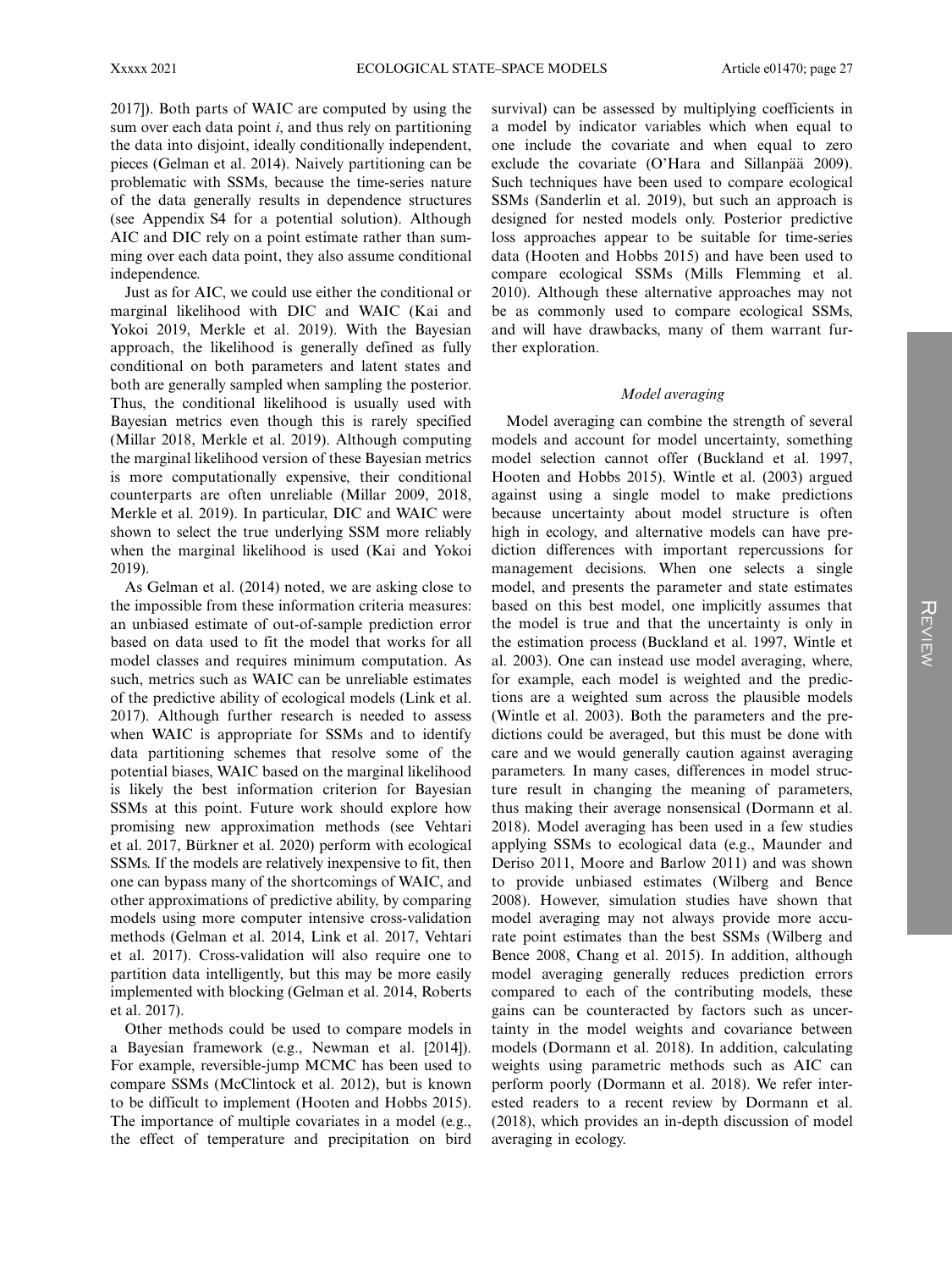2017]). Both parts of WAIC are computed by using the sum over each data point  $i$ , and thus rely on partitioning the data into disjoint, ideally conditionally independent, pieces (Gelman et al. 2014). Naively partitioning can be problematic with SSMs, because the time-series nature of the data generally results in dependence structures (see Appendix S4 for a potential solution). Although AIC and DIC rely on a point estimate rather than summing over each data point, they also assume conditional independence.

Just as for AIC, we could use either the conditional or marginal likelihood with DIC and WAIC (Kai and Yokoi 2019, Merkle et al. 2019). With the Bayesian approach, the likelihood is generally defined as fully conditional on both parameters and latent states and both are generally sampled when sampling the posterior. Thus, the conditional likelihood is usually used with Bayesian metrics even though this is rarely specified (Millar 2018, Merkle et al. 2019). Although computing the marginal likelihood version of these Bayesian metrics is more computationally expensive, their conditional counterparts are often unreliable (Millar 2009, 2018, Merkle et al. 2019). In particular, DIC and WAIC were shown to select the true underlying SSM more reliably when the marginal likelihood is used (Kai and Yokoi 2019).

As Gelman et al. (2014) noted, we are asking close to the impossible from these information criteria measures: an unbiased estimate of out-of-sample prediction error based on data used to fit the model that works for all model classes and requires minimum computation. As such, metrics such as WAIC can be unreliable estimates of the predictive ability of ecological models (Link et al. 2017). Although further research is needed to assess when WAIC is appropriate for SSMs and to identify data partitioning schemes that resolve some of the potential biases, WAIC based on the marginal likelihood is likely the best information criterion for Bayesian SSMs at this point. Future work should explore how promising new approximation methods (see Vehtari et al. 2017, Bürkner et al. 2020) perform with ecological SSMs. If the models are relatively inexpensive to fit, then one can bypass many of the shortcomings of WAIC, and other approximations of predictive ability, by comparing models using more computer intensive cross-validation methods (Gelman et al. 2014, Link et al. 2017, Vehtari et al. 2017). Cross-validation will also require one to partition data intelligently, but this may be more easily implemented with blocking (Gelman et al. 2014, Roberts et al. 2017).

Other methods could be used to compare models in a Bayesian framework (e.g., Newman et al. [2014]). For example, reversible-jump MCMC has been used to compare SSMs (McClintock et al. 2012), but is known to be difficult to implement (Hooten and Hobbs 2015). The importance of multiple covariates in a model (e.g., the effect of temperature and precipitation on bird survival) can be assessed by multiplying coefficients in a model by indicator variables which when equal to one include the covariate and when equal to zero exclude the covariate (O'Hara and Sillanpää 2009). Such techniques have been used to compare ecological SSMs (Sanderlin et al. 2019), but such an approach is designed for nested models only. Posterior predictive loss approaches appear to be suitable for time-series data (Hooten and Hobbs 2015) and have been used to compare ecological SSMs (Mills Flemming et al. 2010). Although these alternative approaches may not be as commonly used to compare ecological SSMs, and will have drawbacks, many of them warrant further exploration.

#### Model averaging

Model averaging can combine the strength of several models and account for model uncertainty, something model selection cannot offer (Buckland et al. 1997, Hooten and Hobbs 2015). Wintle et al. (2003) argued against using a single model to make predictions because uncertainty about model structure is often high in ecology, and alternative models can have prediction differences with important repercussions for management decisions. When one selects a single model, and presents the parameter and state estimates based on this best model, one implicitly assumes that the model is true and that the uncertainty is only in the estimation process (Buckland et al. 1997, Wintle et al. 2003). One can instead use model averaging, where, for example, each model is weighted and the predictions are a weighted sum across the plausible models (Wintle et al. 2003). Both the parameters and the predictions could be averaged, but this must be done with care and we would generally caution against averaging parameters. In many cases, differences in model structure result in changing the meaning of parameters, thus making their average nonsensical (Dormann et al. 2018). Model averaging has been used in a few studies applying SSMs to ecological data (e.g., Maunder and Deriso 2011, Moore and Barlow 2011) and was shown to provide unbiased estimates (Wilberg and Bence 2008). However, simulation studies have shown that model averaging may not always provide more accurate point estimates than the best SSMs (Wilberg and Bence 2008, Chang et al. 2015). In addition, although model averaging generally reduces prediction errors compared to each of the contributing models, these gains can be counteracted by factors such as uncertainty in the model weights and covariance between models (Dormann et al. 2018). In addition, calculating weights using parametric methods such as AIC can perform poorly (Dormann et al. 2018). We refer interested readers to a recent review by Dormann et al. (2018), which provides an in-depth discussion of model averaging in ecology.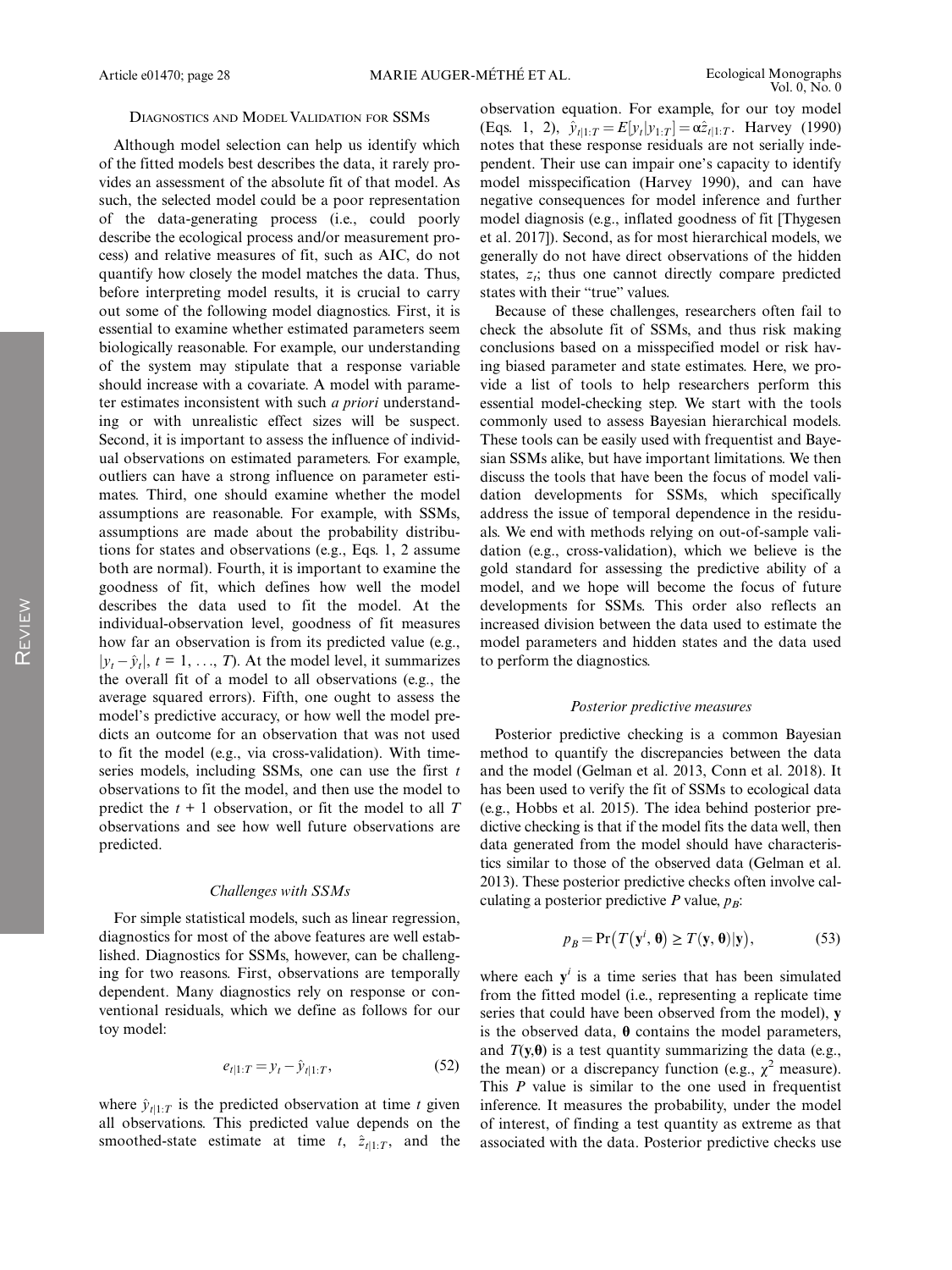#### DIAGNOSTICS AND MODELVALIDATION FOR SSMS

Although model selection can help us identify which of the fitted models best describes the data, it rarely provides an assessment of the absolute fit of that model. As such, the selected model could be a poor representation of the data-generating process (i.e., could poorly describe the ecological process and/or measurement process) and relative measures of fit, such as AIC, do not quantify how closely the model matches the data. Thus, before interpreting model results, it is crucial to carry out some of the following model diagnostics. First, it is essential to examine whether estimated parameters seem biologically reasonable. For example, our understanding of the system may stipulate that a response variable should increase with a covariate. A model with parameter estimates inconsistent with such a priori understanding or with unrealistic effect sizes will be suspect. Second, it is important to assess the influence of individual observations on estimated parameters. For example, outliers can have a strong influence on parameter estimates. Third, one should examine whether the model assumptions are reasonable. For example, with SSMs, assumptions are made about the probability distributions for states and observations (e.g., Eqs. 1, 2 assume both are normal). Fourth, it is important to examine the goodness of fit, which defines how well the model describes the data used to fit the model. At the individual-observation level, goodness of fit measures how far an observation is from its predicted value (e.g.,  $|y_t - \hat{y}_t|$ ,  $t = 1, ..., T$ ). At the model level, it summarizes the overall fit of a model to all observations (e.g., the average squared errors). Fifth, one ought to assess the model's predictive accuracy, or how well the model predicts an outcome for an observation that was not used to fit the model (e.g., via cross-validation). With timeseries models, including SSMs, one can use the first  $t$ observations to fit the model, and then use the model to predict the  $t + 1$  observation, or fit the model to all T observations and see how well future observations are predicted.

#### Challenges with SSMs

For simple statistical models, such as linear regression, diagnostics for most of the above features are well established. Diagnostics for SSMs, however, can be challenging for two reasons. First, observations are temporally dependent. Many diagnostics rely on response or conventional residuals, which we define as follows for our toy model:

$$
e_{t|1:T} = y_t - \hat{y}_{t|1:T},
$$
\n(52)

where  $\hat{y}_{t|1:T}$  is the predicted observation at time t given all observations. This predicted value depends on the smoothed-state estimate at time t,  $\hat{z}_{t|1:T}$ , and the observation equation. For example, for our toy model (Eqs. 1, 2),  $\hat{y}_{t|1:T} = E[y_t|y_{1:T}] = \alpha \hat{z}_{t|1:T}$ . Harvey (1990) notes that these response residuals are not serially independent. Their use can impair one's capacity to identify model misspecification (Harvey 1990), and can have negative consequences for model inference and further model diagnosis (e.g., inflated goodness of fit [Thygesen et al. 2017]). Second, as for most hierarchical models, we generally do not have direct observations of the hidden states,  $z_i$ ; thus one cannot directly compare predicted states with their "true" values.

Because of these challenges, researchers often fail to check the absolute fit of SSMs, and thus risk making conclusions based on a misspecified model or risk having biased parameter and state estimates. Here, we provide a list of tools to help researchers perform this essential model-checking step. We start with the tools commonly used to assess Bayesian hierarchical models. These tools can be easily used with frequentist and Bayesian SSMs alike, but have important limitations. We then discuss the tools that have been the focus of model validation developments for SSMs, which specifically address the issue of temporal dependence in the residuals. We end with methods relying on out-of-sample validation (e.g., cross-validation), which we believe is the gold standard for assessing the predictive ability of a model, and we hope will become the focus of future developments for SSMs. This order also reflects an increased division between the data used to estimate the model parameters and hidden states and the data used to perform the diagnostics.

#### Posterior predictive measures

Posterior predictive checking is a common Bayesian method to quantify the discrepancies between the data and the model (Gelman et al. 2013, Conn et al. 2018). It has been used to verify the fit of SSMs to ecological data (e.g., Hobbs et al. 2015). The idea behind posterior predictive checking is that if the model fits the data well, then data generated from the model should have characteristics similar to those of the observed data (Gelman et al. 2013). These posterior predictive checks often involve calculating a posterior predictive P value,  $p_B$ :

$$
p_B = \Pr(T(\mathbf{y}^i, \boldsymbol{\theta}) \ge T(\mathbf{y}, \boldsymbol{\theta})|\mathbf{y}),\tag{53}
$$

where each  $y^{i}$  is a time series that has been simulated from the fitted model (i.e., representing a replicate time series that could have been observed from the model), y is the observed data, θ contains the model parameters, and  $T(y, \theta)$  is a test quantity summarizing the data (e.g., the mean) or a discrepancy function (e.g.,  $\chi^2$  measure). This  $P$  value is similar to the one used in frequentist inference. It measures the probability, under the model of interest, of finding a test quantity as extreme as that associated with the data. Posterior predictive checks use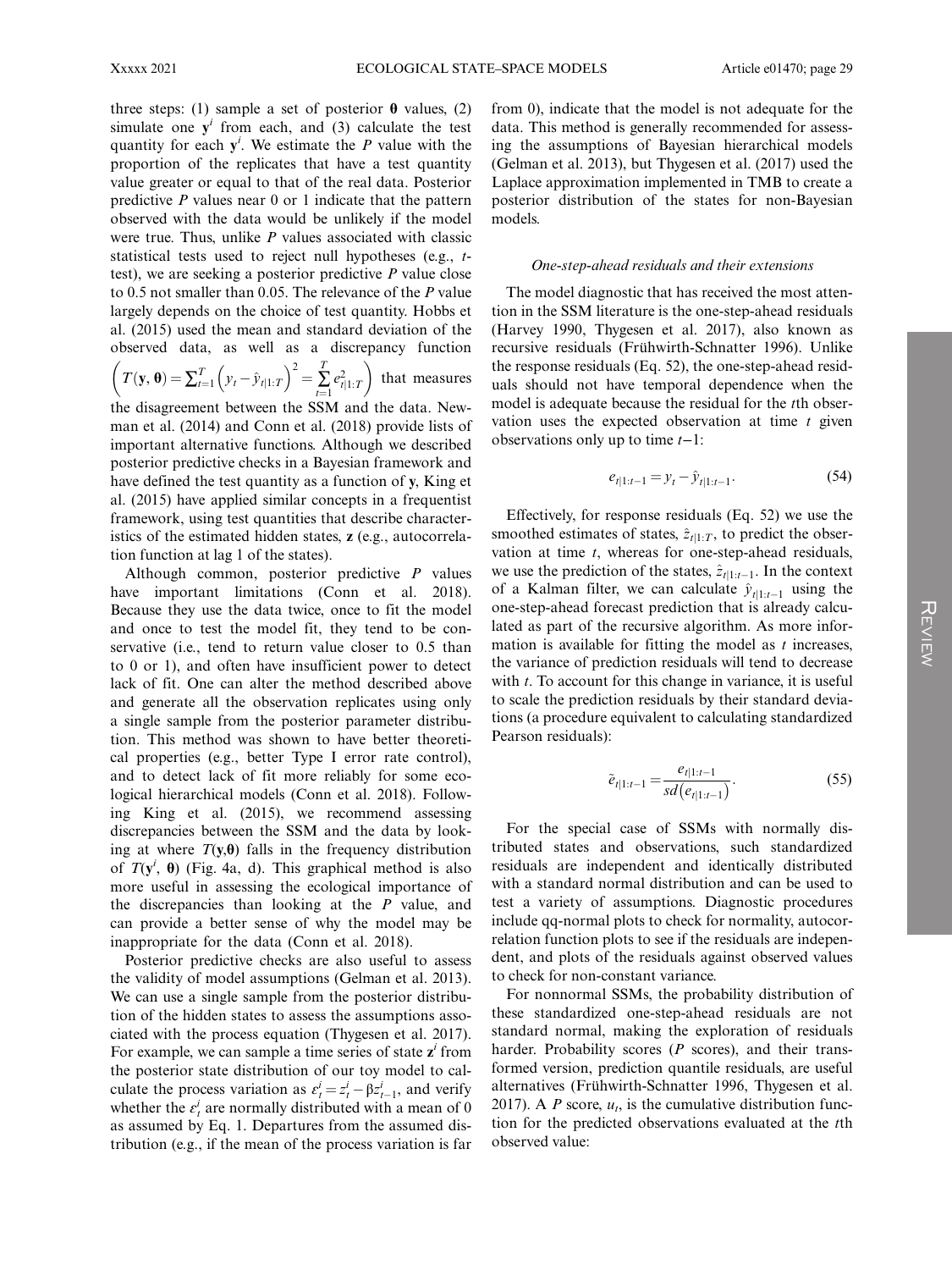three steps: (1) sample a set of posterior  $\theta$  values, (2) simulate one  $y^i$  from each, and (3) calculate the test quantity for each  $y^i$ . We estimate the P value with the proportion of the replicates that have a test quantity value greater or equal to that of the real data. Posterior predictive  $P$  values near  $0$  or 1 indicate that the pattern observed with the data would be unlikely if the model were true. Thus, unlike  $P$  values associated with classic statistical tests used to reject null hypotheses (e.g., ttest), we are seeking a posterior predictive P value close to 0.5 not smaller than 0.05. The relevance of the P value largely depends on the choice of test quantity. Hobbs et al. (2015) used the mean and standard deviation of the observed data, as well as a discrepancy function

$$
\left(T(\mathbf{y}, \boldsymbol{\theta}) = \sum_{t=1}^{T} \left(y_t - \hat{y}_{t|1:T}\right)^2 = \sum_{t=1}^{T} e_{t|1:T}^2 \right) \text{ that measures}
$$

the disagreement between the SSM and the data. Newman et al. (2014) and Conn et al. (2018) provide lists of important alternative functions. Although we described posterior predictive checks in a Bayesian framework and have defined the test quantity as a function of y, King et al. (2015) have applied similar concepts in a frequentist framework, using test quantities that describe characteristics of the estimated hidden states, z (e.g., autocorrelation function at lag 1 of the states).

Although common, posterior predictive P values have important limitations (Conn et al. 2018). Because they use the data twice, once to fit the model and once to test the model fit, they tend to be conservative (i.e., tend to return value closer to 0.5 than to 0 or 1), and often have insufficient power to detect lack of fit. One can alter the method described above and generate all the observation replicates using only a single sample from the posterior parameter distribution. This method was shown to have better theoretical properties (e.g., better Type I error rate control), and to detect lack of fit more reliably for some ecological hierarchical models (Conn et al. 2018). Following King et al. (2015), we recommend assessing discrepancies between the SSM and the data by looking at where  $T(y, \theta)$  falls in the frequency distribution of  $T(y^i, \theta)$  (Fig. 4a, d). This graphical method is also more useful in assessing the ecological importance of the discrepancies than looking at the P value, and can provide a better sense of why the model may be inappropriate for the data (Conn et al. 2018).

Posterior predictive checks are also useful to assess the validity of model assumptions (Gelman et al. 2013). We can use a single sample from the posterior distribution of the hidden states to assess the assumptions associated with the process equation (Thygesen et al. 2017). For example, we can sample a time series of state  $z<sup>i</sup>$  from the posterior state distribution of our toy model to calculate the process variation as  $\varepsilon_t^i = z_t^i - \beta z_{t-1}^i$ , and verify whether the  $\varepsilon_t^i$  are normally distributed with a mean of 0 as assumed by Eq. 1. Departures from the assumed distribution (e.g., if the mean of the process variation is far

from 0), indicate that the model is not adequate for the data. This method is generally recommended for assessing the assumptions of Bayesian hierarchical models (Gelman et al. 2013), but Thygesen et al. (2017) used the Laplace approximation implemented in TMB to create a posterior distribution of the states for non-Bayesian models.

#### One-step-ahead residuals and their extensions

The model diagnostic that has received the most attention in the SSM literature is the one-step-ahead residuals (Harvey 1990, Thygesen et al. 2017), also known as recursive residuals (Frühwirth-Schnatter 1996). Unlike the response residuals (Eq. 52), the one-step-ahead residuals should not have temporal dependence when the model is adequate because the residual for the tth observation uses the expected observation at time  $t$  given observations only up to time t−1:

$$
e_{t|1:t-1} = y_t - \hat{y}_{t|1:t-1}.
$$
 (54)

Effectively, for response residuals (Eq. 52) we use the smoothed estimates of states,  $\hat{z}_{t|1:T}$ , to predict the observation at time  $t$ , whereas for one-step-ahead residuals, we use the prediction of the states,  $\hat{z}_{t|1:t-1}$ . In the context of a Kalman filter, we can calculate  $\hat{y}_{t|1:t-1}$  using the one-step-ahead forecast prediction that is already calculated as part of the recursive algorithm. As more information is available for fitting the model as  $t$  increases, the variance of prediction residuals will tend to decrease with  $t$ . To account for this change in variance, it is useful to scale the prediction residuals by their standard deviations (a procedure equivalent to calculating standardized Pearson residuals):

$$
\tilde{e}_{t|1:t-1} = \frac{e_{t|1:t-1}}{sd(e_{t|1:t-1})}.
$$
\n(55)

For the special case of SSMs with normally distributed states and observations, such standardized residuals are independent and identically distributed with a standard normal distribution and can be used to test a variety of assumptions. Diagnostic procedures include qq-normal plots to check for normality, autocorrelation function plots to see if the residuals are independent, and plots of the residuals against observed values to check for non-constant variance.

For nonnormal SSMs, the probability distribution of these standardized one-step-ahead residuals are not standard normal, making the exploration of residuals harder. Probability scores  $(P \text{ scores})$ , and their transformed version, prediction quantile residuals, are useful alternatives (Frühwirth-Schnatter 1996, Thygesen et al. 2017). A P score,  $u_t$ , is the cumulative distribution function for the predicted observations evaluated at the tth observed value: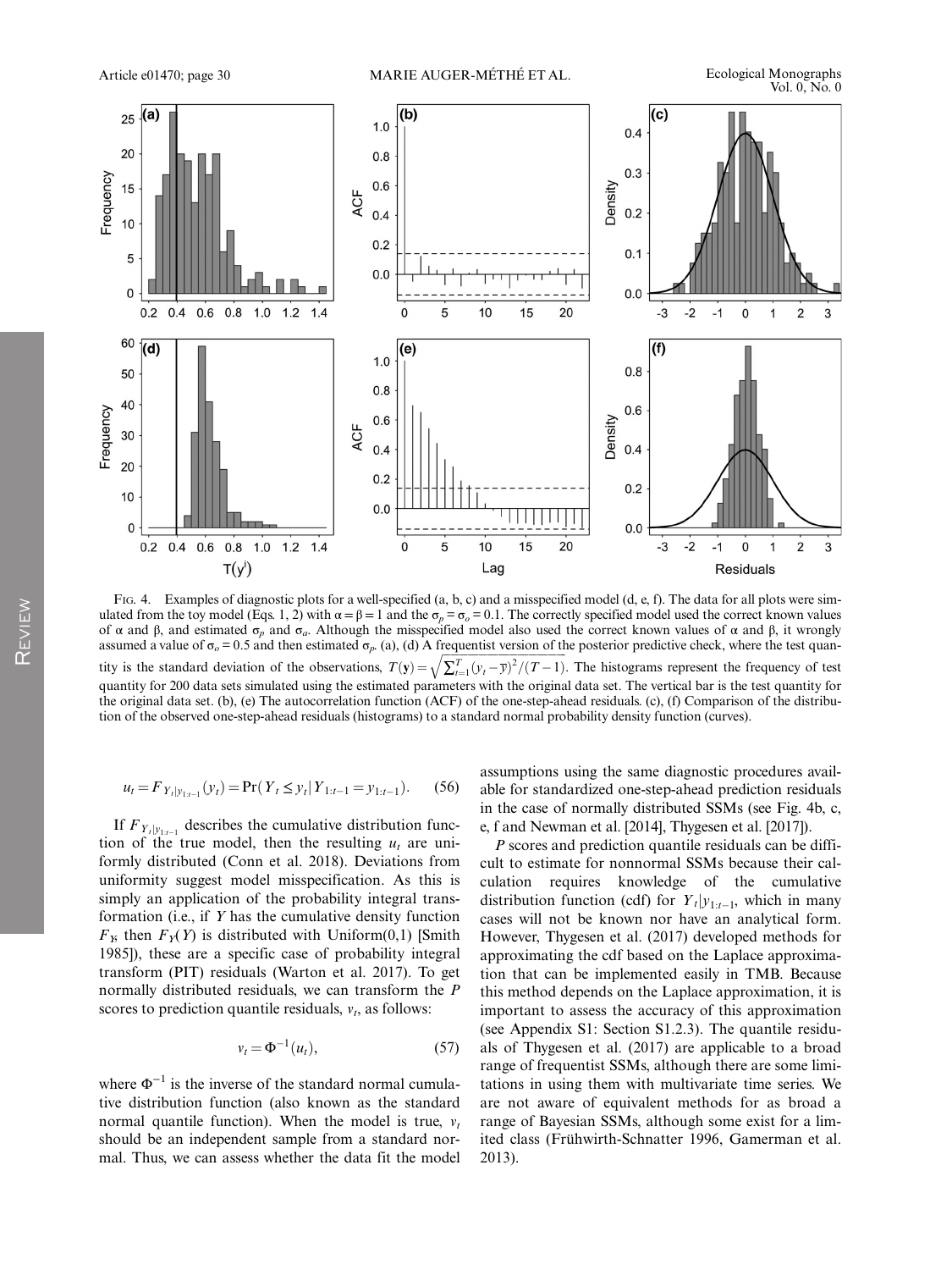

FIG. 4. Examples of diagnostic plots for a well-specified (a, b, c) and a misspecified model (d, e, f). The data for all plots were simulated from the toy model (Eqs. 1, 2) with  $\alpha = \beta = 1$  and the  $\sigma_p = \sigma_o = 0.1$ . The correctly specified model used the correct known values of α and β, and estimated  $\sigma_p$  and  $\sigma_q$ . Although the misspecified model also used the correct known values of α and β, it wrongly assumed a value of  $\sigma_o = 0.5$  and then estimated  $\sigma_p$ . (a), (d) A frequentist version of the posterior predictive check, where the test quantity is the standard deviation of the observations,  $T(y) = \sqrt{\sum_{t=1}^{T} (y_t - \overline{y})^2 / (T-1)}$ . The histograms represent the frequency of test quantity for 200 data sets simulated using the estimated parameters with the original data set. The vertical bar is the test quantity for the original data set. (b), (e) The autocorrelation function (ACF) of the one-step-ahead residuals. (c), (f) Comparison of the distribution of the observed one-step-ahead residuals (histograms) to a standard normal probability density function (curves).

$$
u_t = F_{Y_t|y_{1:t-1}}(y_t) = \Pr(Y_t \le y_t | Y_{1:t-1} = y_{1:t-1}).
$$
 (56)

If  $F_{Y_t|y_{1:t-1}}$  describes the cumulative distribution function of the true model, then the resulting  $u_t$  are uniformly distributed (Conn et al. 2018). Deviations from uniformity suggest model misspecification. As this is simply an application of the probability integral transformation (i.e., if  $Y$  has the cumulative density function  $F<sub>X</sub>$  then  $F<sub>Y</sub>(Y)$  is distributed with Uniform(0,1) [Smith 1985]), these are a specific case of probability integral transform (PIT) residuals (Warton et al. 2017). To get normally distributed residuals, we can transform the P scores to prediction quantile residuals,  $v_t$ , as follows:

$$
v_t = \Phi^{-1}(u_t), \tag{57}
$$

where  $\Phi^{-1}$  is the inverse of the standard normal cumulative distribution function (also known as the standard normal quantile function). When the model is true,  $v_t$ should be an independent sample from a standard normal. Thus, we can assess whether the data fit the model assumptions using the same diagnostic procedures available for standardized one-step-ahead prediction residuals in the case of normally distributed SSMs (see Fig. 4b, c, e, f and Newman et al. [2014], Thygesen et al. [2017]).

P scores and prediction quantile residuals can be difficult to estimate for nonnormal SSMs because their calculation requires knowledge of the cumulative distribution function (cdf) for  $Y_t|y_{1:t-1}$ , which in many cases will not be known nor have an analytical form. However, Thygesen et al. (2017) developed methods for approximating the cdf based on the Laplace approximation that can be implemented easily in TMB. Because this method depends on the Laplace approximation, it is important to assess the accuracy of this approximation (see Appendix S1: Section S1.2.3). The quantile residuals of Thygesen et al. (2017) are applicable to a broad range of frequentist SSMs, although there are some limitations in using them with multivariate time series. We are not aware of equivalent methods for as broad a range of Bayesian SSMs, although some exist for a limited class (Frühwirth-Schnatter 1996, Gamerman et al. 2013).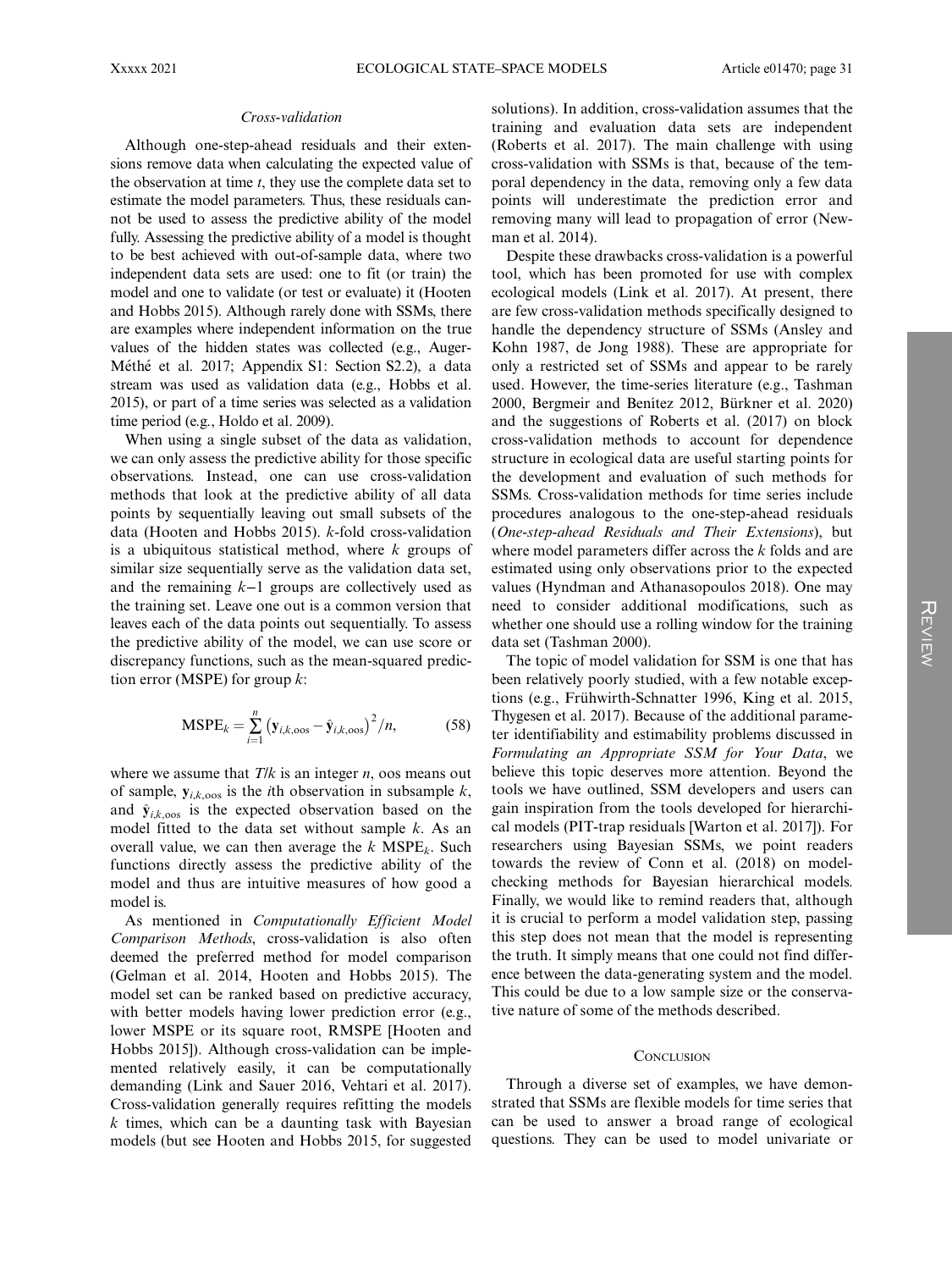#### Cross-validation

Although one-step-ahead residuals and their extensions remove data when calculating the expected value of the observation at time  $t$ , they use the complete data set to estimate the model parameters. Thus, these residuals cannot be used to assess the predictive ability of the model fully. Assessing the predictive ability of a model is thought to be best achieved with out-of-sample data, where two independent data sets are used: one to fit (or train) the model and one to validate (or test or evaluate) it (Hooten and Hobbs 2015). Although rarely done with SSMs, there are examples where independent information on the true values of the hidden states was collected (e.g., Auger-Méthé et al. 2017; Appendix S1: Section S2.2), a data stream was used as validation data (e.g., Hobbs et al. 2015), or part of a time series was selected as a validation time period (e.g., Holdo et al. 2009).

When using a single subset of the data as validation, we can only assess the predictive ability for those specific observations. Instead, one can use cross-validation methods that look at the predictive ability of all data points by sequentially leaving out small subsets of the data (Hooten and Hobbs 2015). k-fold cross-validation is a ubiquitous statistical method, where  $k$  groups of similar size sequentially serve as the validation data set, and the remaining k−1 groups are collectively used as the training set. Leave one out is a common version that leaves each of the data points out sequentially. To assess the predictive ability of the model, we can use score or discrepancy functions, such as the mean-squared prediction error (MSPE) for group  $k$ :

$$
MSPE_k = \sum_{i=1}^{n} (y_{i,k,\text{cos}} - \hat{y}_{i,k,\text{cos}})^2 / n,
$$
 (58)

where we assume that  $T/k$  is an integer *n*, oos means out of sample,  $y_{i,k,000}$  is the *i*th observation in subsample k, and  $\hat{\mathbf{y}}_{ik,000}$  is the expected observation based on the model fitted to the data set without sample  $k$ . As an overall value, we can then average the  $k$  MSPE<sub>k</sub>. Such functions directly assess the predictive ability of the model and thus are intuitive measures of how good a model is.

As mentioned in Computationally Efficient Model Comparison Methods, cross-validation is also often deemed the preferred method for model comparison (Gelman et al. 2014, Hooten and Hobbs 2015). The model set can be ranked based on predictive accuracy, with better models having lower prediction error (e.g., lower MSPE or its square root, RMSPE [Hooten and Hobbs 2015]). Although cross-validation can be implemented relatively easily, it can be computationally demanding (Link and Sauer 2016, Vehtari et al. 2017). Cross-validation generally requires refitting the models  $k$  times, which can be a daunting task with Bayesian models (but see Hooten and Hobbs 2015, for suggested

solutions). In addition, cross-validation assumes that the training and evaluation data sets are independent (Roberts et al. 2017). The main challenge with using cross-validation with SSMs is that, because of the temporal dependency in the data, removing only a few data points will underestimate the prediction error and removing many will lead to propagation of error (Newman et al. 2014).

Despite these drawbacks cross-validation is a powerful tool, which has been promoted for use with complex ecological models (Link et al. 2017). At present, there are few cross-validation methods specifically designed to handle the dependency structure of SSMs (Ansley and Kohn 1987, de Jong 1988). These are appropriate for only a restricted set of SSMs and appear to be rarely used. However, the time-series literature (e.g., Tashman 2000, Bergmeir and Benitez 2012, Bürkner et al. 2020) and the suggestions of Roberts et al. (2017) on block cross-validation methods to account for dependence structure in ecological data are useful starting points for the development and evaluation of such methods for SSMs. Cross-validation methods for time series include procedures analogous to the one-step-ahead residuals (One-step-ahead Residuals and Their Extensions), but where model parameters differ across the k folds and are estimated using only observations prior to the expected values (Hyndman and Athanasopoulos 2018). One may need to consider additional modifications, such as whether one should use a rolling window for the training data set (Tashman 2000).

The topic of model validation for SSM is one that has been relatively poorly studied, with a few notable exceptions (e.g., Frühwirth-Schnatter 1996, King et al. 2015, Thygesen et al. 2017). Because of the additional parameter identifiability and estimability problems discussed in Formulating an Appropriate SSM for Your Data, we believe this topic deserves more attention. Beyond the tools we have outlined, SSM developers and users can gain inspiration from the tools developed for hierarchical models (PIT-trap residuals [Warton et al. 2017]). For researchers using Bayesian SSMs, we point readers towards the review of Conn et al. (2018) on modelchecking methods for Bayesian hierarchical models. Finally, we would like to remind readers that, although it is crucial to perform a model validation step, passing this step does not mean that the model is representing the truth. It simply means that one could not find difference between the data-generating system and the model. This could be due to a low sample size or the conservative nature of some of the methods described.

#### **CONCLUSION**

Through a diverse set of examples, we have demonstrated that SSMs are flexible models for time series that can be used to answer a broad range of ecological questions. They can be used to model univariate or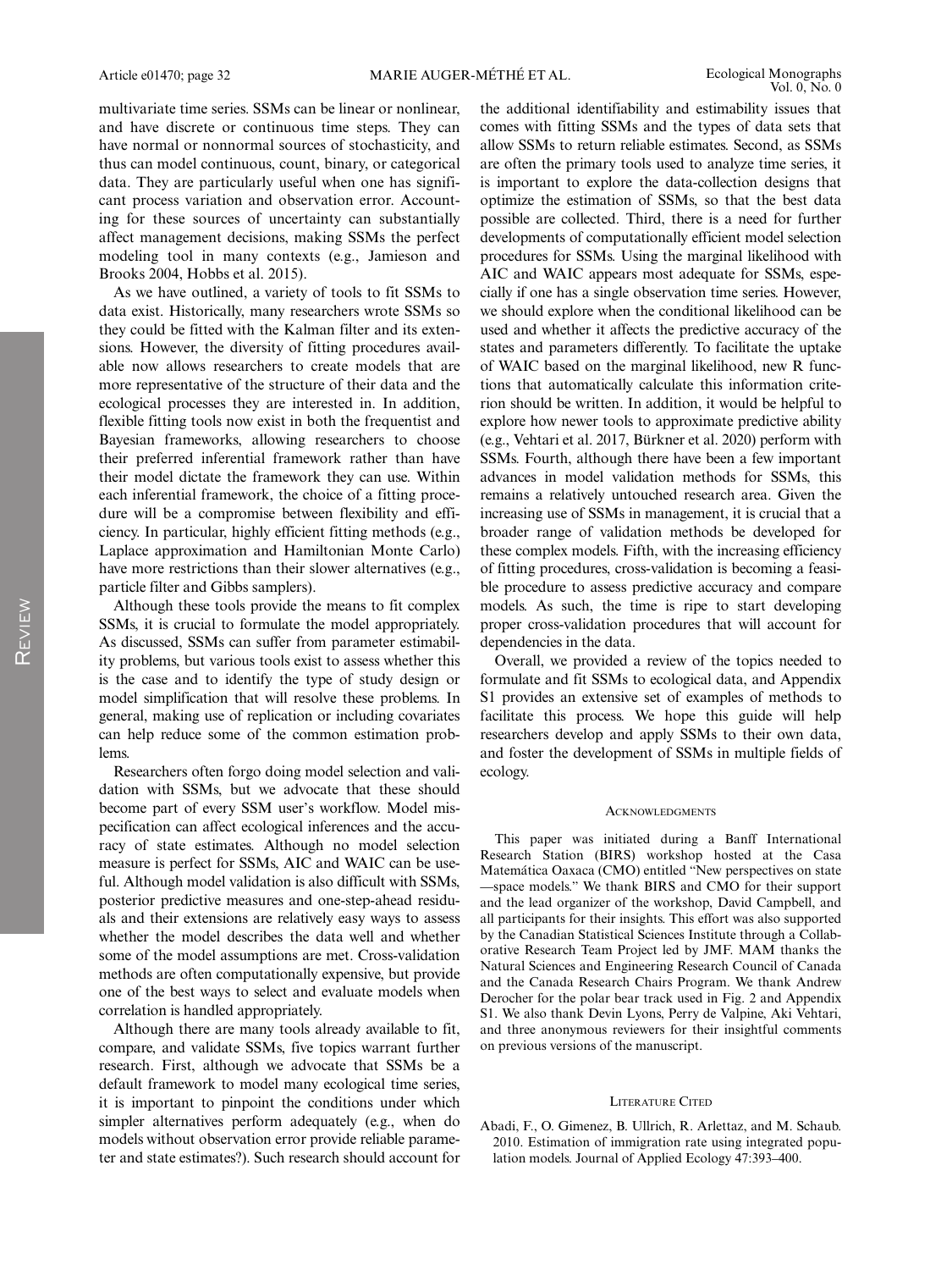multivariate time series. SSMs can be linear or nonlinear, and have discrete or continuous time steps. They can have normal or nonnormal sources of stochasticity, and thus can model continuous, count, binary, or categorical data. They are particularly useful when one has significant process variation and observation error. Accounting for these sources of uncertainty can substantially affect management decisions, making SSMs the perfect modeling tool in many contexts (e.g., Jamieson and Brooks 2004, Hobbs et al. 2015).

As we have outlined, a variety of tools to fit SSMs to data exist. Historically, many researchers wrote SSMs so they could be fitted with the Kalman filter and its extensions. However, the diversity of fitting procedures available now allows researchers to create models that are more representative of the structure of their data and the ecological processes they are interested in. In addition, flexible fitting tools now exist in both the frequentist and Bayesian frameworks, allowing researchers to choose their preferred inferential framework rather than have their model dictate the framework they can use. Within each inferential framework, the choice of a fitting procedure will be a compromise between flexibility and efficiency. In particular, highly efficient fitting methods (e.g., Laplace approximation and Hamiltonian Monte Carlo) have more restrictions than their slower alternatives (e.g., particle filter and Gibbs samplers).

Although these tools provide the means to fit complex SSMs, it is crucial to formulate the model appropriately. As discussed, SSMs can suffer from parameter estimability problems, but various tools exist to assess whether this is the case and to identify the type of study design or model simplification that will resolve these problems. In general, making use of replication or including covariates can help reduce some of the common estimation problems.

Researchers often forgo doing model selection and validation with SSMs, but we advocate that these should become part of every SSM user's workflow. Model mispecification can affect ecological inferences and the accuracy of state estimates. Although no model selection measure is perfect for SSMs, AIC and WAIC can be useful. Although model validation is also difficult with SSMs, posterior predictive measures and one-step-ahead residuals and their extensions are relatively easy ways to assess whether the model describes the data well and whether some of the model assumptions are met. Cross-validation methods are often computationally expensive, but provide one of the best ways to select and evaluate models when correlation is handled appropriately.

Although there are many tools already available to fit, compare, and validate SSMs, five topics warrant further research. First, although we advocate that SSMs be a default framework to model many ecological time series, it is important to pinpoint the conditions under which simpler alternatives perform adequately (e.g., when do models without observation error provide reliable parameter and state estimates?). Such research should account for the additional identifiability and estimability issues that comes with fitting SSMs and the types of data sets that allow SSMs to return reliable estimates. Second, as SSMs are often the primary tools used to analyze time series, it is important to explore the data-collection designs that optimize the estimation of SSMs, so that the best data possible are collected. Third, there is a need for further developments of computationally efficient model selection procedures for SSMs. Using the marginal likelihood with AIC and WAIC appears most adequate for SSMs, especially if one has a single observation time series. However, we should explore when the conditional likelihood can be used and whether it affects the predictive accuracy of the states and parameters differently. To facilitate the uptake of WAIC based on the marginal likelihood, new R functions that automatically calculate this information criterion should be written. In addition, it would be helpful to explore how newer tools to approximate predictive ability (e.g., Vehtari et al. 2017, Bürkner et al. 2020) perform with SSMs. Fourth, although there have been a few important advances in model validation methods for SSMs, this remains a relatively untouched research area. Given the increasing use of SSMs in management, it is crucial that a broader range of validation methods be developed for these complex models. Fifth, with the increasing efficiency of fitting procedures, cross-validation is becoming a feasible procedure to assess predictive accuracy and compare models. As such, the time is ripe to start developing proper cross-validation procedures that will account for dependencies in the data.

Overall, we provided a review of the topics needed to formulate and fit SSMs to ecological data, and Appendix S1 provides an extensive set of examples of methods to facilitate this process. We hope this guide will help researchers develop and apply SSMs to their own data, and foster the development of SSMs in multiple fields of ecology.

#### **ACKNOWLEDGMENTS**

This paper was initiated during a Banff International Research Station (BIRS) workshop hosted at the Casa Matemática Oaxaca (CMO) entitled "New perspectives on state —space models." We thank BIRS and CMO for their support and the lead organizer of the workshop, David Campbell, and all participants for their insights. This effort was also supported by the Canadian Statistical Sciences Institute through a Collaborative Research Team Project led by JMF. MAM thanks the Natural Sciences and Engineering Research Council of Canada and the Canada Research Chairs Program. We thank Andrew Derocher for the polar bear track used in Fig. 2 and Appendix S1. We also thank Devin Lyons, Perry de Valpine, Aki Vehtari, and three anonymous reviewers for their insightful comments on previous versions of the manuscript.

#### LITERATURE CITED

Abadi, F., O. Gimenez, B. Ullrich, R. Arlettaz, and M. Schaub. 2010. Estimation of immigration rate using integrated population models. Journal of Applied Ecology 47:393–400.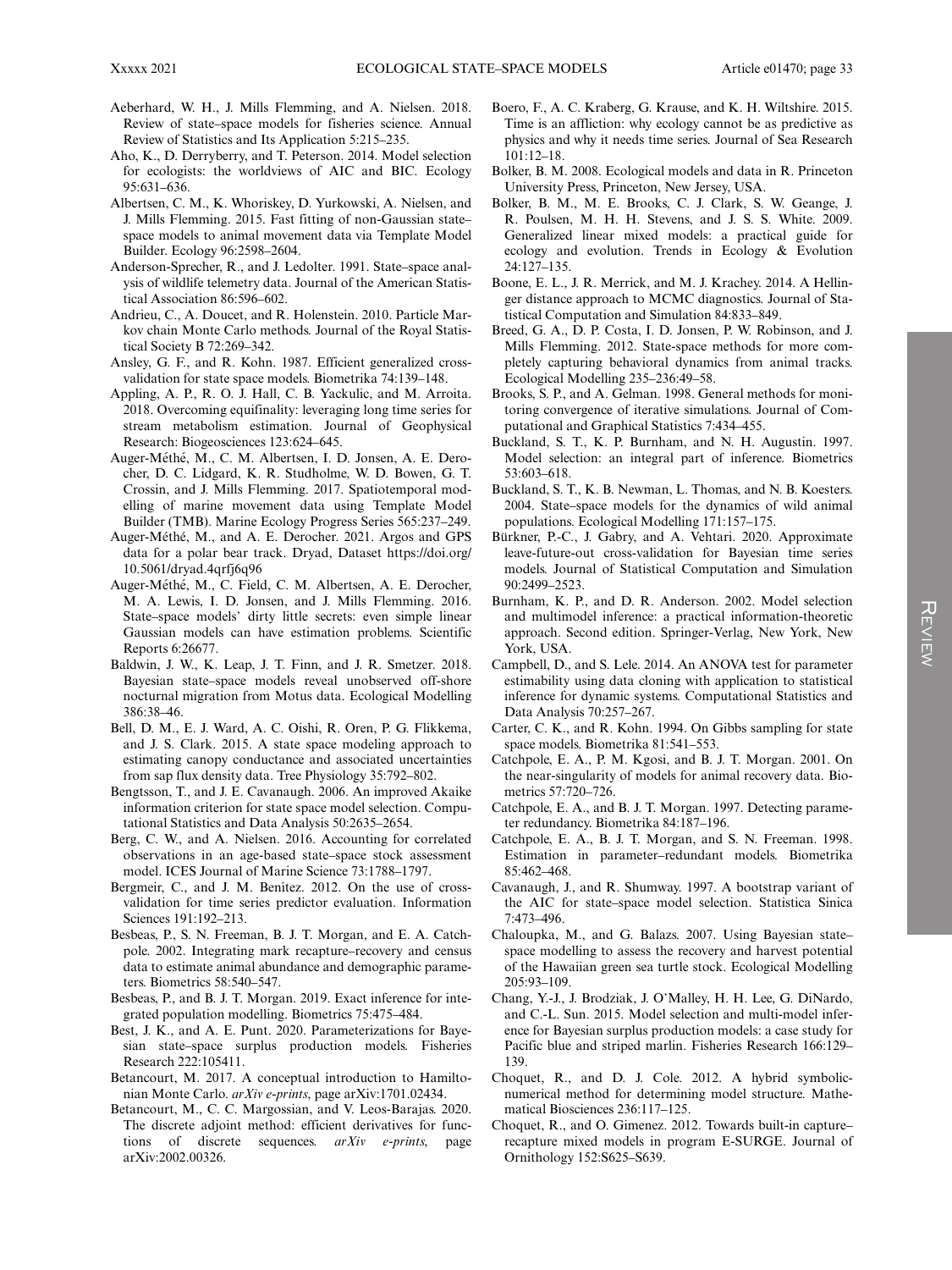- Aeberhard, W. H., J. Mills Flemming, and A. Nielsen. 2018. Review of state–space models for fisheries science. Annual Review of Statistics and Its Application 5:215–235.
- Aho, K., D. Derryberry, and T. Peterson. 2014. Model selection for ecologists: the worldviews of AIC and BIC. Ecology 95:631–636.
- Albertsen, C. M., K. Whoriskey, D. Yurkowski, A. Nielsen, and J. Mills Flemming. 2015. Fast fitting of non-Gaussian state– space models to animal movement data via Template Model Builder. Ecology 96:2598–2604.
- Anderson-Sprecher, R., and J. Ledolter. 1991. State–space analysis of wildlife telemetry data. Journal of the American Statistical Association 86:596–602.
- Andrieu, C., A. Doucet, and R. Holenstein. 2010. Particle Markov chain Monte Carlo methods. Journal of the Royal Statistical Society B 72:269–342.
- Ansley, G. F., and R. Kohn. 1987. Efficient generalized crossvalidation for state space models. Biometrika 74:139–148.
- Appling, A. P., R. O. J. Hall, C. B. Yackulic, and M. Arroita. 2018. Overcoming equifinality: leveraging long time series for stream metabolism estimation. Journal of Geophysical Research: Biogeosciences 123:624–645.
- Auger-Méthé, M., C. M. Albertsen, I. D. Jonsen, A. E. Derocher, D. C. Lidgard, K. R. Studholme, W. D. Bowen, G. T. Crossin, and J. Mills Flemming. 2017. Spatiotemporal modelling of marine movement data using Template Model Builder (TMB). Marine Ecology Progress Series 565:237–249.
- Auger-Méthé, M., and A. E. Derocher. 2021. Argos and GPS data for a polar bear track. Dryad, Dataset [https://doi.org/](https://doi.org/10.5061/dryad.4qrfj6q96) [10.5061/dryad.4qrfj6q96](https://doi.org/10.5061/dryad.4qrfj6q96)
- Auger-Méthé, M., C. Field, C. M. Albertsen, A. E. Derocher, M. A. Lewis, I. D. Jonsen, and J. Mills Flemming. 2016. State–space models' dirty little secrets: even simple linear Gaussian models can have estimation problems. Scientific Reports 6:26677.
- Baldwin, J. W., K. Leap, J. T. Finn, and J. R. Smetzer. 2018. Bayesian state–space models reveal unobserved off-shore nocturnal migration from Motus data. Ecological Modelling 386:38–46.
- Bell, D. M., E. J. Ward, A. C. Oishi, R. Oren, P. G. Flikkema, and J. S. Clark. 2015. A state space modeling approach to estimating canopy conductance and associated uncertainties from sap flux density data. Tree Physiology 35:792–802.
- Bengtsson, T., and J. E. Cavanaugh. 2006. An improved Akaike information criterion for state space model selection. Computational Statistics and Data Analysis 50:2635–2654.
- Berg, C. W., and A. Nielsen. 2016. Accounting for correlated observations in an age-based state–space stock assessment model. ICES Journal of Marine Science 73:1788–1797.
- Bergmeir, C., and J. M. Benitez. 2012. On the use of crossvalidation for time series predictor evaluation. Information Sciences 191:192–213.
- Besbeas, P., S. N. Freeman, B. J. T. Morgan, and E. A. Catchpole. 2002. Integrating mark recapture–recovery and census data to estimate animal abundance and demographic parameters. Biometrics 58:540–547.
- Besbeas, P., and B. J. T. Morgan. 2019. Exact inference for integrated population modelling. Biometrics 75:475–484.
- Best, J. K., and A. E. Punt. 2020. Parameterizations for Bayesian state–space surplus production models. Fisheries Research 222:105411.
- Betancourt, M. 2017. A conceptual introduction to Hamiltonian Monte Carlo. arXiv e-prints, page arXiv:1701.02434.
- Betancourt, M., C. C. Margossian, and V. Leos-Barajas. 2020. The discrete adjoint method: efficient derivatives for functions of discrete sequences. arXiv e-prints, page arXiv:2002.00326.
- Boero, F., A. C. Kraberg, G. Krause, and K. H. Wiltshire. 2015. Time is an affliction: why ecology cannot be as predictive as physics and why it needs time series. Journal of Sea Research 101:12–18.
- Bolker, B. M. 2008. Ecological models and data in R. Princeton University Press, Princeton, New Jersey, USA.
- Bolker, B. M., M. E. Brooks, C. J. Clark, S. W. Geange, J. R. Poulsen, M. H. H. Stevens, and J. S. S. White. 2009. Generalized linear mixed models: a practical guide for ecology and evolution. Trends in Ecology & Evolution 24:127–135.
- Boone, E. L., J. R. Merrick, and M. J. Krachey. 2014. A Hellinger distance approach to MCMC diagnostics. Journal of Statistical Computation and Simulation 84:833–849.
- Breed, G. A., D. P. Costa, I. D. Jonsen, P. W. Robinson, and J. Mills Flemming. 2012. State-space methods for more completely capturing behavioral dynamics from animal tracks. Ecological Modelling 235–236:49–58.
- Brooks, S. P., and A. Gelman. 1998. General methods for monitoring convergence of iterative simulations. Journal of Computational and Graphical Statistics 7:434–455.
- Buckland, S. T., K. P. Burnham, and N. H. Augustin. 1997. Model selection: an integral part of inference. Biometrics 53:603–618.
- Buckland, S. T., K. B. Newman, L. Thomas, and N. B. Koesters. 2004. State–space models for the dynamics of wild animal populations. Ecological Modelling 171:157–175.
- Bürkner, P.-C., J. Gabry, and A. Vehtari. 2020. Approximate leave-future-out cross-validation for Bayesian time series models. Journal of Statistical Computation and Simulation 90:2499–2523.
- Burnham, K. P., and D. R. Anderson. 2002. Model selection and multimodel inference: a practical information-theoretic approach. Second edition. Springer-Verlag, New York, New York, USA.
- Campbell, D., and S. Lele. 2014. An ANOVA test for parameter estimability using data cloning with application to statistical inference for dynamic systems. Computational Statistics and Data Analysis 70:257–267.
- Carter, C. K., and R. Kohn. 1994. On Gibbs sampling for state space models. Biometrika 81:541–553.
- Catchpole, E. A., P. M. Kgosi, and B. J. T. Morgan. 2001. On the near-singularity of models for animal recovery data. Biometrics 57:720–726.
- Catchpole, E. A., and B. J. T. Morgan. 1997. Detecting parameter redundancy. Biometrika 84:187–196.
- Catchpole, E. A., B. J. T. Morgan, and S. N. Freeman. 1998. Estimation in parameter–redundant models. Biometrika 85:462–468.
- Cavanaugh, J., and R. Shumway. 1997. A bootstrap variant of the AIC for state–space model selection. Statistica Sinica 7:473–496.
- Chaloupka, M., and G. Balazs. 2007. Using Bayesian state– space modelling to assess the recovery and harvest potential of the Hawaiian green sea turtle stock. Ecological Modelling 205:93–109.
- Chang, Y.-J., J. Brodziak, J. O'Malley, H. H. Lee, G. DiNardo, and C.-L. Sun. 2015. Model selection and multi-model inference for Bayesian surplus production models: a case study for Pacific blue and striped marlin. Fisheries Research 166:129– 139.
- Choquet, R., and D. J. Cole. 2012. A hybrid symbolicnumerical method for determining model structure. Mathematical Biosciences 236:117–125.
- Choquet, R., and O. Gimenez. 2012. Towards built-in capture– recapture mixed models in program E-SURGE. Journal of Ornithology 152:S625–S639.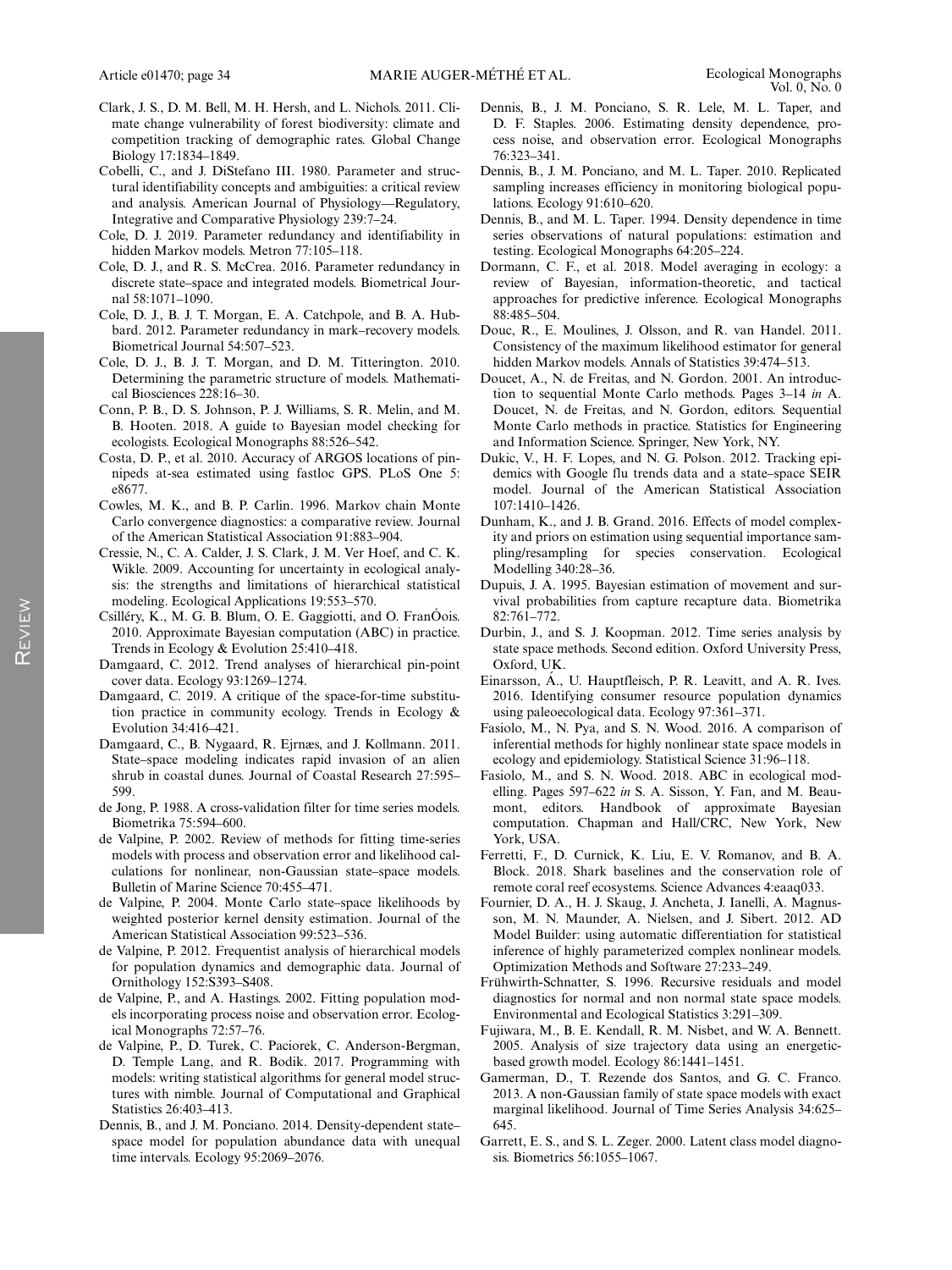- Clark, J. S., D. M. Bell, M. H. Hersh, and L. Nichols. 2011. Climate change vulnerability of forest biodiversity: climate and competition tracking of demographic rates. Global Change Biology 17:1834–1849.
- Cobelli, C., and J. DiStefano III. 1980. Parameter and structural identifiability concepts and ambiguities: a critical review and analysis. American Journal of Physiology—Regulatory, Integrative and Comparative Physiology 239:7–24.
- Cole, D. J. 2019. Parameter redundancy and identifiability in hidden Markov models. Metron 77:105–118.
- Cole, D. J., and R. S. McCrea. 2016. Parameter redundancy in discrete state–space and integrated models. Biometrical Journal 58:1071–1090.
- Cole, D. J., B. J. T. Morgan, E. A. Catchpole, and B. A. Hubbard. 2012. Parameter redundancy in mark–recovery models. Biometrical Journal 54:507–523.
- Cole, D. J., B. J. T. Morgan, and D. M. Titterington. 2010. Determining the parametric structure of models. Mathematical Biosciences 228:16–30.
- Conn, P. B., D. S. Johnson, P. J. Williams, S. R. Melin, and M. B. Hooten. 2018. A guide to Bayesian model checking for ecologists. Ecological Monographs 88:526–542.
- Costa, D. P., et al. 2010. Accuracy of ARGOS locations of pinnipeds at-sea estimated using fastloc GPS. PLoS One 5: e8677.
- Cowles, M. K., and B. P. Carlin. 1996. Markov chain Monte Carlo convergence diagnostics: a comparative review. Journal of the American Statistical Association 91:883–904.
- Cressie, N., C. A. Calder, J. S. Clark, J. M. Ver Hoef, and C. K. Wikle. 2009. Accounting for uncertainty in ecological analysis: the strengths and limitations of hierarchical statistical modeling. Ecological Applications 19:553–570.
- Csilléry, K., M. G. B. Blum, O. E. Gaggiotti, and O. FranOois. 2010. Approximate Bayesian computation (ABC) in practice. Trends in Ecology & Evolution 25:410–418.
- Damgaard, C. 2012. Trend analyses of hierarchical pin-point cover data. Ecology 93:1269–1274.
- Damgaard, C. 2019. A critique of the space-for-time substitution practice in community ecology. Trends in Ecology & Evolution 34:416–421.
- Damgaard, C., B. Nygaard, R. Ejrnæs, and J. Kollmann. 2011. State–space modeling indicates rapid invasion of an alien shrub in coastal dunes. Journal of Coastal Research 27:595– 599.
- de Jong, P. 1988. A cross-validation filter for time series models. Biometrika 75:594–600.
- de Valpine, P. 2002. Review of methods for fitting time-series models with process and observation error and likelihood calculations for nonlinear, non-Gaussian state–space models. Bulletin of Marine Science 70:455–471.
- de Valpine, P. 2004. Monte Carlo state–space likelihoods by weighted posterior kernel density estimation. Journal of the American Statistical Association 99:523–536.
- de Valpine, P. 2012. Frequentist analysis of hierarchical models for population dynamics and demographic data. Journal of Ornithology 152:S393–S408.
- de Valpine, P., and A. Hastings. 2002. Fitting population models incorporating process noise and observation error. Ecological Monographs 72:57–76.
- de Valpine, P., D. Turek, C. Paciorek, C. Anderson-Bergman, D. Temple Lang, and R. Bodik. 2017. Programming with models: writing statistical algorithms for general model structures with nimble. Journal of Computational and Graphical Statistics 26:403–413.
- Dennis, B., and J. M. Ponciano. 2014. Density-dependent state– space model for population abundance data with unequal time intervals. Ecology 95:2069–2076.
- Dennis, B., J. M. Ponciano, S. R. Lele, M. L. Taper, and D. F. Staples. 2006. Estimating density dependence, process noise, and observation error. Ecological Monographs 76:323–341.
- Dennis, B., J. M. Ponciano, and M. L. Taper. 2010. Replicated sampling increases efficiency in monitoring biological populations. Ecology 91:610–620.
- Dennis, B., and M. L. Taper. 1994. Density dependence in time series observations of natural populations: estimation and testing. Ecological Monographs 64:205–224.
- Dormann, C. F., et al. 2018. Model averaging in ecology: a review of Bayesian, information-theoretic, and tactical approaches for predictive inference. Ecological Monographs 88:485–504.
- Douc, R., E. Moulines, J. Olsson, and R. van Handel. 2011. Consistency of the maximum likelihood estimator for general hidden Markov models. Annals of Statistics 39:474–513.
- Doucet, A., N. de Freitas, and N. Gordon. 2001. An introduction to sequential Monte Carlo methods. Pages 3–14 in A. Doucet, N. de Freitas, and N. Gordon, editors. Sequential Monte Carlo methods in practice. Statistics for Engineering and Information Science. Springer, New York, NY.
- Dukic, V., H. F. Lopes, and N. G. Polson. 2012. Tracking epidemics with Google flu trends data and a state–space SEIR model. Journal of the American Statistical Association 107:1410–1426.
- Dunham, K., and J. B. Grand. 2016. Effects of model complexity and priors on estimation using sequential importance sampling/resampling for species conservation. Ecological Modelling 340:28–36.
- Dupuis, J. A. 1995. Bayesian estimation of movement and survival probabilities from capture recapture data. Biometrika 82:761–772.
- Durbin, J., and S. J. Koopman. 2012. Time series analysis by state space methods. Second edition. Oxford University Press, Oxford, UK.
- Einarsson, Á., U. Hauptfleisch, P. R. Leavitt, and A. R. Ives. 2016. Identifying consumer resource population dynamics using paleoecological data. Ecology 97:361–371.
- Fasiolo, M., N. Pya, and S. N. Wood. 2016. A comparison of inferential methods for highly nonlinear state space models in ecology and epidemiology. Statistical Science 31:96–118.
- Fasiolo, M., and S. N. Wood. 2018. ABC in ecological modelling. Pages 597–622 in S. A. Sisson, Y. Fan, and M. Beaumont, editors. Handbook of approximate Bayesian computation. Chapman and Hall/CRC, New York, New York, USA.
- Ferretti, F., D. Curnick, K. Liu, E. V. Romanov, and B. A. Block. 2018. Shark baselines and the conservation role of remote coral reef ecosystems. Science Advances 4:eaaq033.
- Fournier, D. A., H. J. Skaug, J. Ancheta, J. Ianelli, A. Magnusson, M. N. Maunder, A. Nielsen, and J. Sibert. 2012. AD Model Builder: using automatic differentiation for statistical inference of highly parameterized complex nonlinear models. Optimization Methods and Software 27:233–249.
- Frühwirth-Schnatter, S. 1996. Recursive residuals and model diagnostics for normal and non normal state space models. Environmental and Ecological Statistics 3:291–309.
- Fujiwara, M., B. E. Kendall, R. M. Nisbet, and W. A. Bennett. 2005. Analysis of size trajectory data using an energeticbased growth model. Ecology 86:1441–1451.
- Gamerman, D., T. Rezende dos Santos, and G. C. Franco. 2013. A non-Gaussian family of state space models with exact marginal likelihood. Journal of Time Series Analysis 34:625– 645.
- Garrett, E. S., and S. L. Zeger. 2000. Latent class model diagnosis. Biometrics 56:1055–1067.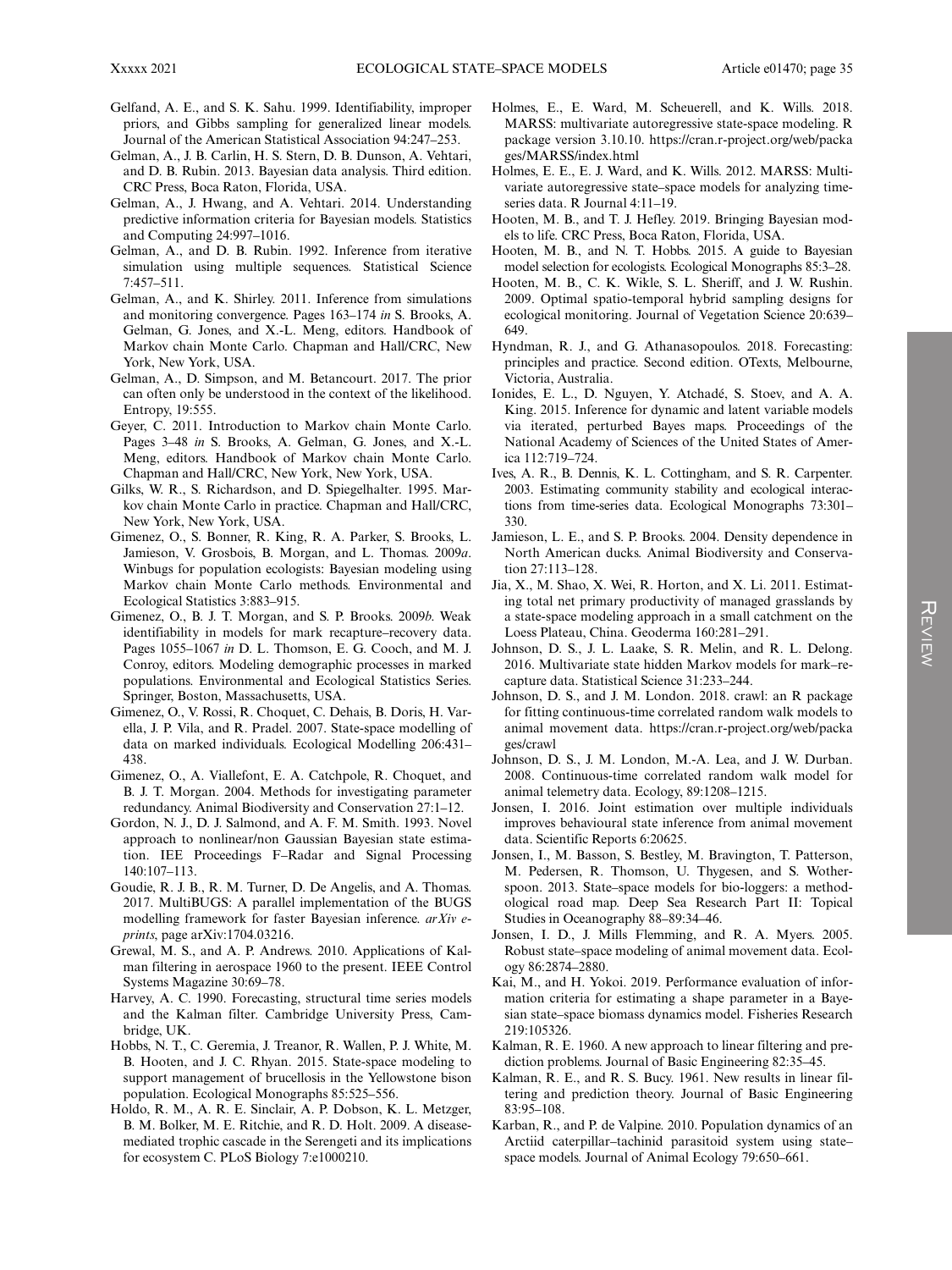- Gelfand, A. E., and S. K. Sahu. 1999. Identifiability, improper priors, and Gibbs sampling for generalized linear models. Journal of the American Statistical Association 94:247–253.
- Gelman, A., J. B. Carlin, H. S. Stern, D. B. Dunson, A. Vehtari, and D. B. Rubin. 2013. Bayesian data analysis. Third edition. CRC Press, Boca Raton, Florida, USA.
- Gelman, A., J. Hwang, and A. Vehtari. 2014. Understanding predictive information criteria for Bayesian models. Statistics and Computing 24:997–1016.
- Gelman, A., and D. B. Rubin. 1992. Inference from iterative simulation using multiple sequences. Statistical Science 7:457–511.
- Gelman, A., and K. Shirley. 2011. Inference from simulations and monitoring convergence. Pages 163–174 in S. Brooks, A. Gelman, G. Jones, and X.-L. Meng, editors. Handbook of Markov chain Monte Carlo. Chapman and Hall/CRC, New York, New York, USA.
- Gelman, A., D. Simpson, and M. Betancourt. 2017. The prior can often only be understood in the context of the likelihood. Entropy, 19:555.
- Geyer, C. 2011. Introduction to Markov chain Monte Carlo. Pages 3–48 in S. Brooks, A. Gelman, G. Jones, and X.-L. Meng, editors. Handbook of Markov chain Monte Carlo. Chapman and Hall/CRC, New York, New York, USA.
- Gilks, W. R., S. Richardson, and D. Spiegelhalter. 1995. Markov chain Monte Carlo in practice. Chapman and Hall/CRC, New York, New York, USA.
- Gimenez, O., S. Bonner, R. King, R. A. Parker, S. Brooks, L. Jamieson, V. Grosbois, B. Morgan, and L. Thomas. 2009a. Winbugs for population ecologists: Bayesian modeling using Markov chain Monte Carlo methods. Environmental and Ecological Statistics 3:883–915.
- Gimenez, O., B. J. T. Morgan, and S. P. Brooks. 2009b. Weak identifiability in models for mark recapture–recovery data. Pages 1055–1067 in D. L. Thomson, E. G. Cooch, and M. J. Conroy, editors. Modeling demographic processes in marked populations. Environmental and Ecological Statistics Series. Springer, Boston, Massachusetts, USA.
- Gimenez, O., V. Rossi, R. Choquet, C. Dehais, B. Doris, H. Varella, J. P. Vila, and R. Pradel. 2007. State-space modelling of data on marked individuals. Ecological Modelling 206:431– 438.
- Gimenez, O., A. Viallefont, E. A. Catchpole, R. Choquet, and B. J. T. Morgan. 2004. Methods for investigating parameter redundancy. Animal Biodiversity and Conservation 27:1–12.
- Gordon, N. J., D. J. Salmond, and A. F. M. Smith. 1993. Novel approach to nonlinear/non Gaussian Bayesian state estimation. IEE Proceedings F–Radar and Signal Processing 140:107–113.
- Goudie, R. J. B., R. M. Turner, D. De Angelis, and A. Thomas. 2017. MultiBUGS: A parallel implementation of the BUGS modelling framework for faster Bayesian inference. arXiv eprints, page arXiv:1704.03216.
- Grewal, M. S., and A. P. Andrews. 2010. Applications of Kalman filtering in aerospace 1960 to the present. IEEE Control Systems Magazine 30:69–78.
- Harvey, A. C. 1990. Forecasting, structural time series models and the Kalman filter. Cambridge University Press, Cambridge, UK.
- Hobbs, N. T., C. Geremia, J. Treanor, R. Wallen, P. J. White, M. B. Hooten, and J. C. Rhyan. 2015. State-space modeling to support management of brucellosis in the Yellowstone bison population. Ecological Monographs 85:525–556.
- Holdo, R. M., A. R. E. Sinclair, A. P. Dobson, K. L. Metzger, B. M. Bolker, M. E. Ritchie, and R. D. Holt. 2009. A diseasemediated trophic cascade in the Serengeti and its implications for ecosystem C. PLoS Biology 7:e1000210.
- Holmes, E., E. Ward, M. Scheuerell, and K. Wills. 2018. MARSS: multivariate autoregressive state-space modeling. R package version 3.10.10. [https://cran.r-project.org/web/packa](https://cran.r-project.org/web/packages/MARSS/index.html) [ges/MARSS/index.html](https://cran.r-project.org/web/packages/MARSS/index.html)
- Holmes, E. E., E. J. Ward, and K. Wills. 2012. MARSS: Multivariate autoregressive state–space models for analyzing timeseries data. R Journal 4:11–19.
- Hooten, M. B., and T. J. Hefley. 2019. Bringing Bayesian models to life. CRC Press, Boca Raton, Florida, USA.
- Hooten, M. B., and N. T. Hobbs. 2015. A guide to Bayesian model selection for ecologists. Ecological Monographs 85:3–28.
- Hooten, M. B., C. K. Wikle, S. L. Sheriff, and J. W. Rushin. 2009. Optimal spatio-temporal hybrid sampling designs for ecological monitoring. Journal of Vegetation Science 20:639– 649.
- Hyndman, R. J., and G. Athanasopoulos. 2018. Forecasting: principles and practice. Second edition. OTexts, Melbourne, Victoria, Australia.
- Ionides, E. L., D. Nguyen, Y. Atchadé, S. Stoev, and A. A. King. 2015. Inference for dynamic and latent variable models via iterated, perturbed Bayes maps. Proceedings of the National Academy of Sciences of the United States of America 112:719–724.
- Ives, A. R., B. Dennis, K. L. Cottingham, and S. R. Carpenter. 2003. Estimating community stability and ecological interactions from time-series data. Ecological Monographs 73:301– 330.
- Jamieson, L. E., and S. P. Brooks. 2004. Density dependence in North American ducks. Animal Biodiversity and Conservation 27:113–128.
- Jia, X., M. Shao, X. Wei, R. Horton, and X. Li. 2011. Estimating total net primary productivity of managed grasslands by a state-space modeling approach in a small catchment on the Loess Plateau, China. Geoderma 160:281–291.
- Johnson, D. S., J. L. Laake, S. R. Melin, and R. L. Delong. 2016. Multivariate state hidden Markov models for mark–recapture data. Statistical Science 31:233–244.
- Johnson, D. S., and J. M. London. 2018. crawl: an R package for fitting continuous-time correlated random walk models to animal movement data. [https://cran.r-project.org/web/packa](https://cran.r-project.org/web/packages/crawl) [ges/crawl](https://cran.r-project.org/web/packages/crawl)
- Johnson, D. S., J. M. London, M.-A. Lea, and J. W. Durban. 2008. Continuous-time correlated random walk model for animal telemetry data. Ecology, 89:1208–1215.
- Jonsen, I. 2016. Joint estimation over multiple individuals improves behavioural state inference from animal movement data. Scientific Reports 6:20625.
- Jonsen, I., M. Basson, S. Bestley, M. Bravington, T. Patterson, M. Pedersen, R. Thomson, U. Thygesen, and S. Wotherspoon. 2013. State–space models for bio-loggers: a methodological road map. Deep Sea Research Part II: Topical Studies in Oceanography 88–89:34–46.
- Jonsen, I. D., J. Mills Flemming, and R. A. Myers. 2005. Robust state–space modeling of animal movement data. Ecology 86:2874–2880.
- Kai, M., and H. Yokoi. 2019. Performance evaluation of information criteria for estimating a shape parameter in a Bayesian state–space biomass dynamics model. Fisheries Research 219:105326.
- Kalman, R. E. 1960. A new approach to linear filtering and prediction problems. Journal of Basic Engineering 82:35–45.
- Kalman, R. E., and R. S. Bucy. 1961. New results in linear filtering and prediction theory. Journal of Basic Engineering 83:95–108.
- Karban, R., and P. de Valpine. 2010. Population dynamics of an Arctiid caterpillar–tachinid parasitoid system using state– space models. Journal of Animal Ecology 79:650–661.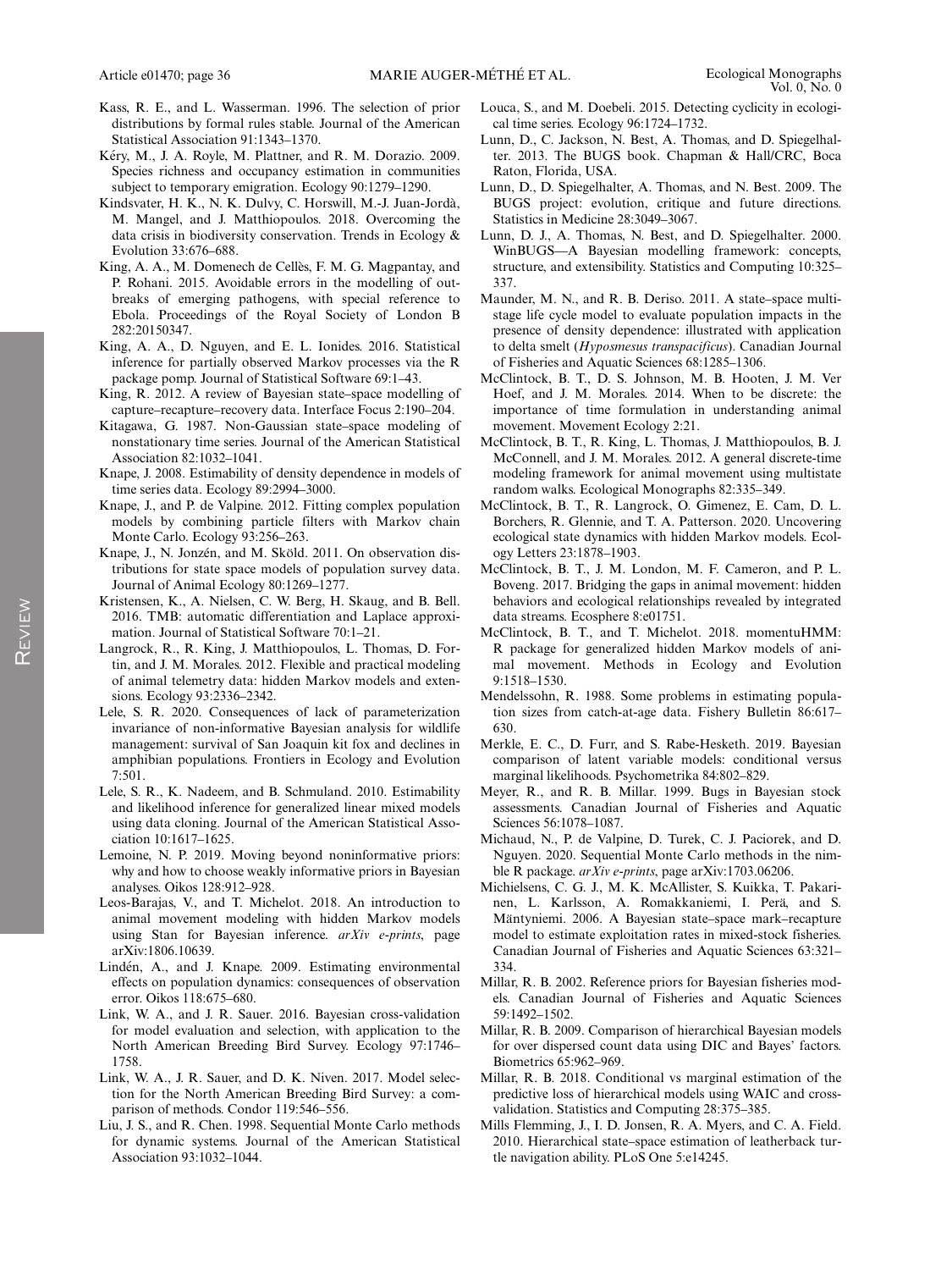- Kass, R. E., and L. Wasserman. 1996. The selection of prior distributions by formal rules stable. Journal of the American Statistical Association 91:1343–1370.
- Kéry, M., J. A. Royle, M. Plattner, and R. M. Dorazio. 2009. Species richness and occupancy estimation in communities subject to temporary emigration. Ecology 90:1279–1290.
- Kindsvater, H. K., N. K. Dulvy, C. Horswill, M.-J. Juan-Jorda,` M. Mangel, and J. Matthiopoulos. 2018. Overcoming the data crisis in biodiversity conservation. Trends in Ecology & Evolution 33:676–688.
- King, A. A., M. Domenech de Cellès, F. M. G. Magpantay, and P. Rohani. 2015. Avoidable errors in the modelling of outbreaks of emerging pathogens, with special reference to Ebola. Proceedings of the Royal Society of London B 282:20150347.
- King, A. A., D. Nguyen, and E. L. Ionides. 2016. Statistical inference for partially observed Markov processes via the R package pomp. Journal of Statistical Software 69:1–43.
- King, R. 2012. A review of Bayesian state–space modelling of capture–recapture–recovery data. Interface Focus 2:190–204.
- Kitagawa, G. 1987. Non-Gaussian state–space modeling of nonstationary time series. Journal of the American Statistical Association 82:1032–1041.
- Knape, J. 2008. Estimability of density dependence in models of time series data. Ecology 89:2994–3000.
- Knape, J., and P. de Valpine. 2012. Fitting complex population models by combining particle filters with Markov chain Monte Carlo. Ecology 93:256–263.
- Knape, J., N. Jonzén, and M. Sköld. 2011. On observation distributions for state space models of population survey data. Journal of Animal Ecology 80:1269–1277.
- Kristensen, K., A. Nielsen, C. W. Berg, H. Skaug, and B. Bell. 2016. TMB: automatic differentiation and Laplace approximation. Journal of Statistical Software 70:1–21.
- Langrock, R., R. King, J. Matthiopoulos, L. Thomas, D. Fortin, and J. M. Morales. 2012. Flexible and practical modeling of animal telemetry data: hidden Markov models and extensions. Ecology 93:2336–2342.
- Lele, S. R. 2020. Consequences of lack of parameterization invariance of non-informative Bayesian analysis for wildlife management: survival of San Joaquin kit fox and declines in amphibian populations. Frontiers in Ecology and Evolution 7:501.
- Lele, S. R., K. Nadeem, and B. Schmuland. 2010. Estimability and likelihood inference for generalized linear mixed models using data cloning. Journal of the American Statistical Association 10:1617–1625.
- Lemoine, N. P. 2019. Moving beyond noninformative priors: why and how to choose weakly informative priors in Bayesian analyses. Oikos 128:912–928.
- Leos-Barajas, V., and T. Michelot. 2018. An introduction to animal movement modeling with hidden Markov models using Stan for Bayesian inference. arXiv e-prints, page arXiv:1806.10639.
- Linden, A., and J. Knape. 2009. Estimating environmental ´ effects on population dynamics: consequences of observation error. Oikos 118:675–680.
- Link, W. A., and J. R. Sauer. 2016. Bayesian cross-validation for model evaluation and selection, with application to the North American Breeding Bird Survey. Ecology 97:1746– 1758.
- Link, W. A., J. R. Sauer, and D. K. Niven. 2017. Model selection for the North American Breeding Bird Survey: a comparison of methods. Condor 119:546–556.
- Liu, J. S., and R. Chen. 1998. Sequential Monte Carlo methods for dynamic systems. Journal of the American Statistical Association 93:1032–1044.
- Louca, S., and M. Doebeli. 2015. Detecting cyclicity in ecological time series. Ecology 96:1724–1732.
- Lunn, D., C. Jackson, N. Best, A. Thomas, and D. Spiegelhalter. 2013. The BUGS book. Chapman & Hall/CRC, Boca Raton, Florida, USA.
- Lunn, D., D. Spiegelhalter, A. Thomas, and N. Best. 2009. The BUGS project: evolution, critique and future directions. Statistics in Medicine 28:3049–3067.
- Lunn, D. J., A. Thomas, N. Best, and D. Spiegelhalter. 2000. WinBUGS—A Bayesian modelling framework: concepts, structure, and extensibility. Statistics and Computing 10:325– 337.
- Maunder, M. N., and R. B. Deriso. 2011. A state–space multistage life cycle model to evaluate population impacts in the presence of density dependence: illustrated with application to delta smelt (Hyposmesus transpacificus). Canadian Journal of Fisheries and Aquatic Sciences 68:1285–1306.
- McClintock, B. T., D. S. Johnson, M. B. Hooten, J. M. Ver Hoef, and J. M. Morales. 2014. When to be discrete: the importance of time formulation in understanding animal movement. Movement Ecology 2:21.
- McClintock, B. T., R. King, L. Thomas, J. Matthiopoulos, B. J. McConnell, and J. M. Morales. 2012. A general discrete-time modeling framework for animal movement using multistate random walks. Ecological Monographs 82:335–349.
- McClintock, B. T., R. Langrock, O. Gimenez, E. Cam, D. L. Borchers, R. Glennie, and T. A. Patterson. 2020. Uncovering ecological state dynamics with hidden Markov models. Ecology Letters 23:1878–1903.
- McClintock, B. T., J. M. London, M. F. Cameron, and P. L. Boveng. 2017. Bridging the gaps in animal movement: hidden behaviors and ecological relationships revealed by integrated data streams. Ecosphere 8:e01751.
- McClintock, B. T., and T. Michelot. 2018. momentuHMM: R package for generalized hidden Markov models of animal movement. Methods in Ecology and Evolution 9:1518–1530.
- Mendelssohn, R. 1988. Some problems in estimating population sizes from catch-at-age data. Fishery Bulletin 86:617– 630.
- Merkle, E. C., D. Furr, and S. Rabe-Hesketh. 2019. Bayesian comparison of latent variable models: conditional versus marginal likelihoods. Psychometrika 84:802–829.
- Meyer, R., and R. B. Millar. 1999. Bugs in Bayesian stock assessments. Canadian Journal of Fisheries and Aquatic Sciences 56:1078–1087.
- Michaud, N., P. de Valpine, D. Turek, C. J. Paciorek, and D. Nguyen. 2020. Sequential Monte Carlo methods in the nimble R package. arXiv e-prints, page arXiv:1703.06206.
- Michielsens, C. G. J., M. K. McAllister, S. Kuikka, T. Pakarinen, L. Karlsson, A. Romakkaniemi, I. Perä, and S. Mäntyniemi. 2006. A Bayesian state–space mark–recapture model to estimate exploitation rates in mixed-stock fisheries. Canadian Journal of Fisheries and Aquatic Sciences 63:321– 334.
- Millar, R. B. 2002. Reference priors for Bayesian fisheries models. Canadian Journal of Fisheries and Aquatic Sciences 59:1492–1502.
- Millar, R. B. 2009. Comparison of hierarchical Bayesian models for over dispersed count data using DIC and Bayes' factors. Biometrics 65:962–969.
- Millar, R. B. 2018. Conditional vs marginal estimation of the predictive loss of hierarchical models using WAIC and crossvalidation. Statistics and Computing 28:375–385.
- Mills Flemming, J., I. D. Jonsen, R. A. Myers, and C. A. Field. 2010. Hierarchical state–space estimation of leatherback turtle navigation ability. PLoS One 5:e14245.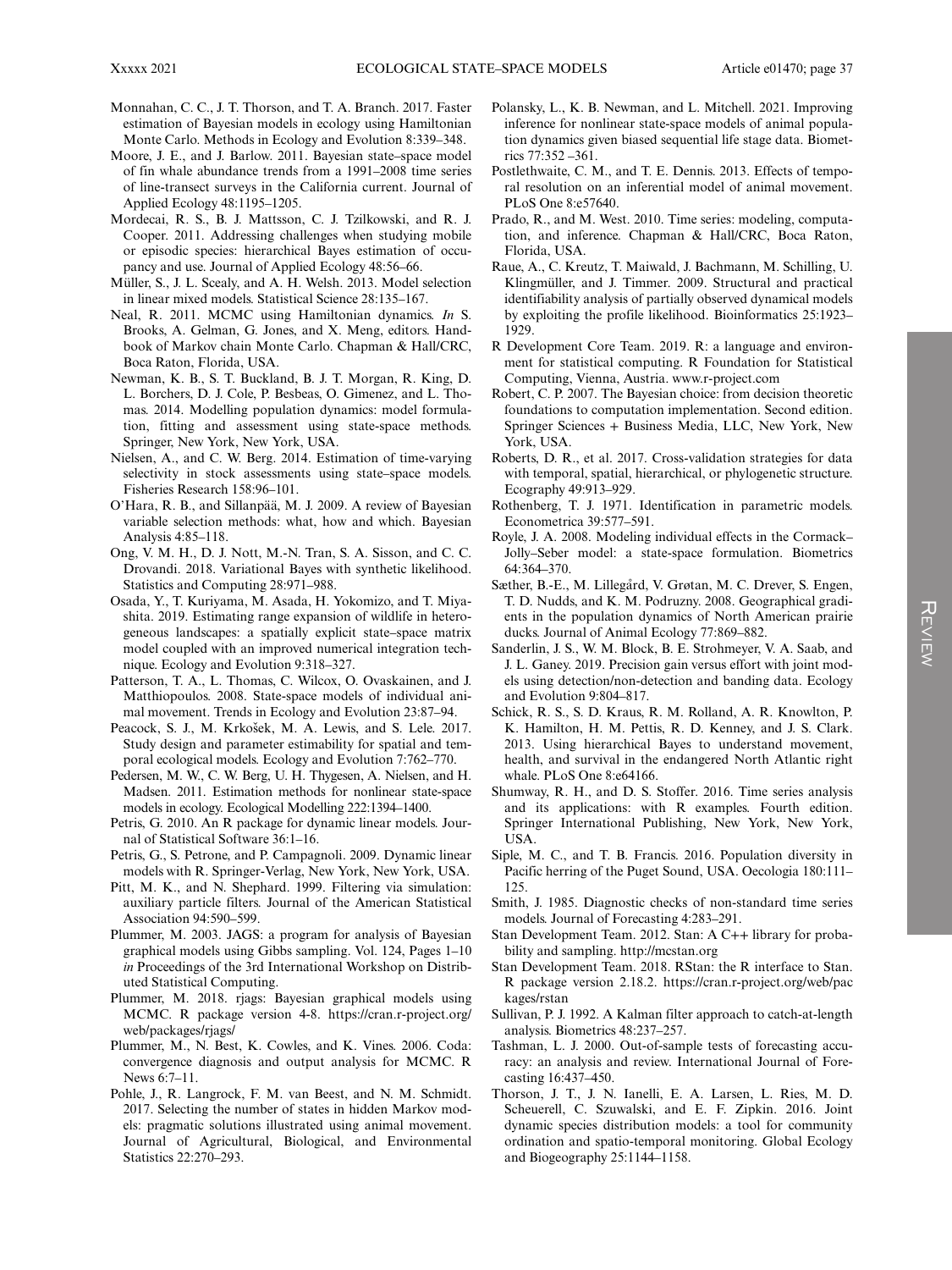- Monnahan, C. C., J. T. Thorson, and T. A. Branch. 2017. Faster estimation of Bayesian models in ecology using Hamiltonian Monte Carlo. Methods in Ecology and Evolution 8:339–348.
- Moore, J. E., and J. Barlow. 2011. Bayesian state–space model of fin whale abundance trends from a 1991–2008 time series of line-transect surveys in the California current. Journal of Applied Ecology 48:1195–1205.
- Mordecai, R. S., B. J. Mattsson, C. J. Tzilkowski, and R. J. Cooper. 2011. Addressing challenges when studying mobile or episodic species: hierarchical Bayes estimation of occupancy and use. Journal of Applied Ecology 48:56–66.
- Müller, S., J. L. Scealy, and A. H. Welsh. 2013. Model selection in linear mixed models. Statistical Science 28:135–167.
- Neal, R. 2011. MCMC using Hamiltonian dynamics. In S. Brooks, A. Gelman, G. Jones, and X. Meng, editors. Handbook of Markov chain Monte Carlo. Chapman & Hall/CRC, Boca Raton, Florida, USA.
- Newman, K. B., S. T. Buckland, B. J. T. Morgan, R. King, D. L. Borchers, D. J. Cole, P. Besbeas, O. Gimenez, and L. Thomas. 2014. Modelling population dynamics: model formulation, fitting and assessment using state-space methods. Springer, New York, New York, USA.
- Nielsen, A., and C. W. Berg. 2014. Estimation of time-varying selectivity in stock assessments using state–space models. Fisheries Research 158:96–101.
- O'Hara, R. B., and Sillanpää, M. J. 2009. A review of Bayesian variable selection methods: what, how and which. Bayesian Analysis 4:85–118.
- Ong, V. M. H., D. J. Nott, M.-N. Tran, S. A. Sisson, and C. C. Drovandi. 2018. Variational Bayes with synthetic likelihood. Statistics and Computing 28:971–988.
- Osada, Y., T. Kuriyama, M. Asada, H. Yokomizo, and T. Miyashita. 2019. Estimating range expansion of wildlife in heterogeneous landscapes: a spatially explicit state–space matrix model coupled with an improved numerical integration technique. Ecology and Evolution 9:318–327.
- Patterson, T. A., L. Thomas, C. Wilcox, O. Ovaskainen, and J. Matthiopoulos. 2008. State-space models of individual animal movement. Trends in Ecology and Evolution 23:87–94.
- Peacock, S. J., M. Krkošek, M. A. Lewis, and S. Lele. 2017. Study design and parameter estimability for spatial and temporal ecological models. Ecology and Evolution 7:762–770.
- Pedersen, M. W., C. W. Berg, U. H. Thygesen, A. Nielsen, and H. Madsen. 2011. Estimation methods for nonlinear state-space models in ecology. Ecological Modelling 222:1394–1400.
- Petris, G. 2010. An R package for dynamic linear models. Journal of Statistical Software 36:1–16.
- Petris, G., S. Petrone, and P. Campagnoli. 2009. Dynamic linear models with R. Springer-Verlag, New York, New York, USA.
- Pitt, M. K., and N. Shephard. 1999. Filtering via simulation: auxiliary particle filters. Journal of the American Statistical Association 94:590–599.
- Plummer, M. 2003. JAGS: a program for analysis of Bayesian graphical models using Gibbs sampling. Vol. 124, Pages 1–10 in Proceedings of the 3rd International Workshop on Distributed Statistical Computing.
- Plummer, M. 2018. rjags: Bayesian graphical models using MCMC. R package version 4-8. [https://cran.r-project.org/](https://cran.r-project.org/web/packages/rjags/) [web/packages/rjags/](https://cran.r-project.org/web/packages/rjags/)
- Plummer, M., N. Best, K. Cowles, and K. Vines. 2006. Coda: convergence diagnosis and output analysis for MCMC. R News 6:7–11.
- Pohle, J., R. Langrock, F. M. van Beest, and N. M. Schmidt. 2017. Selecting the number of states in hidden Markov models: pragmatic solutions illustrated using animal movement. Journal of Agricultural, Biological, and Environmental Statistics 22:270–293.
- Polansky, L., K. B. Newman, and L. Mitchell. 2021. Improving inference for nonlinear state-space models of animal population dynamics given biased sequential life stage data. Biometrics 77:352 –361.
- Postlethwaite, C. M., and T. E. Dennis. 2013. Effects of temporal resolution on an inferential model of animal movement. PLoS One 8:e57640.
- Prado, R., and M. West. 2010. Time series: modeling, computation, and inference. Chapman & Hall/CRC, Boca Raton, Florida, USA.
- Raue, A., C. Kreutz, T. Maiwald, J. Bachmann, M. Schilling, U. Klingmüller, and J. Timmer. 2009. Structural and practical identifiability analysis of partially observed dynamical models by exploiting the profile likelihood. Bioinformatics 25:1923– 1929.
- R Development Core Team. 2019. R: a language and environment for statistical computing. R Foundation for Statistical Computing, Vienna, Austria. [www.r-project.com](http://www.r-project.com)
- Robert, C. P. 2007. The Bayesian choice: from decision theoretic foundations to computation implementation. Second edition. Springer Sciences + Business Media, LLC, New York, New York, USA.
- Roberts, D. R., et al. 2017. Cross-validation strategies for data with temporal, spatial, hierarchical, or phylogenetic structure. Ecography 49:913–929.
- Rothenberg, T. J. 1971. Identification in parametric models. Econometrica 39:577–591.
- Royle, J. A. 2008. Modeling individual effects in the Cormack– Jolly–Seber model: a state-space formulation. Biometrics 64:364–370.
- Sæther, B.-E., M. Lillegård, V. Grøtan, M. C. Drever, S. Engen, T. D. Nudds, and K. M. Podruzny. 2008. Geographical gradients in the population dynamics of North American prairie ducks. Journal of Animal Ecology 77:869–882.
- Sanderlin, J. S., W. M. Block, B. E. Strohmeyer, V. A. Saab, and J. L. Ganey. 2019. Precision gain versus effort with joint models using detection/non-detection and banding data. Ecology and Evolution 9:804–817.
- Schick, R. S., S. D. Kraus, R. M. Rolland, A. R. Knowlton, P. K. Hamilton, H. M. Pettis, R. D. Kenney, and J. S. Clark. 2013. Using hierarchical Bayes to understand movement, health, and survival in the endangered North Atlantic right whale. PLoS One 8:e64166.
- Shumway, R. H., and D. S. Stoffer. 2016. Time series analysis and its applications: with R examples. Fourth edition. Springer International Publishing, New York, New York, USA.
- Siple, M. C., and T. B. Francis. 2016. Population diversity in Pacific herring of the Puget Sound, USA. Oecologia 180:111– 125.
- Smith, J. 1985. Diagnostic checks of non-standard time series models. Journal of Forecasting 4:283–291.
- Stan Development Team. 2012. Stan: A C++ library for probability and sampling.<http://mcstan.org>
- Stan Development Team. 2018. RStan: the R interface to Stan. R package version 2.18.2. [https://cran.r-project.org/web/pac](https://cran.r-project.org/web/packages/rstan) [kages/rstan](https://cran.r-project.org/web/packages/rstan)
- Sullivan, P. J. 1992. A Kalman filter approach to catch-at-length analysis. Biometrics 48:237–257.
- Tashman, L. J. 2000. Out-of-sample tests of forecasting accuracy: an analysis and review. International Journal of Forecasting 16:437–450.
- Thorson, J. T., J. N. Ianelli, E. A. Larsen, L. Ries, M. D. Scheuerell, C. Szuwalski, and E. F. Zipkin. 2016. Joint dynamic species distribution models: a tool for community ordination and spatio-temporal monitoring. Global Ecology and Biogeography 25:1144–1158.